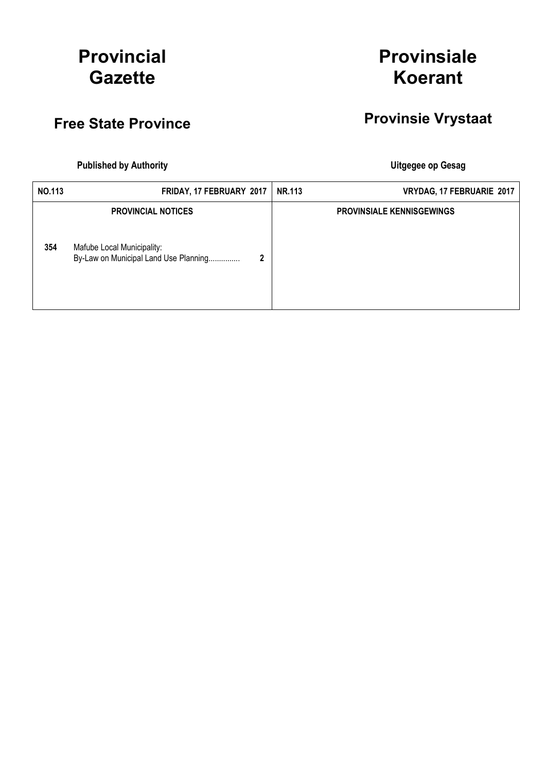# Provincial **Gazette**

# **Provinsiale** Koerant

# Free State Province Provinsie Vrystaat

Published by Authority **National Execution Control Control Control Control Control Control Control Control Control Control Control Control Control Control Control Control Control Control Control Control Control Control Con** 

| NO.113 | FRIDAY, 17 FEBRUARY 2017                                                 | <b>NR.113</b><br>VRYDAG, 17 FEBRUARIE 2017 |  |
|--------|--------------------------------------------------------------------------|--------------------------------------------|--|
|        | <b>PROVINCIAL NOTICES</b>                                                | <b>PROVINSIALE KENNISGEWINGS</b>           |  |
| 354    | Mafube Local Municipality:<br>By-Law on Municipal Land Use Planning<br>2 |                                            |  |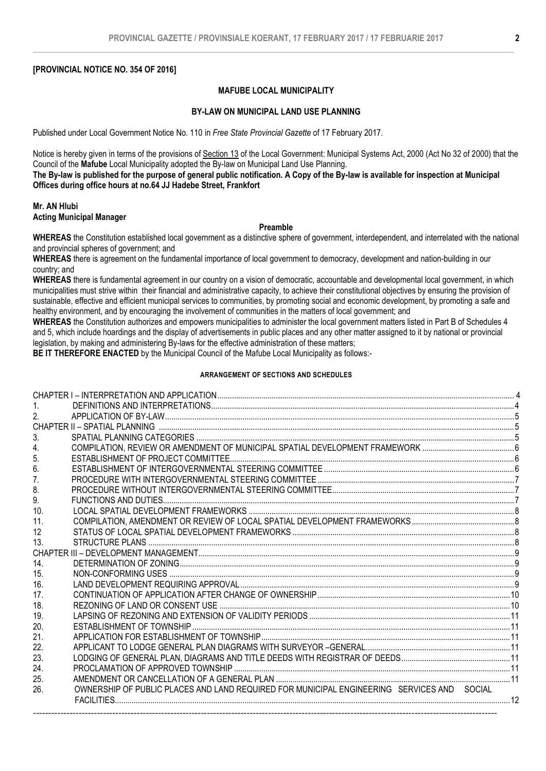### [PROVINCIAL NOTICE NO. 354 OF 2016]

### MAFUBE LOCAL MUNICIPALITY

### BY-LAW ON MUNICIPAL LAND USE PLANNING

Published under Local Government Notice No. 110 in *Free State Provincial Gazette* of 17 February 2017.

Notice is hereby given in terms of the provisions of Section 13 of the Local Government: Municipal Systems Act, 2000 (Act No 32 of 2000) that the Council of the Mafube Local Municipality adopted the By-law on Municipal Land Use Planning.

The By-law is published for the purpose of general public notification. A Copy of the By-law is available for inspection at Municipal Offices during office hours at no.64 JJ Hadebe Street, Frankfort

### Mr. AN Hlubi Acting Municipal Manager

### Preamble

WHEREAS the Constitution established local government as a distinctive sphere of government, interdependent, and interrelated with the national and provincial spheres of government; and

WHEREAS there is agreement on the fundamental importance of local government to democracy, development and nation-building in our country; and

WHEREAS there is fundamental agreement in our country on a vision of democratic, accountable and developmental local government, in which municipalities must strive within their financial and administrative capacity, to achieve their constitutional objectives by ensuring the provision of sustainable, effective and efficient municipal services to communities, by promoting social and economic development, by promoting a safe and healthy environment, and by encouraging the involvement of communities in the matters of local government; and

WHEREAS the Constitution authorizes and empowers municipalities to administer the local government matters listed in Part B of Schedules 4 and 5, which include hoardings and the display of advertisements in public places and any other matter assigned to it by national or provincial legislation, by making and administering By-laws for the effective administration of these matters;

BE IT THEREFORE ENACTED by the Municipal Council of the Mafube Local Municipality as follows:-

### ARRANGEMENT OF SECTIONS AND SCHEDULES

| 1.              |                                                                                            |  |
|-----------------|--------------------------------------------------------------------------------------------|--|
| 2 <sup>2</sup>  |                                                                                            |  |
|                 |                                                                                            |  |
| 3.              |                                                                                            |  |
| 4 <sub>1</sub>  |                                                                                            |  |
| 5.              |                                                                                            |  |
| 6.              |                                                                                            |  |
| 7.              |                                                                                            |  |
| 8.              |                                                                                            |  |
| 9.              |                                                                                            |  |
| 10.             |                                                                                            |  |
| 11.             |                                                                                            |  |
| 12              |                                                                                            |  |
| 13.             |                                                                                            |  |
|                 |                                                                                            |  |
| 14.             |                                                                                            |  |
| 15.             |                                                                                            |  |
| 16.             |                                                                                            |  |
| 17 <sub>1</sub> |                                                                                            |  |
| 18.             |                                                                                            |  |
| 19.             |                                                                                            |  |
| 20.             |                                                                                            |  |
| 21.             |                                                                                            |  |
| 22.             |                                                                                            |  |
| 23.             |                                                                                            |  |
| 24.             |                                                                                            |  |
| 25.             |                                                                                            |  |
| 26.             | OWNERSHIP OF PUBLIC PLACES AND LAND REQUIRED FOR MUNICIPAL ENGINEERING SERVICES AND SOCIAL |  |
|                 |                                                                                            |  |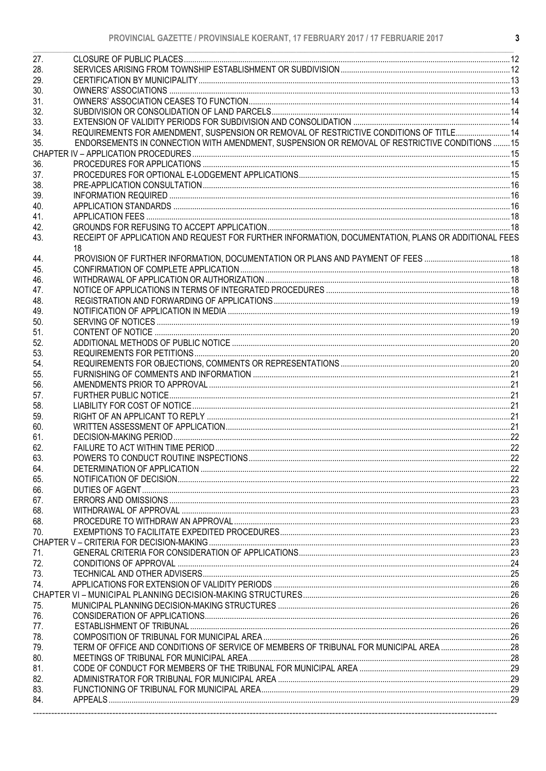| REQUIREMENTS FOR AMENDMENT, SUSPENSION OR REMOVAL OF RESTRICTIVE CONDITIONS OF TITLE 14<br>34.<br>ENDORSEMENTS IN CONNECTION WITH AMENDMENT, SUSPENSION OR REMOVAL OF RESTRICTIVE CONDITIONS  15<br>35.<br>36.<br>37.<br>38.<br>39.<br>40.<br>41.<br>RECEIPT OF APPLICATION AND REQUEST FOR FURTHER INFORMATION, DOCUMENTATION, PLANS OR ADDITIONAL FEES<br>18<br>44.<br>45.<br>46.<br>47.<br>48.<br>49.<br>50.<br>62.<br>POWERS TO CONDUCT ROUTINE INSPECTIONS<br>22<br>63.<br>64.<br>65.<br>66.<br>67.<br>68.<br>68.<br>70.<br>71.<br>72.<br>73.<br>79.<br>80.<br>81.<br>82.<br>83.<br>84. |     |  |
|----------------------------------------------------------------------------------------------------------------------------------------------------------------------------------------------------------------------------------------------------------------------------------------------------------------------------------------------------------------------------------------------------------------------------------------------------------------------------------------------------------------------------------------------------------------------------------------------|-----|--|
|                                                                                                                                                                                                                                                                                                                                                                                                                                                                                                                                                                                              | 27. |  |
|                                                                                                                                                                                                                                                                                                                                                                                                                                                                                                                                                                                              | 28. |  |
|                                                                                                                                                                                                                                                                                                                                                                                                                                                                                                                                                                                              | 29. |  |
|                                                                                                                                                                                                                                                                                                                                                                                                                                                                                                                                                                                              | 30. |  |
|                                                                                                                                                                                                                                                                                                                                                                                                                                                                                                                                                                                              | 31. |  |
|                                                                                                                                                                                                                                                                                                                                                                                                                                                                                                                                                                                              | 32. |  |
|                                                                                                                                                                                                                                                                                                                                                                                                                                                                                                                                                                                              | 33. |  |
|                                                                                                                                                                                                                                                                                                                                                                                                                                                                                                                                                                                              |     |  |
|                                                                                                                                                                                                                                                                                                                                                                                                                                                                                                                                                                                              |     |  |
|                                                                                                                                                                                                                                                                                                                                                                                                                                                                                                                                                                                              |     |  |
|                                                                                                                                                                                                                                                                                                                                                                                                                                                                                                                                                                                              |     |  |
|                                                                                                                                                                                                                                                                                                                                                                                                                                                                                                                                                                                              |     |  |
|                                                                                                                                                                                                                                                                                                                                                                                                                                                                                                                                                                                              |     |  |
|                                                                                                                                                                                                                                                                                                                                                                                                                                                                                                                                                                                              |     |  |
|                                                                                                                                                                                                                                                                                                                                                                                                                                                                                                                                                                                              |     |  |
|                                                                                                                                                                                                                                                                                                                                                                                                                                                                                                                                                                                              |     |  |
|                                                                                                                                                                                                                                                                                                                                                                                                                                                                                                                                                                                              |     |  |
|                                                                                                                                                                                                                                                                                                                                                                                                                                                                                                                                                                                              | 42. |  |
|                                                                                                                                                                                                                                                                                                                                                                                                                                                                                                                                                                                              | 43. |  |
|                                                                                                                                                                                                                                                                                                                                                                                                                                                                                                                                                                                              |     |  |
|                                                                                                                                                                                                                                                                                                                                                                                                                                                                                                                                                                                              |     |  |
|                                                                                                                                                                                                                                                                                                                                                                                                                                                                                                                                                                                              |     |  |
|                                                                                                                                                                                                                                                                                                                                                                                                                                                                                                                                                                                              |     |  |
|                                                                                                                                                                                                                                                                                                                                                                                                                                                                                                                                                                                              |     |  |
|                                                                                                                                                                                                                                                                                                                                                                                                                                                                                                                                                                                              |     |  |
|                                                                                                                                                                                                                                                                                                                                                                                                                                                                                                                                                                                              |     |  |
|                                                                                                                                                                                                                                                                                                                                                                                                                                                                                                                                                                                              |     |  |
|                                                                                                                                                                                                                                                                                                                                                                                                                                                                                                                                                                                              | 51. |  |
|                                                                                                                                                                                                                                                                                                                                                                                                                                                                                                                                                                                              | 52. |  |
|                                                                                                                                                                                                                                                                                                                                                                                                                                                                                                                                                                                              | 53. |  |
|                                                                                                                                                                                                                                                                                                                                                                                                                                                                                                                                                                                              | 54. |  |
|                                                                                                                                                                                                                                                                                                                                                                                                                                                                                                                                                                                              | 55. |  |
|                                                                                                                                                                                                                                                                                                                                                                                                                                                                                                                                                                                              | 56. |  |
|                                                                                                                                                                                                                                                                                                                                                                                                                                                                                                                                                                                              | 57. |  |
|                                                                                                                                                                                                                                                                                                                                                                                                                                                                                                                                                                                              | 58. |  |
|                                                                                                                                                                                                                                                                                                                                                                                                                                                                                                                                                                                              | 59. |  |
|                                                                                                                                                                                                                                                                                                                                                                                                                                                                                                                                                                                              | 60. |  |
|                                                                                                                                                                                                                                                                                                                                                                                                                                                                                                                                                                                              | 61. |  |
|                                                                                                                                                                                                                                                                                                                                                                                                                                                                                                                                                                                              |     |  |
|                                                                                                                                                                                                                                                                                                                                                                                                                                                                                                                                                                                              |     |  |
|                                                                                                                                                                                                                                                                                                                                                                                                                                                                                                                                                                                              |     |  |
|                                                                                                                                                                                                                                                                                                                                                                                                                                                                                                                                                                                              |     |  |
|                                                                                                                                                                                                                                                                                                                                                                                                                                                                                                                                                                                              |     |  |
|                                                                                                                                                                                                                                                                                                                                                                                                                                                                                                                                                                                              |     |  |
|                                                                                                                                                                                                                                                                                                                                                                                                                                                                                                                                                                                              |     |  |
|                                                                                                                                                                                                                                                                                                                                                                                                                                                                                                                                                                                              |     |  |
|                                                                                                                                                                                                                                                                                                                                                                                                                                                                                                                                                                                              |     |  |
|                                                                                                                                                                                                                                                                                                                                                                                                                                                                                                                                                                                              |     |  |
|                                                                                                                                                                                                                                                                                                                                                                                                                                                                                                                                                                                              |     |  |
|                                                                                                                                                                                                                                                                                                                                                                                                                                                                                                                                                                                              |     |  |
|                                                                                                                                                                                                                                                                                                                                                                                                                                                                                                                                                                                              |     |  |
|                                                                                                                                                                                                                                                                                                                                                                                                                                                                                                                                                                                              |     |  |
|                                                                                                                                                                                                                                                                                                                                                                                                                                                                                                                                                                                              | 74. |  |
|                                                                                                                                                                                                                                                                                                                                                                                                                                                                                                                                                                                              |     |  |
|                                                                                                                                                                                                                                                                                                                                                                                                                                                                                                                                                                                              | 75. |  |
|                                                                                                                                                                                                                                                                                                                                                                                                                                                                                                                                                                                              | 76. |  |
|                                                                                                                                                                                                                                                                                                                                                                                                                                                                                                                                                                                              | 77. |  |
|                                                                                                                                                                                                                                                                                                                                                                                                                                                                                                                                                                                              | 78. |  |
|                                                                                                                                                                                                                                                                                                                                                                                                                                                                                                                                                                                              |     |  |
|                                                                                                                                                                                                                                                                                                                                                                                                                                                                                                                                                                                              |     |  |
|                                                                                                                                                                                                                                                                                                                                                                                                                                                                                                                                                                                              |     |  |
|                                                                                                                                                                                                                                                                                                                                                                                                                                                                                                                                                                                              |     |  |
|                                                                                                                                                                                                                                                                                                                                                                                                                                                                                                                                                                                              |     |  |
|                                                                                                                                                                                                                                                                                                                                                                                                                                                                                                                                                                                              |     |  |
|                                                                                                                                                                                                                                                                                                                                                                                                                                                                                                                                                                                              |     |  |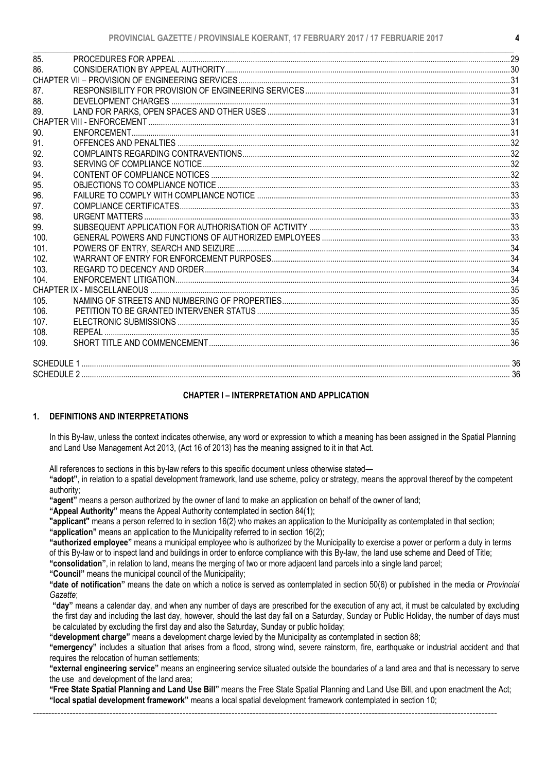| 85.<br>86.<br>87.<br>88.<br>89.<br>90.<br>91.<br>92.<br>93.<br>94.<br>95.<br>96.<br>97.<br>98.<br>99.<br>100.<br>101.<br>102.<br>103.<br>104.<br>105.<br>106.<br>107.<br>108.<br>109. |  |  |
|---------------------------------------------------------------------------------------------------------------------------------------------------------------------------------------|--|--|
|                                                                                                                                                                                       |  |  |
|                                                                                                                                                                                       |  |  |
|                                                                                                                                                                                       |  |  |
|                                                                                                                                                                                       |  |  |
|                                                                                                                                                                                       |  |  |
|                                                                                                                                                                                       |  |  |
|                                                                                                                                                                                       |  |  |
|                                                                                                                                                                                       |  |  |
|                                                                                                                                                                                       |  |  |
|                                                                                                                                                                                       |  |  |
|                                                                                                                                                                                       |  |  |
|                                                                                                                                                                                       |  |  |
|                                                                                                                                                                                       |  |  |
|                                                                                                                                                                                       |  |  |
|                                                                                                                                                                                       |  |  |
|                                                                                                                                                                                       |  |  |
|                                                                                                                                                                                       |  |  |
|                                                                                                                                                                                       |  |  |
|                                                                                                                                                                                       |  |  |
|                                                                                                                                                                                       |  |  |
|                                                                                                                                                                                       |  |  |
|                                                                                                                                                                                       |  |  |
|                                                                                                                                                                                       |  |  |
|                                                                                                                                                                                       |  |  |
|                                                                                                                                                                                       |  |  |
|                                                                                                                                                                                       |  |  |
|                                                                                                                                                                                       |  |  |
|                                                                                                                                                                                       |  |  |
|                                                                                                                                                                                       |  |  |
|                                                                                                                                                                                       |  |  |
|                                                                                                                                                                                       |  |  |

### CHAPTER I – INTERPRETATION AND APPLICATION

### 1. DEFINITIONS AND INTERPRETATIONS

In this By-law, unless the context indicates otherwise, any word or expression to which a meaning has been assigned in the Spatial Planning and Land Use Management Act 2013, (Act 16 of 2013) has the meaning assigned to it in that Act.

All references to sections in this by-law refers to this specific document unless otherwise stated—

"adopt", in relation to a spatial development framework, land use scheme, policy or strategy, means the approval thereof by the competent authority;

"agent" means a person authorized by the owner of land to make an application on behalf of the owner of land;

"Appeal Authority" means the Appeal Authority contemplated in section 84(1);

"applicant" means a person referred to in section 16(2) who makes an application to the Municipality as contemplated in that section;

"application" means an application to the Municipality referred to in section 16(2);

"authorized employee" means a municipal employee who is authorized by the Municipality to exercise a power or perform a duty in terms of this By-law or to inspect land and buildings in order to enforce compliance with this By-law, the land use scheme and Deed of Title;

"consolidation", in relation to land, means the merging of two or more adjacent land parcels into a single land parcel;

"Council" means the municipal council of the Municipality;

"date of notification" means the date on which a notice is served as contemplated in section 50(6) or published in the media or *Provincial Gazette*;

"day" means a calendar day, and when any number of days are prescribed for the execution of any act, it must be calculated by excluding the first day and including the last day, however, should the last day fall on a Saturday, Sunday or Public Holiday, the number of days must be calculated by excluding the first day and also the Saturday, Sunday or public holiday;

"development charge" means a development charge levied by the Municipality as contemplated in section 88;

"emergency" includes a situation that arises from a flood, strong wind, severe rainstorm, fire, earthquake or industrial accident and that requires the relocation of human settlements;

"external engineering service" means an engineering service situated outside the boundaries of a land area and that is necessary to serve the use and development of the land area;

"Free State Spatial Planning and Land Use Bill" means the Free State Spatial Planning and Land Use Bill, and upon enactment the Act; "local spatial development framework" means a local spatial development framework contemplated in section 10;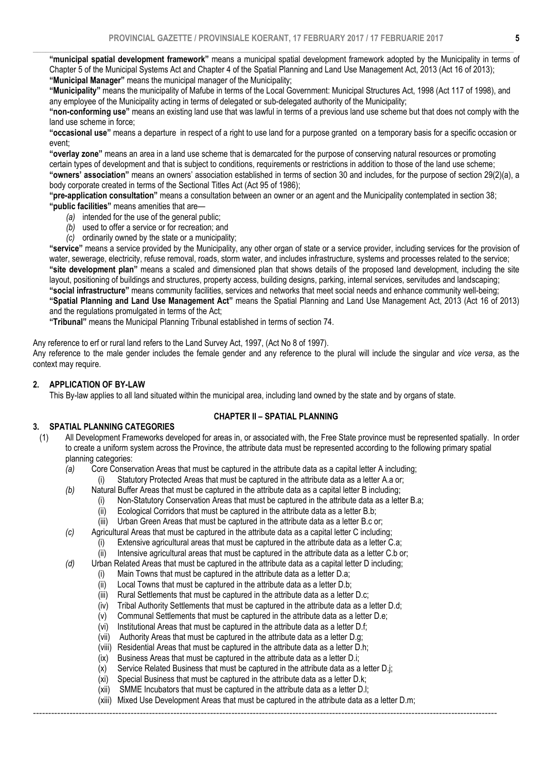$\_$  , and the state of the state of the state of the state of the state of the state of the state of the state of the state of the state of the state of the state of the state of the state of the state of the state of the "municipal spatial development framework" means a municipal spatial development framework adopted by the Municipality in terms of Chapter 5 of the Municipal Systems Act and Chapter 4 of the Spatial Planning and Land Use Management Act, 2013 (Act 16 of 2013); "Municipal Manager" means the municipal manager of the Municipality;

"Municipality" means the municipality of Mafube in terms of the Local Government: Municipal Structures Act, 1998 (Act 117 of 1998), and any employee of the Municipality acting in terms of delegated or sub-delegated authority of the Municipality;

"non-conforming use" means an existing land use that was lawful in terms of a previous land use scheme but that does not comply with the land use scheme in force;

"occasional use" means a departure in respect of a right to use land for a purpose granted on a temporary basis for a specific occasion or event;

"overlay zone" means an area in a land use scheme that is demarcated for the purpose of conserving natural resources or promoting certain types of development and that is subject to conditions, requirements or restrictions in addition to those of the land use scheme; "owners' association" means an owners' association established in terms of section 30 and includes, for the purpose of section 29(2)(a), a body corporate created in terms of the Sectional Titles Act (Act 95 of 1986);

"pre-application consultation" means a consultation between an owner or an agent and the Municipality contemplated in section 38; "public facilities" means amenities that are—

- *(a)* intended for the use of the general public;
- *(b)* used to offer a service or for recreation; and
- *(c)* ordinarily owned by the state or a municipality;

"service" means a service provided by the Municipality, any other organ of state or a service provider, including services for the provision of water, sewerage, electricity, refuse removal, roads, storm water, and includes infrastructure, systems and processes related to the service; "site development plan" means a scaled and dimensioned plan that shows details of the proposed land development, including the site layout, positioning of buildings and structures, property access, building designs, parking, internal services, servitudes and landscaping; "social infrastructure" means community facilities, services and networks that meet social needs and enhance community well-being; "Spatial Planning and Land Use Management Act" means the Spatial Planning and Land Use Management Act, 2013 (Act 16 of 2013)

and the regulations promulgated in terms of the Act; "Tribunal" means the Municipal Planning Tribunal established in terms of section 74.

Any reference to erf or rural land refers to the Land Survey Act, 1997, (Act No 8 of 1997).

Any reference to the male gender includes the female gender and any reference to the plural will include the singular and *vice versa*, as the context may require.

### 2. APPLICATION OF BY-LAW

This By-law applies to all land situated within the municipal area, including land owned by the state and by organs of state.

### CHAPTER II – SPATIAL PLANNING

### 3. SPATIAL PLANNING CATEGORIES

- (1) All Development Frameworks developed for areas in, or associated with, the Free State province must be represented spatially. In order to create a uniform system across the Province, the attribute data must be represented according to the following primary spatial planning categories:
	- *(a)* Core Conservation Areas that must be captured in the attribute data as a capital letter A including;
		- (i) Statutory Protected Areas that must be captured in the attribute data as a letter A.a or;
	- *(b)* Natural Buffer Areas that must be captured in the attribute data as a capital letter B including;
		- (i) Non-Statutory Conservation Areas that must be captured in the attribute data as a letter B.a;
		- (ii) Ecological Corridors that must be captured in the attribute data as a letter B.b;
		- (iii) Urban Green Areas that must be captured in the attribute data as a letter B.c or;
	- *(c)* Agricultural Areas that must be captured in the attribute data as a capital letter C including;
		- (i) Extensive agricultural areas that must be captured in the attribute data as a letter C.a;
		- (ii) Intensive agricultural areas that must be captured in the attribute data as a letter C.b or;
	- *(d)* Urban Related Areas that must be captured in the attribute data as a capital letter D including;
		- (i) Main Towns that must be captured in the attribute data as a letter D.a;
		- (ii) Local Towns that must be captured in the attribute data as a letter D.b;
		- (iii) Rural Settlements that must be captured in the attribute data as a letter D.c;
		- (iv) Tribal Authority Settlements that must be captured in the attribute data as a letter D.d;
		- (v) Communal Settlements that must be captured in the attribute data as a letter D.e;
		- (vi) Institutional Areas that must be captured in the attribute data as a letter D.f;
		- (vii) Authority Areas that must be captured in the attribute data as a letter D.g;
		- (viii) Residential Areas that must be captured in the attribute data as a letter D.h;
		- (ix) Business Areas that must be captured in the attribute data as a letter D.i;
		- $(x)$  Service Related Business that must be captured in the attribute data as a letter D.j.
		- (xi) Special Business that must be captured in the attribute data as a letter D.k;
		- (xii) SMME Incubators that must be captured in the attribute data as a letter D.l;
		- (xiii) Mixed Use Development Areas that must be captured in the attribute data as a letter D.m;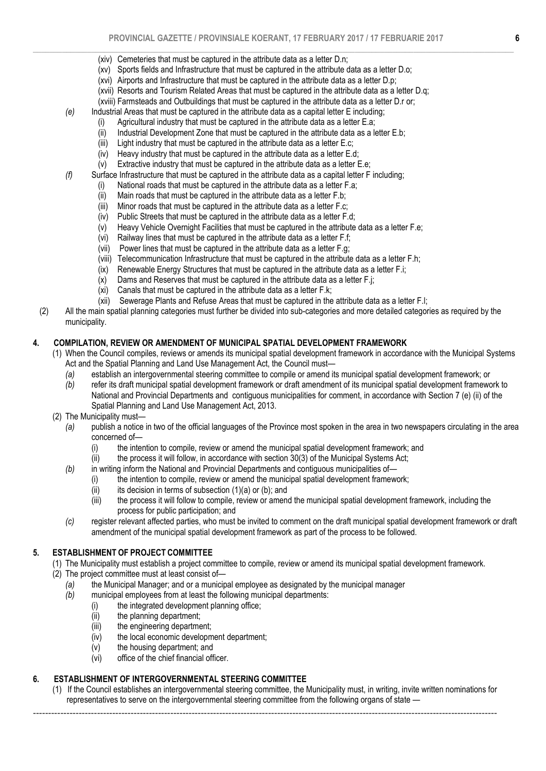- (xiv) Cemeteries that must be captured in the attribute data as a letter D.n;
- (xv) Sports fields and Infrastructure that must be captured in the attribute data as a letter D.o;
- (xvi) Airports and Infrastructure that must be captured in the attribute data as a letter D.p;
- (xvii) Resorts and Tourism Related Areas that must be captured in the attribute data as a letter D.q;
- (xviii) Farmsteads and Outbuildings that must be captured in the attribute data as a letter D.r or;
- *(e)* Industrial Areas that must be captured in the attribute data as a capital letter E including;
	- (i) Agricultural industry that must be captured in the attribute data as a letter E.a;
	- (ii) Industrial Development Zone that must be captured in the attribute data as a letter E.b;
	- (iii) Light industry that must be captured in the attribute data as a letter E.c;
	- (iv) Heavy industry that must be captured in the attribute data as a letter E.d;
	- (v) Extractive industry that must be captured in the attribute data as a letter E.e;
- *(f)* Surface Infrastructure that must be captured in the attribute data as a capital letter F including;
	- (i) National roads that must be captured in the attribute data as a letter  $F.a$ ;<br>(ii) Main roads that must be captured in the attribute data as a letter  $F.b$ ;
	- $(iii)$  Main roads that must be captured in the attribute data as a letter F.b;<br>(iii) Minor roads that must be captured in the attribute data as a letter F.c:
	- (iii) Minor roads that must be captured in the attribute data as a letter F.c;<br>(iv) Public Streets that must be captured in the attribute data as a letter F.
	- Public Streets that must be captured in the attribute data as a letter F.d:
	- $(v)$  Heavy Vehicle Overnight Facilities that must be captured in the attribute data as a letter F.e;
	- (vi) Railway lines that must be captured in the attribute data as a letter F.f;
	- (vii) Power lines that must be captured in the attribute data as a letter F.g;
	- (viii) Telecommunication Infrastructure that must be captured in the attribute data as a letter F.h;
	- (ix) Renewable Energy Structures that must be captured in the attribute data as a letter F.i;
	- $(x)$  Dams and Reserves that must be captured in the attribute data as a letter F.j;
	- (xi) Canals that must be captured in the attribute data as a letter F.k;
	- (xii) Sewerage Plants and Refuse Areas that must be captured in the attribute data as a letter F.l;
- (2) All the main spatial planning categories must further be divided into sub-categories and more detailed categories as required by the municipality.

### 4. COMPILATION, REVIEW OR AMENDMENT OF MUNICIPAL SPATIAL DEVELOPMENT FRAMEWORK

- (1) When the Council compiles, reviews or amends its municipal spatial development framework in accordance with the Municipal Systems Act and the Spatial Planning and Land Use Management Act, the Council must—
	- *(a)* establish an intergovernmental steering committee to compile or amend its municipal spatial development framework; or
	- *(b)* refer its draft municipal spatial development framework or draft amendment of its municipal spatial development framework to National and Provincial Departments and contiguous municipalities for comment, in accordance with Section 7 (e) (ii) of the Spatial Planning and Land Use Management Act, 2013.
- (2) The Municipality must—
	- *(a)* publish a notice in two of the official languages of the Province most spoken in the area in two newspapers circulating in the area concerned of—
		- (i) the intention to compile, review or amend the municipal spatial development framework; and
		- $(iii)$  the process it will follow, in accordance with section 30(3) of the Municipal Systems Act;
	- *(b)* in writing inform the National and Provincial Departments and contiguous municipalities of—
		- (i) the intention to compile, review or amend the municipal spatial development framework;
		- $(ii)$  its decision in terms of subsection  $(1)(a)$  or  $(b)$ ; and
		- (iii) the process it will follow to compile, review or amend the municipal spatial development framework, including the process for public participation; and
	- *(c)* register relevant affected parties, who must be invited to comment on the draft municipal spatial development framework or draft amendment of the municipal spatial development framework as part of the process to be followed.

### 5. ESTABLISHMENT OF PROJECT COMMITTEE

- (1) The Municipality must establish a project committee to compile, review or amend its municipal spatial development framework.
- (2) The project committee must at least consist of—
	- *(a)* the Municipal Manager; and or a municipal employee as designated by the municipal manager
	- *(b)* municipal employees from at least the following municipal departments:
		- (i) the integrated development planning office;
		- (ii) the planning department;
		- (iii) the engineering department;
		- (iv) the local economic development department;
		- (v) the housing department; and
		- (vi) office of the chief financial officer.

# 6. ESTABLISHMENT OF INTERGOVERNMENTAL STEERING COMMITTEE

(1) If the Council establishes an intergovernmental steering committee, the Municipality must, in writing, invite written nominations for representatives to serve on the intergovernmental steering committee from the following organs of state —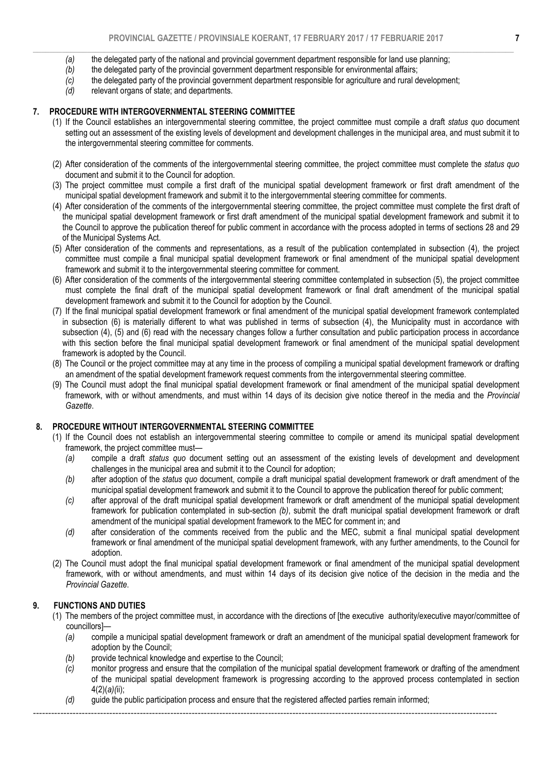- $\_$  , and the state of the state of the state of the state of the state of the state of the state of the state of the state of the state of the state of the state of the state of the state of the state of the state of the *(a)* the delegated party of the national and provincial government department responsible for land use planning;
	- *(b)* the delegated party of the provincial government department responsible for environmental affairs;
	- *(c)* the delegated party of the provincial government department responsible for agriculture and rural development;
	- *(d)* relevant organs of state; and departments.

# 7. PROCEDURE WITH INTERGOVERNMENTAL STEERING COMMITTEE

- (1) If the Council establishes an intergovernmental steering committee, the project committee must compile a draft *status quo* document setting out an assessment of the existing levels of development and development challenges in the municipal area, and must submit it to the intergovernmental steering committee for comments.
- (2) After consideration of the comments of the intergovernmental steering committee, the project committee must complete the *status quo* document and submit it to the Council for adoption.
- (3) The project committee must compile a first draft of the municipal spatial development framework or first draft amendment of the municipal spatial development framework and submit it to the intergovernmental steering committee for comments.
- (4) After consideration of the comments of the intergovernmental steering committee, the project committee must complete the first draft of the municipal spatial development framework or first draft amendment of the municipal spatial development framework and submit it to the Council to approve the publication thereof for public comment in accordance with the process adopted in terms of sections 28 and 29 of the Municipal Systems Act.
- (5) After consideration of the comments and representations, as a result of the publication contemplated in subsection (4), the project committee must compile a final municipal spatial development framework or final amendment of the municipal spatial development framework and submit it to the intergovernmental steering committee for comment.
- (6) After consideration of the comments of the intergovernmental steering committee contemplated in subsection (5), the project committee must complete the final draft of the municipal spatial development framework or final draft amendment of the municipal spatial development framework and submit it to the Council for adoption by the Council.
- (7) If the final municipal spatial development framework or final amendment of the municipal spatial development framework contemplated in subsection (6) is materially different to what was published in terms of subsection (4), the Municipality must in accordance with subsection (4), (5) and (6) read with the necessary changes follow a further consultation and public participation process in accordance with this section before the final municipal spatial development framework or final amendment of the municipal spatial development framework is adopted by the Council.
- (8) The Council or the project committee may at any time in the process of compiling a municipal spatial development framework or drafting an amendment of the spatial development framework request comments from the intergovernmental steering committee.
- (9) The Council must adopt the final municipal spatial development framework or final amendment of the municipal spatial development framework, with or without amendments, and must within 14 days of its decision give notice thereof in the media and the *Provincial Gazette*.

# 8. PROCEDURE WITHOUT INTERGOVERNMENTAL STEERING COMMITTEE

- (1) If the Council does not establish an intergovernmental steering committee to compile or amend its municipal spatial development framework, the project committee must—
	- *(a)* compile a draft *status quo* document setting out an assessment of the existing levels of development and development challenges in the municipal area and submit it to the Council for adoption;
	- *(b)* after adoption of the *status quo* document, compile a draft municipal spatial development framework or draft amendment of the municipal spatial development framework and submit it to the Council to approve the publication thereof for public comment;
	- *(c)* after approval of the draft municipal spatial development framework or draft amendment of the municipal spatial development framework for publication contemplated in sub-section *(b)*, submit the draft municipal spatial development framework or draft amendment of the municipal spatial development framework to the MEC for comment in; and
	- *(d)* after consideration of the comments received from the public and the MEC, submit a final municipal spatial development framework or final amendment of the municipal spatial development framework, with any further amendments, to the Council for adoption.
- (2) The Council must adopt the final municipal spatial development framework or final amendment of the municipal spatial development framework, with or without amendments, and must within 14 days of its decision give notice of the decision in the media and the *Provincial Gazette*.

# 9. FUNCTIONS AND DUTIES

- (1) The members of the project committee must, in accordance with the directions of [the executive authority/executive mayor/committee of councillors]—
	- *(a)* compile a municipal spatial development framework or draft an amendment of the municipal spatial development framework for adoption by the Council;
	- *(b)* provide technical knowledge and expertise to the Council;
	- *(c)* monitor progress and ensure that the compilation of the municipal spatial development framework or drafting of the amendment of the municipal spatial development framework is progressing according to the approved process contemplated in section 4(2)(*a)(*ii);
	- *(d)* guide the public participation process and ensure that the registered affected parties remain informed;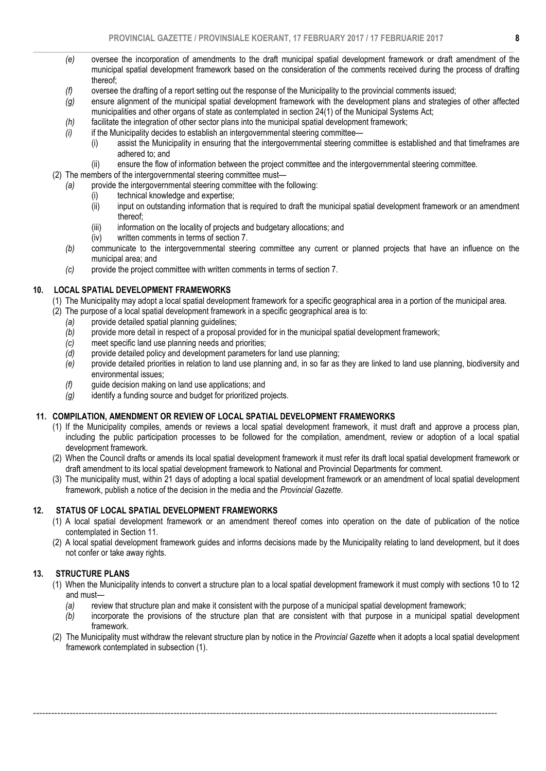- $\_$  , and the state of the state of the state of the state of the state of the state of the state of the state of the state of the state of the state of the state of the state of the state of the state of the state of the *(e)* oversee the incorporation of amendments to the draft municipal spatial development framework or draft amendment of the municipal spatial development framework based on the consideration of the comments received during the process of drafting thereof;
	- *(f)* oversee the drafting of a report setting out the response of the Municipality to the provincial comments issued;
	- *(g)* ensure alignment of the municipal spatial development framework with the development plans and strategies of other affected municipalities and other organs of state as contemplated in section 24(1) of the Municipal Systems Act;
	- *(h)* facilitate the integration of other sector plans into the municipal spatial development framework;
	- *(i)* if the Municipality decides to establish an intergovernmental steering committee—
		- (i) assist the Municipality in ensuring that the intergovernmental steering committee is established and that timeframes are adhered to; and
		- (ii) ensure the flow of information between the project committee and the intergovernmental steering committee.
	- (2) The members of the intergovernmental steering committee must—
	- *(a)* provide the intergovernmental steering committee with the following:
		- (i) technical knowledge and expertise;
		- (ii) input on outstanding information that is required to draft the municipal spatial development framework or an amendment thereof;
		- (iii) information on the locality of projects and budgetary allocations; and
		- (iv) written comments in terms of section 7.
		- *(b)* communicate to the intergovernmental steering committee any current or planned projects that have an influence on the municipal area; and
		- *(c)* provide the project committee with written comments in terms of section 7.

### 10. LOCAL SPATIAL DEVELOPMENT FRAMEWORKS

- (1) The Municipality may adopt a local spatial development framework for a specific geographical area in a portion of the municipal area.
- (2) The purpose of a local spatial development framework in a specific geographical area is to:
	- *(a)* provide detailed spatial planning guidelines;
	- *(b)* provide more detail in respect of a proposal provided for in the municipal spatial development framework;
	- *(c)* meet specific land use planning needs and priorities;
	- *(d)* provide detailed policy and development parameters for land use planning;
	- *(e)* provide detailed priorities in relation to land use planning and, in so far as they are linked to land use planning, biodiversity and environmental issues;
	- *(f)* guide decision making on land use applications; and
	- *(g)* identify a funding source and budget for prioritized projects.

### 11. COMPILATION, AMENDMENT OR REVIEW OF LOCAL SPATIAL DEVELOPMENT FRAMEWORKS

- (1) If the Municipality compiles, amends or reviews a local spatial development framework, it must draft and approve a process plan, including the public participation processes to be followed for the compilation, amendment, review or adoption of a local spatial development framework.
- (2) When the Council drafts or amends its local spatial development framework it must refer its draft local spatial development framework or draft amendment to its local spatial development framework to National and Provincial Departments for comment.
- (3) The municipality must, within 21 days of adopting a local spatial development framework or an amendment of local spatial development framework, publish a notice of the decision in the media and the *Provincial Gazette*.

### 12. STATUS OF LOCAL SPATIAL DEVELOPMENT FRAMEWORKS

- (1) A local spatial development framework or an amendment thereof comes into operation on the date of publication of the notice contemplated in Section 11.
- (2) A local spatial development framework guides and informs decisions made by the Municipality relating to land development, but it does not confer or take away rights.

### 13. STRUCTURE PLANS

- (1) When the Municipality intends to convert a structure plan to a local spatial development framework it must comply with sections 10 to 12 and must—
	- *(a)* review that structure plan and make it consistent with the purpose of a municipal spatial development framework;

- *(b)* incorporate the provisions of the structure plan that are consistent with that purpose in a municipal spatial development framework.
- (2) The Municipality must withdraw the relevant structure plan by notice in the *Provincial Gazette* when it adopts a local spatial development framework contemplated in subsection (1).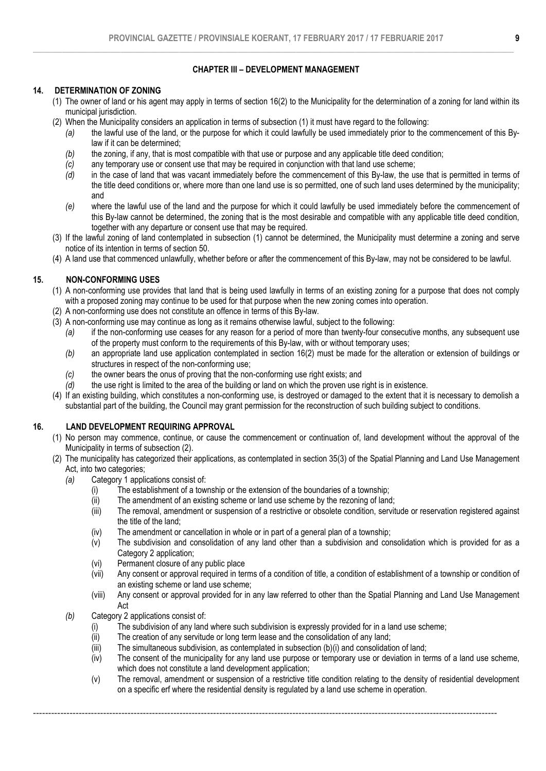## CHAPTER III – DEVELOPMENT MANAGEMENT

## 14. DETERMINATION OF ZONING

- (1) The owner of land or his agent may apply in terms of section 16(2) to the Municipality for the determination of a zoning for land within its municipal jurisdiction.
- (2) When the Municipality considers an application in terms of subsection (1) it must have regard to the following:
	- *(a)* the lawful use of the land, or the purpose for which it could lawfully be used immediately prior to the commencement of this Bylaw if it can be determined;
	- *(b)* the zoning, if any, that is most compatible with that use or purpose and any applicable title deed condition;
	- *(c)* any temporary use or consent use that may be required in conjunction with that land use scheme;<br>(d) in the case of land that was vacant immediately before the commencement of this By-law, the u
	- in the case of land that was vacant immediately before the commencement of this By-law, the use that is permitted in terms of the title deed conditions or, where more than one land use is so permitted, one of such land uses determined by the municipality; and
	- *(e)* where the lawful use of the land and the purpose for which it could lawfully be used immediately before the commencement of this By-law cannot be determined, the zoning that is the most desirable and compatible with any applicable title deed condition, together with any departure or consent use that may be required.
- (3) If the lawful zoning of land contemplated in subsection (1) cannot be determined, the Municipality must determine a zoning and serve notice of its intention in terms of section 50.
- (4) A land use that commenced unlawfully, whether before or after the commencement of this By-law, may not be considered to be lawful.

# 15. NON-CONFORMING USES

- (1) A non-conforming use provides that land that is being used lawfully in terms of an existing zoning for a purpose that does not comply with a proposed zoning may continue to be used for that purpose when the new zoning comes into operation.
- (2) A non-conforming use does not constitute an offence in terms of this By-law.
- (3) A non-conforming use may continue as long as it remains otherwise lawful, subject to the following:
	- *(a)* if the non-conforming use ceases for any reason for a period of more than twenty-four consecutive months, any subsequent use of the property must conform to the requirements of this By-law, with or without temporary uses;
	- *(b)* an appropriate land use application contemplated in section 16(2) must be made for the alteration or extension of buildings or structures in respect of the non-conforming use;
	- *(c)* the owner bears the onus of proving that the non-conforming use right exists; and *(d)* the use right is limited to the area of the building or land on which the proven use
	- *(d)* the use right is limited to the area of the building or land on which the proven use right is in existence.
- (4) If an existing building, which constitutes a non-conforming use, is destroyed or damaged to the extent that it is necessary to demolish a substantial part of the building, the Council may grant permission for the reconstruction of such building subject to conditions.

### 16. LAND DEVELOPMENT REQUIRING APPROVAL

- (1) No person may commence, continue, or cause the commencement or continuation of, land development without the approval of the Municipality in terms of subsection (2).
- (2) The municipality has categorized their applications, as contemplated in section 35(3) of the Spatial Planning and Land Use Management Act, into two categories;
	- *(a)* Category 1 applications consist of:
		- (i) The establishment of a township or the extension of the boundaries of a township;
		- (ii) The amendment of an existing scheme or land use scheme by the rezoning of land;
		- (iii) The removal, amendment or suspension of a restrictive or obsolete condition, servitude or reservation registered against the title of the land;
		- (iv) The amendment or cancellation in whole or in part of a general plan of a township;
		- (v) The subdivision and consolidation of any land other than a subdivision and consolidation which is provided for as a Category 2 application;
		- (vi) Permanent closure of any public place
		- (vii) Any consent or approval required in terms of a condition of title, a condition of establishment of a township or condition of an existing scheme or land use scheme;
		- (viii) Any consent or approval provided for in any law referred to other than the Spatial Planning and Land Use Management Act
	- *(b)* Category 2 applications consist of:
		- (i) The subdivision of any land where such subdivision is expressly provided for in a land use scheme;
		- (ii) The creation of any servitude or long term lease and the consolidation of any land;
		- (iii) The simultaneous subdivision, as contemplated in subsection (b)(i) and consolidation of land;

- (iv) The consent of the municipality for any land use purpose or temporary use or deviation in terms of a land use scheme, which does not constitute a land development application;
- (v) The removal, amendment or suspension of a restrictive title condition relating to the density of residential development on a specific erf where the residential density is regulated by a land use scheme in operation.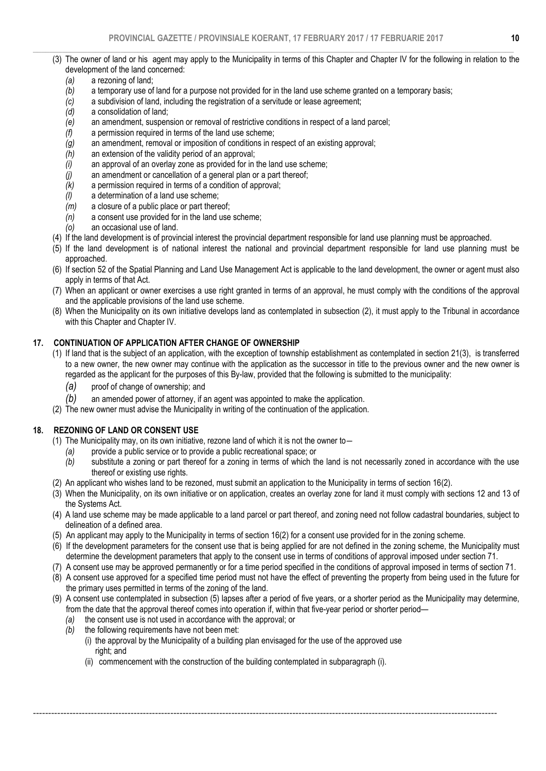- $\_$  , and the state of the state of the state of the state of the state of the state of the state of the state of the state of the state of the state of the state of the state of the state of the state of the state of the (3) The owner of land or his agent may apply to the Municipality in terms of this Chapter and Chapter IV for the following in relation to the development of the land concerned:
	- *(a)* a rezoning of land;
	- *(b)* a temporary use of land for a purpose not provided for in the land use scheme granted on a temporary basis;
	- *(c)* a subdivision of land, including the registration of a servitude or lease agreement;
	- a consolidation of land;
	- *(e)* an amendment, suspension or removal of restrictive conditions in respect of a land parcel;
	- *(f)* a permission required in terms of the land use scheme;
	- *(g)* an amendment, removal or imposition of conditions in respect of an existing approval;
	- *(h)* an extension of the validity period of an approval;
	- *(i)* an approval of an overlay zone as provided for in the land use scheme;
	- *(j)* an amendment or cancellation of a general plan or a part thereof;
	- *(k)* a permission required in terms of a condition of approval;
	- *(I)* a determination of a land use scheme;<br>*(m)* a closure of a public place or part there
	-
	- *(m)* a closure of a public place or part thereof; *(n)* a consent use provided for in the land use scheme;
	- *(o)* an occasional use of land.
	- (4) If the land development is of provincial interest the provincial department responsible for land use planning must be approached.
	- (5) If the land development is of national interest the national and provincial department responsible for land use planning must be approached.
	- (6) If section 52 of the Spatial Planning and Land Use Management Act is applicable to the land development, the owner or agent must also apply in terms of that Act.
	- (7) When an applicant or owner exercises a use right granted in terms of an approval, he must comply with the conditions of the approval and the applicable provisions of the land use scheme.
	- (8) When the Municipality on its own initiative develops land as contemplated in subsection (2), it must apply to the Tribunal in accordance with this Chapter and Chapter IV.

### 17. CONTINUATION OF APPLICATION AFTER CHANGE OF OWNERSHIP

- (1) If land that is the subject of an application, with the exception of township establishment as contemplated in section 21(3), is transferred to a new owner, the new owner may continue with the application as the successor in title to the previous owner and the new owner is regarded as the applicant for the purposes of this By-law, provided that the following is submitted to the municipality:
	- *(a)* proof of change of ownership; and
	- *(b)* an amended power of attorney, if an agent was appointed to make the application.
- (2) The new owner must advise the Municipality in writing of the continuation of the application.

### 18. REZONING OF LAND OR CONSENT USE

- (1) The Municipality may, on its own initiative, rezone land of which it is not the owner to―
	- *(a)* provide a public service or to provide a public recreational space; or
	- *(b)* substitute a zoning or part thereof for a zoning in terms of which the land is not necessarily zoned in accordance with the use thereof or existing use rights.
- (2) An applicant who wishes land to be rezoned, must submit an application to the Municipality in terms of section 16(2).
- (3) When the Municipality, on its own initiative or on application, creates an overlay zone for land it must comply with sections 12 and 13 of the Systems Act.
- (4) A land use scheme may be made applicable to a land parcel or part thereof, and zoning need not follow cadastral boundaries, subject to delineation of a defined area.
- (5) An applicant may apply to the Municipality in terms of section 16(2) for a consent use provided for in the zoning scheme.
- (6) If the development parameters for the consent use that is being applied for are not defined in the zoning scheme, the Municipality must determine the development parameters that apply to the consent use in terms of conditions of approval imposed under section 71.
- (7) A consent use may be approved permanently or for a time period specified in the conditions of approval imposed in terms of section 71.
- (8) A consent use approved for a specified time period must not have the effect of preventing the property from being used in the future for the primary uses permitted in terms of the zoning of the land.
- (9) A consent use contemplated in subsection (5) lapses after a period of five years, or a shorter period as the Municipality may determine, from the date that the approval thereof comes into operation if, within that five-year period or shorter period—
	- *(a)* the consent use is not used in accordance with the approval; or
	- *(b)* the following requirements have not been met:
		- (i) the approval by the Municipality of a building plan envisaged for the use of the approved use right; and

--------------------------------------------------------------------------------------------------------------------------------------------------------

(ii) commencement with the construction of the building contemplated in subparagraph (i).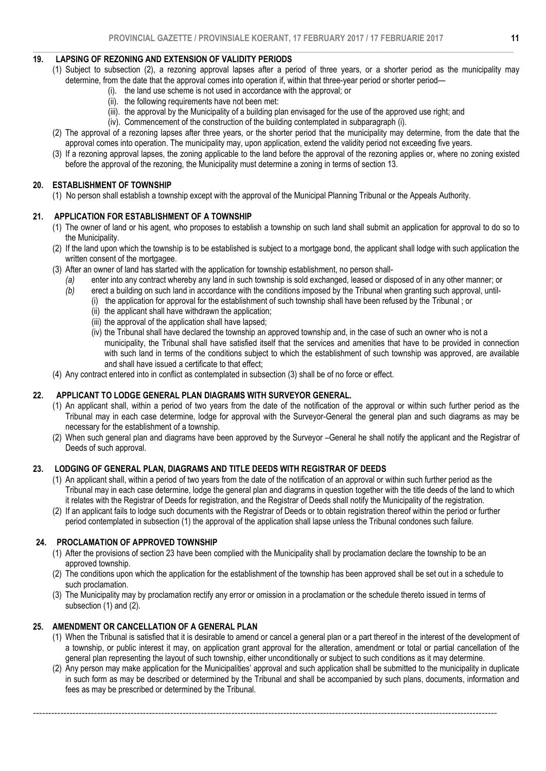#### $\_$  , and the state of the state of the state of the state of the state of the state of the state of the state of the state of the state of the state of the state of the state of the state of the state of the state of the 19. LAPSING OF REZONING AND EXTENSION OF VALIDITY PERIODS

- (1) Subject to subsection (2), a rezoning approval lapses after a period of three years, or a shorter period as the municipality may determine, from the date that the approval comes into operation if, within that three-year period or shorter period—
	- (i). the land use scheme is not used in accordance with the approval; or
		- (ii). the following requirements have not been met:
		- (iii). the approval by the Municipality of a building plan envisaged for the use of the approved use right; and
		- (iv). Commencement of the construction of the building contemplated in subparagraph (i).
- (2) The approval of a rezoning lapses after three years, or the shorter period that the municipality may determine, from the date that the approval comes into operation. The municipality may, upon application, extend the validity period not exceeding five years.
- (3) If a rezoning approval lapses, the zoning applicable to the land before the approval of the rezoning applies or, where no zoning existed before the approval of the rezoning, the Municipality must determine a zoning in terms of section 13.

### 20. ESTABLISHMENT OF TOWNSHIP

(1) No person shall establish a township except with the approval of the Municipal Planning Tribunal or the Appeals Authority.

### 21. APPLICATION FOR ESTABLISHMENT OF A TOWNSHIP

- (1) The owner of land or his agent, who proposes to establish a township on such land shall submit an application for approval to do so to the Municipality.
- (2) If the land upon which the township is to be established is subject to a mortgage bond, the applicant shall lodge with such application the written consent of the mortgagee.
- (3) After an owner of land has started with the application for township establishment, no person shall-
	- *(a)* enter into any contract whereby any land in such township is sold exchanged, leased or disposed of in any other manner; or
	- *(b)* erect a building on such land in accordance with the conditions imposed by the Tribunal when granting such approval, until-
		- (i) the application for approval for the establishment of such township shall have been refused by the Tribunal ; or
			- (ii) the applicant shall have withdrawn the application;
			- (iii) the approval of the application shall have lapsed:
			- (iv) the Tribunal shall have declared the township an approved township and, in the case of such an owner who is not a municipality, the Tribunal shall have satisfied itself that the services and amenities that have to be provided in connection with such land in terms of the conditions subject to which the establishment of such township was approved, are available and shall have issued a certificate to that effect;
- (4) Any contract entered into in conflict as contemplated in subsection (3) shall be of no force or effect.

### 22. APPLICANT TO LODGE GENERAL PLAN DIAGRAMS WITH SURVEYOR GENERAL.

- (1) An applicant shall, within a period of two years from the date of the notification of the approval or within such further period as the Tribunal may in each case determine, lodge for approval with the Surveyor-General the general plan and such diagrams as may be necessary for the establishment of a township.
- (2) When such general plan and diagrams have been approved by the Surveyor –General he shall notify the applicant and the Registrar of Deeds of such approval.

### 23. LODGING OF GENERAL PLAN, DIAGRAMS AND TITLE DEEDS WITH REGISTRAR OF DEEDS

- (1) An applicant shall, within a period of two years from the date of the notification of an approval or within such further period as the Tribunal may in each case determine, lodge the general plan and diagrams in question together with the title deeds of the land to which it relates with the Registrar of Deeds for registration, and the Registrar of Deeds shall notify the Municipality of the registration.
- (2) If an applicant fails to lodge such documents with the Registrar of Deeds or to obtain registration thereof within the period or further period contemplated in subsection (1) the approval of the application shall lapse unless the Tribunal condones such failure.

### 24. PROCLAMATION OF APPROVED TOWNSHIP

- (1) After the provisions of section 23 have been complied with the Municipality shall by proclamation declare the township to be an approved township.
- (2) The conditions upon which the application for the establishment of the township has been approved shall be set out in a schedule to such proclamation.
- (3) The Municipality may by proclamation rectify any error or omission in a proclamation or the schedule thereto issued in terms of subsection (1) and (2).

--------------------------------------------------------------------------------------------------------------------------------------------------------

# 25. AMENDMENT OR CANCELLATION OF A GENERAL PLAN

- (1) When the Tribunal is satisfied that it is desirable to amend or cancel a general plan or a part thereof in the interest of the development of a township, or public interest it may, on application grant approval for the alteration, amendment or total or partial cancellation of the general plan representing the layout of such township, either unconditionally or subject to such conditions as it may determine.
- (2) Any person may make application for the Municipalities' approval and such application shall be submitted to the municipality in duplicate in such form as may be described or determined by the Tribunal and shall be accompanied by such plans, documents, information and fees as may be prescribed or determined by the Tribunal.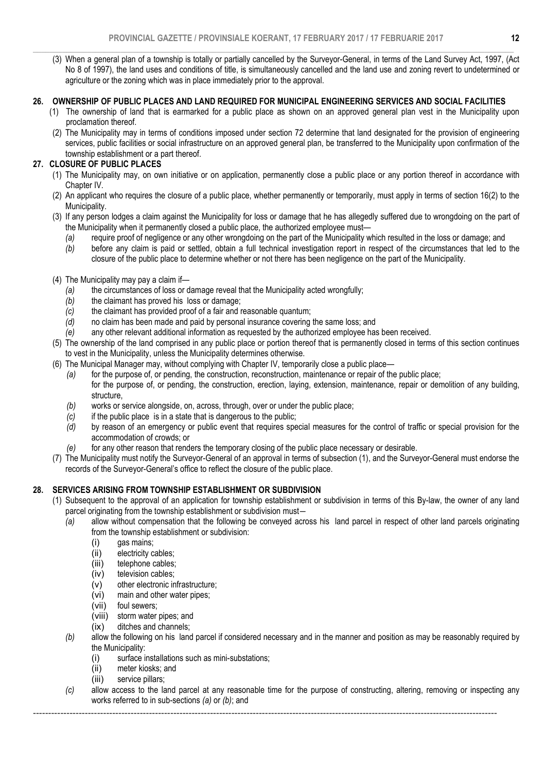$\_$  , and the set of the set of the set of the set of the set of the set of the set of the set of the set of the set of the set of the set of the set of the set of the set of the set of the set of the set of the set of th (3) When a general plan of a township is totally or partially cancelled by the Surveyor-General, in terms of the Land Survey Act, 1997, (Act No 8 of 1997), the land uses and conditions of title, is simultaneously cancelled and the land use and zoning revert to undetermined or agriculture or the zoning which was in place immediately prior to the approval.

### 26. OWNERSHIP OF PUBLIC PLACES AND LAND REQUIRED FOR MUNICIPAL ENGINEERING SERVICES AND SOCIAL FACILITIES

- (1) The ownership of land that is earmarked for a public place as shown on an approved general plan vest in the Municipality upon proclamation thereof.
- (2) The Municipality may in terms of conditions imposed under section 72 determine that land designated for the provision of engineering services, public facilities or social infrastructure on an approved general plan, be transferred to the Municipality upon confirmation of the township establishment or a part thereof.

# 27. CLOSURE OF PUBLIC PLACES

- (1) The Municipality may, on own initiative or on application, permanently close a public place or any portion thereof in accordance with Chapter IV.
- (2) An applicant who requires the closure of a public place, whether permanently or temporarily, must apply in terms of section 16(2) to the Municipality.
- (3) If any person lodges a claim against the Municipality for loss or damage that he has allegedly suffered due to wrongdoing on the part of the Municipality when it permanently closed a public place, the authorized employee must—
	- *(a)* require proof of negligence or any other wrongdoing on the part of the Municipality which resulted in the loss or damage; and
	- *(b)* before any claim is paid or settled, obtain a full technical investigation report in respect of the circumstances that led to the closure of the public place to determine whether or not there has been negligence on the part of the Municipality.
- (4) The Municipality may pay a claim if—
	- *(a)* the circumstances of loss or damage reveal that the Municipality acted wrongfully;
	- *(b)* the claimant has proved his loss or damage;
	- *(c)* the claimant has provided proof of a fair and reasonable quantum; *(d)* o claim has been made and paid by personal insurance covering
	- *(d)* no claim has been made and paid by personal insurance covering the same loss; and
	- *(e)* any other relevant additional information as requested by the authorized employee has been received.
- (5) The ownership of the land comprised in any public place or portion thereof that is permanently closed in terms of this section continues to vest in the Municipality, unless the Municipality determines otherwise.
- (6) The Municipal Manager may, without complying with Chapter IV, temporarily close a public place—
	- *(a)* for the purpose of, or pending, the construction, reconstruction, maintenance or repair of the public place; for the purpose of, or pending, the construction, erection, laying, extension, maintenance, repair or demolition of any building, structure,
	- *(b)* works or service alongside, on, across, through, over or under the public place;
	- *(c)* if the public place is in a state that is dangerous to the public;<br>*(d)* by reason of an emergency or public event that requires spe
	- *(d)* by reason of an emergency or public event that requires special measures for the control of traffic or special provision for the accommodation of crowds; or
	- *(e)* for any other reason that renders the temporary closing of the public place necessary or desirable.
- (7) The Municipality must notify the Surveyor-General of an approval in terms of subsection (1), and the Surveyor-General must endorse the records of the Surveyor-General's office to reflect the closure of the public place.

# 28. SERVICES ARISING FROM TOWNSHIP ESTABLISHMENT OR SUBDIVISION

- (1) Subsequent to the approval of an application for township establishment or subdivision in terms of this By-law, the owner of any land parcel originating from the township establishment or subdivision must―
	- *(a)* allow without compensation that the following be conveyed across his land parcel in respect of other land parcels originating from the township establishment or subdivision:
		- (i) gas mains;
		- (ii) electricity cables;
		- (iii) telephone cables;
		- (iv) television cables;
		- (v) other electronic infrastructure;<br>(vi) main and other water pipes;
		- (vi) main and other water pipes;<br>(vii) foul sewers;
		- foul sewers;
		- (viii) storm water pipes; and
		- (ix) ditches and channels;
	- *(b)* allow the following on his land parcel if considered necessary and in the manner and position as may be reasonably required by the Municipality:
		- (i) surface installations such as mini-substations;
		- (ii) meter kiosks; and
		- (iii) service pillars;
	- *(c)* allow access to the land parcel at any reasonable time for the purpose of constructing, altering, removing or inspecting any works referred to in sub-sections *(a)* or *(b)*; and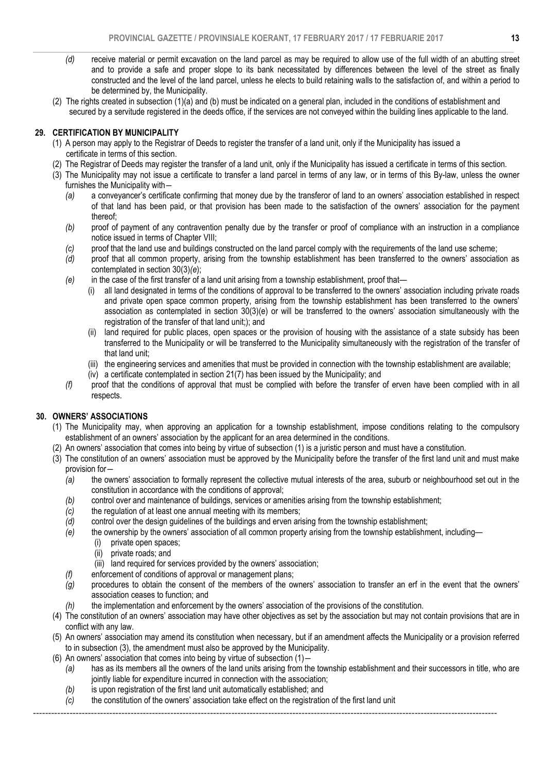- $\_$  , and the set of the set of the set of the set of the set of the set of the set of the set of the set of the set of the set of the set of the set of the set of the set of the set of the set of the set of the set of th *(d)* receive material or permit excavation on the land parcel as may be required to allow use of the full width of an abutting street and to provide a safe and proper slope to its bank necessitated by differences between the level of the street as finally constructed and the level of the land parcel, unless he elects to build retaining walls to the satisfaction of, and within a period to be determined by, the Municipality.
	- (2) The rights created in subsection (1)(a) and (b) must be indicated on a general plan, included in the conditions of establishment and secured by a servitude registered in the deeds office, if the services are not conveyed within the building lines applicable to the land.

# 29. CERTIFICATION BY MUNICIPALITY

- (1) A person may apply to the Registrar of Deeds to register the transfer of a land unit, only if the Municipality has issued a certificate in terms of this section.
- (2) The Registrar of Deeds may register the transfer of a land unit, only if the Municipality has issued a certificate in terms of this section.
- (3) The Municipality may not issue a certificate to transfer a land parcel in terms of any law, or in terms of this By-law, unless the owner furnishes the Municipality with―
	- *(a)* a conveyancer's certificate confirming that money due by the transferor of land to an owners' association established in respect of that land has been paid, or that provision has been made to the satisfaction of the owners' association for the payment thereof;
	- *(b)* proof of payment of any contravention penalty due by the transfer or proof of compliance with an instruction in a compliance notice issued in terms of Chapter VIII;
	- *(c)* proof that the land use and buildings constructed on the land parcel comply with the requirements of the land use scheme;
	- *(d)* proof that all common property, arising from the township establishment has been transferred to the owners' association as contemplated in section 30(3)*(e*);
	- *(e)* in the case of the first transfer of a land unit arising from a township establishment, proof that—
		- (i) all land designated in terms of the conditions of approval to be transferred to the owners' association including private roads and private open space common property, arising from the township establishment has been transferred to the owners' association as contemplated in section 30(3)(e) or will be transferred to the owners' association simultaneously with the registration of the transfer of that land unit;); and
		- (ii) land required for public places, open spaces or the provision of housing with the assistance of a state subsidy has been transferred to the Municipality or will be transferred to the Municipality simultaneously with the registration of the transfer of that land unit;
		- (iii) the engineering services and amenities that must be provided in connection with the township establishment are available;
		- (iv) a certificate contemplated in section 21(7) has been issued by the Municipality; and
	- *(f)* proof that the conditions of approval that must be complied with before the transfer of erven have been complied with in all respects.

### 30. OWNERS' ASSOCIATIONS

- (1) The Municipality may, when approving an application for a township establishment, impose conditions relating to the compulsory establishment of an owners' association by the applicant for an area determined in the conditions.
- (2) An owners' association that comes into being by virtue of subsection (1) is a juristic person and must have a constitution.
- (3) The constitution of an owners' association must be approved by the Municipality before the transfer of the first land unit and must make provision for―
	- *(a)* the owners' association to formally represent the collective mutual interests of the area, suburb or neighbourhood set out in the constitution in accordance with the conditions of approval;
	- *(b)* control over and maintenance of buildings, services or amenities arising from the township establishment;
	- *(c)* the regulation of at least one annual meeting with its members;
	- *(d)* control over the design guidelines of the buildings and erven arising from the township establishment;
	- *(e)* the ownership by the owners' association of all common property arising from the township establishment, including—
		- (i) private open spaces;
			- (ii) private roads; and
		- (iii) land required for services provided by the owners' association;
	- *(f)* enforcement of conditions of approval or management plans;
	- *(g)* procedures to obtain the consent of the members of the owners' association to transfer an erf in the event that the owners' association ceases to function; and
	- *(h)* the implementation and enforcement by the owners' association of the provisions of the constitution.
- (4) The constitution of an owners' association may have other objectives as set by the association but may not contain provisions that are in conflict with any law.
- (5) An owners' association may amend its constitution when necessary, but if an amendment affects the Municipality or a provision referred to in subsection (3), the amendment must also be approved by the Municipality.
- (6) An owners' association that comes into being by virtue of subsection (1)―
	- *(a)* has as its members all the owners of the land units arising from the township establishment and their successors in title, who are jointly liable for expenditure incurred in connection with the association;
	- *(b)* is upon registration of the first land unit automatically established; and
	- *(c)* the constitution of the owners' association take effect on the registration of the first land unit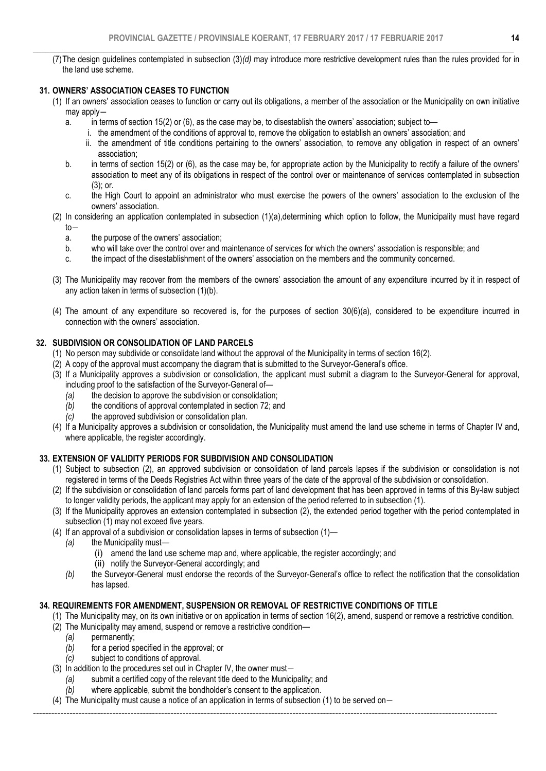$\_$  , and the set of the set of the set of the set of the set of the set of the set of the set of the set of the set of the set of the set of the set of the set of the set of the set of the set of the set of the set of th (7)The design guidelines contemplated in subsection (3)*(d)* may introduce more restrictive development rules than the rules provided for in the land use scheme.

## 31. OWNERS' ASSOCIATION CEASES TO FUNCTION

- (1) If an owners' association ceases to function or carry out its obligations, a member of the association or the Municipality on own initiative may apply―
	- a. in terms of section 15(2) or (6), as the case may be, to disestablish the owners' association; subject to
		- i. the amendment of the conditions of approval to, remove the obligation to establish an owners' association; and
		- ii. the amendment of title conditions pertaining to the owners' association, to remove any obligation in respect of an owners' association;
	- b. in terms of section 15(2) or (6), as the case may be, for appropriate action by the Municipality to rectify a failure of the owners' association to meet any of its obligations in respect of the control over or maintenance of services contemplated in subsection (3); or.
	- c. the High Court to appoint an administrator who must exercise the powers of the owners' association to the exclusion of the owners' association.
- (2) In considering an application contemplated in subsection (1)(a),determining which option to follow, the Municipality must have regard to―
	- a. the purpose of the owners' association;
	- b. who will take over the control over and maintenance of services for which the owners' association is responsible; and
	- c. the impact of the disestablishment of the owners' association on the members and the community concerned.
- (3) The Municipality may recover from the members of the owners' association the amount of any expenditure incurred by it in respect of any action taken in terms of subsection (1)(b).
- (4) The amount of any expenditure so recovered is, for the purposes of section 30(6)(a), considered to be expenditure incurred in connection with the owners' association.

### 32. SUBDIVISION OR CONSOLIDATION OF LAND PARCELS

- (1) No person may subdivide or consolidate land without the approval of the Municipality in terms of section 16(2).
- (2) A copy of the approval must accompany the diagram that is submitted to the Surveyor-General's office.
- (3) If a Municipality approves a subdivision or consolidation, the applicant must submit a diagram to the Surveyor-General for approval, including proof to the satisfaction of the Surveyor-General of—
	- *(a)* the decision to approve the subdivision or consolidation;
	- *(b)* the conditions of approval contemplated in section 72; and
	- *(c)* the approved subdivision or consolidation plan.
- (4) If a Municipality approves a subdivision or consolidation, the Municipality must amend the land use scheme in terms of Chapter IV and, where applicable, the register accordingly.

### 33. EXTENSION OF VALIDITY PERIODS FOR SUBDIVISION AND CONSOLIDATION

- (1) Subject to subsection (2), an approved subdivision or consolidation of land parcels lapses if the subdivision or consolidation is not registered in terms of the Deeds Registries Act within three years of the date of the approval of the subdivision or consolidation.
- (2) If the subdivision or consolidation of land parcels forms part of land development that has been approved in terms of this By-law subject to longer validity periods, the applicant may apply for an extension of the period referred to in subsection (1).
- (3) If the Municipality approves an extension contemplated in subsection (2), the extended period together with the period contemplated in subsection (1) may not exceed five years.
- (4) If an approval of a subdivision or consolidation lapses in terms of subsection (1)—
	- *(a)* the Municipality must—
		- (i) amend the land use scheme map and, where applicable, the register accordingly; and
		- (ii) notify the Surveyor-General accordingly; and
	- *(b)* the Surveyor-General must endorse the records of the Surveyor-General's office to reflect the notification that the consolidation has lapsed.

### 34. REQUIREMENTS FOR AMENDMENT, SUSPENSION OR REMOVAL OF RESTRICTIVE CONDITIONS OF TITLE

- (1) The Municipality may, on its own initiative or on application in terms of section 16(2), amend, suspend or remove a restrictive condition.
- (2) The Municipality may amend, suspend or remove a restrictive condition—
	- *(a)* permanently;
	- *(b)* for a period specified in the approval; or
	- *(c)* subject to conditions of approval.
- (3) In addition to the procedures set out in Chapter IV, the owner must―
	- *(a)* submit a certified copy of the relevant title deed to the Municipality; and
	- *(b)* where applicable, submit the bondholder's consent to the application.
- (4) The Municipality must cause a notice of an application in terms of subsection (1) to be served on―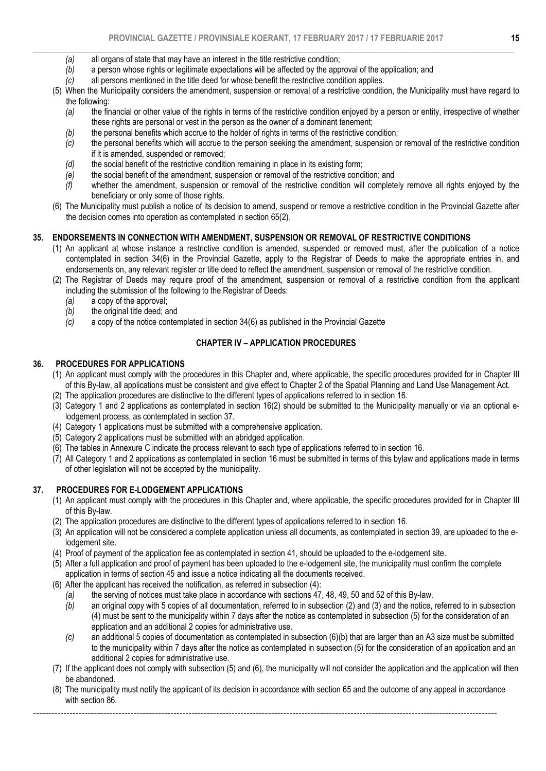- $\_$  , and the set of the set of the set of the set of the set of the set of the set of the set of the set of the set of the set of the set of the set of the set of the set of the set of the set of the set of the set of th *(a)* all organs of state that may have an interest in the title restrictive condition;
	- *(b)* a person whose rights or legitimate expectations will be affected by the approval of the application; and
	- *(c)* all persons mentioned in the title deed for whose benefit the restrictive condition applies.
	- (5) When the Municipality considers the amendment, suspension or removal of a restrictive condition, the Municipality must have regard to the following:
		- *(a)* the financial or other value of the rights in terms of the restrictive condition enjoyed by a person or entity, irrespective of whether these rights are personal or vest in the person as the owner of a dominant tenement;
		- *(b)* the personal benefits which accrue to the holder of rights in terms of the restrictive condition;
		- *(c)* the personal benefits which will accrue to the person seeking the amendment, suspension or removal of the restrictive condition if it is amended, suspended or removed;
		- *(d)* the social benefit of the restrictive condition remaining in place in its existing form;
		- *(e)* the social benefit of the amendment, suspension or removal of the restrictive condition; and
		- *(f)* whether the amendment, suspension or removal of the restrictive condition will completely remove all rights enjoyed by the beneficiary or only some of those rights.
	- (6) The Municipality must publish a notice of its decision to amend, suspend or remove a restrictive condition in the Provincial Gazette after the decision comes into operation as contemplated in section 65(2).

### 35. ENDORSEMENTS IN CONNECTION WITH AMENDMENT, SUSPENSION OR REMOVAL OF RESTRICTIVE CONDITIONS

- (1) An applicant at whose instance a restrictive condition is amended, suspended or removed must, after the publication of a notice contemplated in section 34(6) in the Provincial Gazette, apply to the Registrar of Deeds to make the appropriate entries in, and endorsements on, any relevant register or title deed to reflect the amendment, suspension or removal of the restrictive condition.
- (2) The Registrar of Deeds may require proof of the amendment, suspension or removal of a restrictive condition from the applicant including the submission of the following to the Registrar of Deeds:
	- *(a)* a copy of the approval;
	- *(b)* the original title deed; and *(c)* a copy of the notice conter
	- *(c)* a copy of the notice contemplated in section 34(6) as published in the Provincial Gazette

# CHAPTER IV – APPLICATION PROCEDURES

### 36. PROCEDURES FOR APPLICATIONS

- (1) An applicant must comply with the procedures in this Chapter and, where applicable, the specific procedures provided for in Chapter III of this By-law, all applications must be consistent and give effect to Chapter 2 of the Spatial Planning and Land Use Management Act.
- (2) The application procedures are distinctive to the different types of applications referred to in section 16.
- (3) Category 1 and 2 applications as contemplated in section 16(2) should be submitted to the Municipality manually or via an optional elodgement process, as contemplated in section 37.
- (4) Category 1 applications must be submitted with a comprehensive application.
- (5) Category 2 applications must be submitted with an abridged application.
- (6) The tables in Annexure C indicate the process relevant to each type of applications referred to in section 16.
- (7) All Category 1 and 2 applications as contemplated in section 16 must be submitted in terms of this bylaw and applications made in terms of other legislation will not be accepted by the municipality.

# 37. PROCEDURES FOR E-LODGEMENT APPLICATIONS

- (1) An applicant must comply with the procedures in this Chapter and, where applicable, the specific procedures provided for in Chapter III of this By-law.
- (2) The application procedures are distinctive to the different types of applications referred to in section 16.
- (3) An application will not be considered a complete application unless all documents, as contemplated in section 39, are uploaded to the elodgement site.
- (4) Proof of payment of the application fee as contemplated in section 41, should be uploaded to the e-lodgement site.
- (5) After a full application and proof of payment has been uploaded to the e-lodgement site, the municipality must confirm the complete application in terms of section 45 and issue a notice indicating all the documents received.
- (6) After the applicant has received the notification, as referred in subsection (4):
	- *(a)* the serving of notices must take place in accordance with sections 47, 48, 49, 50 and 52 of this By-law.
	- *(b)* an original copy with 5 copies of all documentation, referred to in subsection (2) and (3) and the notice, referred to in subsection (4) must be sent to the municipality within 7 days after the notice as contemplated in subsection (5) for the consideration of an application and an additional 2 copies for administrative use.
	- *(c)* an additional 5 copies of documentation as contemplated in subsection (6)(b) that are larger than an A3 size must be submitted to the municipality within 7 days after the notice as contemplated in subsection (5) for the consideration of an application and an additional 2 copies for administrative use.
- (7) If the applicant does not comply with subsection (5) and (6), the municipality will not consider the application and the application will then be abandoned.
- (8) The municipality must notify the applicant of its decision in accordance with section 65 and the outcome of any appeal in accordance with section 86.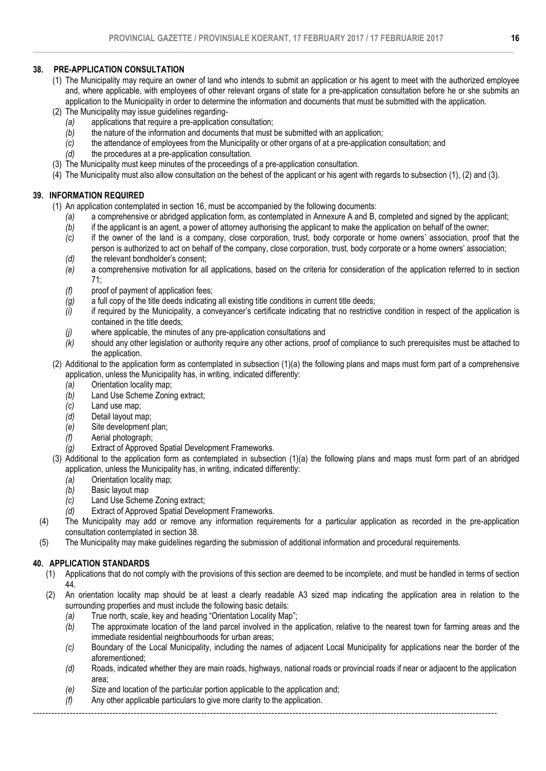### 38. PRE-APPLICATION CONSULTATION

- (1) The Municipality may require an owner of land who intends to submit an application or his agent to meet with the authorized employee and, where applicable, with employees of other relevant organs of state for a pre-application consultation before he or she submits an application to the Municipality in order to determine the information and documents that must be submitted with the application.
- (2) The Municipality may issue guidelines regarding-
	- *(a)* applications that require a pre-application consultation;
	- *(b)* the nature of the information and documents that must be submitted with an application;
	- *(c)* the attendance of employees from the Municipality or other organs of at a pre-application consultation; and
	- *(d)* the procedures at a pre-application consultation.
- (3) The Municipality must keep minutes of the proceedings of a pre-application consultation.
- (4) The Municipality must also allow consultation on the behest of the applicant or his agent with regards to subsection (1), (2) and (3).

# 39. INFORMATION REQUIRED

(1) An application contemplated in section 16, must be accompanied by the following documents:

- *(a)* a comprehensive or abridged application form, as contemplated in Annexure A and B, completed and signed by the applicant;
- *(b)* if the applicant is an agent, a power of attorney authorising the applicant to make the application on behalf of the owner;
- *(c)* if the owner of the land is a company, close corporation, trust, body corporate or home owners' association, proof that the person is authorized to act on behalf of the company, close corporation, trust, body corporate or a home owners' association;
- *(d)* the relevant bondholder's consent;
- *(e)* a comprehensive motivation for all applications, based on the criteria for consideration of the application referred to in section 71;
- *(f)* proof of payment of application fees;
- *(g)* a full copy of the title deeds indicating all existing title conditions in current title deeds;
- *(i)* if required by the Municipality, a conveyancer's certificate indicating that no restrictive condition in respect of the application is contained in the title deeds;
- *(j)* where applicable, the minutes of any pre-application consultations and
- *(k)* should any other legislation or authority require any other actions, proof of compliance to such prerequisites must be attached to the application.
- (2) Additional to the application form as contemplated in subsection (1)(a) the following plans and maps must form part of a comprehensive application, unless the Municipality has, in writing, indicated differently:
	- *(a)* Orientation locality map;
	- *(b)* Land Use Scheme Zoning extract;
	- *(c)* Land use map;
	- *(d)* Detail layout map;
	- *(e)* Site development plan;
	- *(f)* Aerial photograph;
	- *(g)* Extract of Approved Spatial Development Frameworks.
- (3) Additional to the application form as contemplated in subsection (1)(a) the following plans and maps must form part of an abridged application, unless the Municipality has, in writing, indicated differently:
	- *(a)* Orientation locality map;
	- *(b)* Basic layout map
	- *(c)* Land Use Scheme Zoning extract;
	- *(d)* Extract of Approved Spatial Development Frameworks.
- (4) The Municipality may add or remove any information requirements for a particular application as recorded in the pre-application consultation contemplated in section 38.
- (5) The Municipality may make guidelines regarding the submission of additional information and procedural requirements.

# 40. APPLICATION STANDARDS

- (1) Applications that do not comply with the provisions of this section are deemed to be incomplete, and must be handled in terms of section 44.
- (2) An orientation locality map should be at least a clearly readable A3 sized map indicating the application area in relation to the surrounding properties and must include the following basic details:
	- *(a)* True north, scale, key and heading "Orientation Locality Map";
	- *(b)* The approximate location of the land parcel involved in the application, relative to the nearest town for farming areas and the immediate residential neighbourhoods for urban areas:
	- *(c)* Boundary of the Local Municipality, including the names of adjacent Local Municipality for applications near the border of the aforementioned;
	- *(d)* Roads, indicated whether they are main roads, highways, national roads or provincial roads if near or adjacent to the application area;
	- *(e)* Size and location of the particular portion applicable to the application and;
	- *(f)* Any other applicable particulars to give more clarity to the application.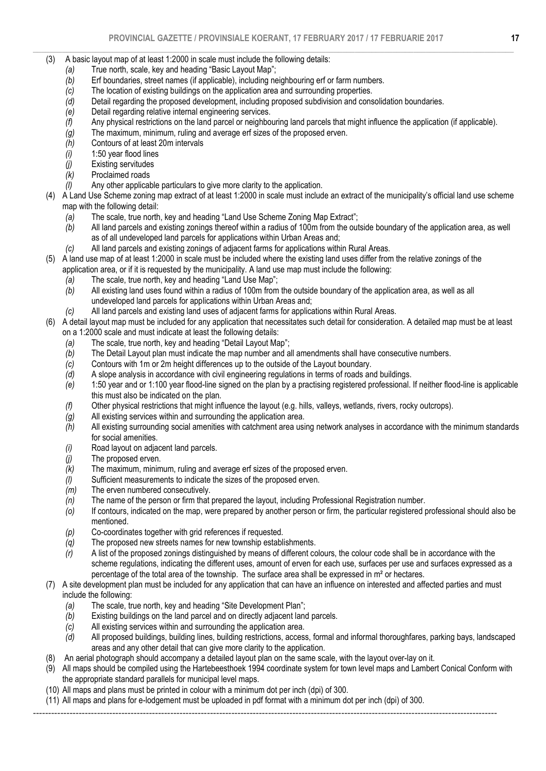- (3) A basic layout map of at least 1:2000 in scale must include the following details:
	- *(a)* True north, scale, key and heading "Basic Layout Map";
	- *(b)* Erf boundaries, street names (if applicable), including neighbouring erf or farm numbers.
	- *(c)* The location of existing buildings on the application area and surrounding properties.
	- *(d)* Detail regarding the proposed development, including proposed subdivision and consolidation boundaries.
	- *(e)* Detail regarding relative internal engineering services.
	- *(f)* Any physical restrictions on the land parcel or neighbouring land parcels that might influence the application (if applicable).
	- *(g)* The maximum, minimum, ruling and average erf sizes of the proposed erven.
	- *(h)* Contours of at least 20m intervals
	- *(i)* 1:50 year flood lines
	- *(j)* Existing servitudes
	- *(k)* Proclaimed roads
	- *(l)* Any other applicable particulars to give more clarity to the application.
- (4) A Land Use Scheme zoning map extract of at least 1:2000 in scale must include an extract of the municipality's official land use scheme map with the following detail:<br>(a) The scale, true north
	- *(a)* The scale, true north, key and heading "Land Use Scheme Zoning Map Extract";
	- *(b)* All land parcels and existing zonings thereof within a radius of 100m from the outside boundary of the application area, as well as of all undeveloped land parcels for applications within Urban Areas and;
	- *(c)* All land parcels and existing zonings of adjacent farms for applications within Rural Areas.
- (5) A land use map of at least 1:2000 in scale must be included where the existing land uses differ from the relative zonings of the
	- application area, or if it is requested by the municipality. A land use map must include the following:
	- *(a)* The scale, true north, key and heading "Land Use Map";
	- *(b)* All existing land uses found within a radius of 100m from the outside boundary of the application area, as well as all undeveloped land parcels for applications within Urban Areas and;
	- *(c)* All land parcels and existing land uses of adjacent farms for applications within Rural Areas.
- (6) A detail layout map must be included for any application that necessitates such detail for consideration. A detailed map must be at least on a 1:2000 scale and must indicate at least the following details:
	-
	- *(a)* The scale, true north, key and heading "Detail Layout Map"; *(b)* The Detail Layout plan must indicate the map number and all amendments shall have consecutive numbers.
	- *(c)* Contours with 1m or 2m height differences up to the outside of the Layout boundary.
	- *(d)* A slope analysis in accordance with civil engineering regulations in terms of roads and buildings.
	- *(e)* 1:50 year and or 1:100 year flood-line signed on the plan by a practising registered professional. If neither flood-line is applicable this must also be indicated on the plan.
	- *(f)* Other physical restrictions that might influence the layout (e.g. hills, valleys, wetlands, rivers, rocky outcrops).
	- *(g)* All existing services within and surrounding the application area.
	- *(h)* All existing surrounding social amenities with catchment area using network analyses in accordance with the minimum standards for social amenities.
	- *(i)* Road layout on adjacent land parcels.
	- The proposed erven.
	- *(k)* The maximum, minimum, ruling and average erf sizes of the proposed erven.
	- *(l)* Sufficient measurements to indicate the sizes of the proposed erven.
	- *(m)* The erven numbered consecutively.
	- *(n)* The name of the person or firm that prepared the layout, including Professional Registration number.
	- *(o)* If contours, indicated on the map, were prepared by another person or firm, the particular registered professional should also be mentioned.
	- *(p)* Co-coordinates together with grid references if requested.
	- *(q)* The proposed new streets names for new township establishments.
	- *(r)* A list of the proposed zonings distinguished by means of different colours, the colour code shall be in accordance with the scheme regulations, indicating the different uses, amount of erven for each use, surfaces per use and surfaces expressed as a percentage of the total area of the township. The surface area shall be expressed in m² or hectares.
- (7) A site development plan must be included for any application that can have an influence on interested and affected parties and must include the following:
	- *(a)* The scale, true north, key and heading "Site Development Plan";
	- *(b)* Existing buildings on the land parcel and on directly adjacent land parcels.
	- *(c)* All existing services within and surrounding the application area.
	- *(d)* All proposed buildings, building lines, building restrictions, access, formal and informal thoroughfares, parking bays, landscaped areas and any other detail that can give more clarity to the application.
- (8) An aerial photograph should accompany a detailed layout plan on the same scale, with the layout over-lay on it.
- (9) All maps should be compiled using the Hartebeesthoek 1994 coordinate system for town level maps and Lambert Conical Conform with the appropriate standard parallels for municipal level maps.
- (10) All maps and plans must be printed in colour with a minimum dot per inch (dpi) of 300.
- (11) All maps and plans for e-lodgement must be uploaded in pdf format with a minimum dot per inch (dpi) of 300.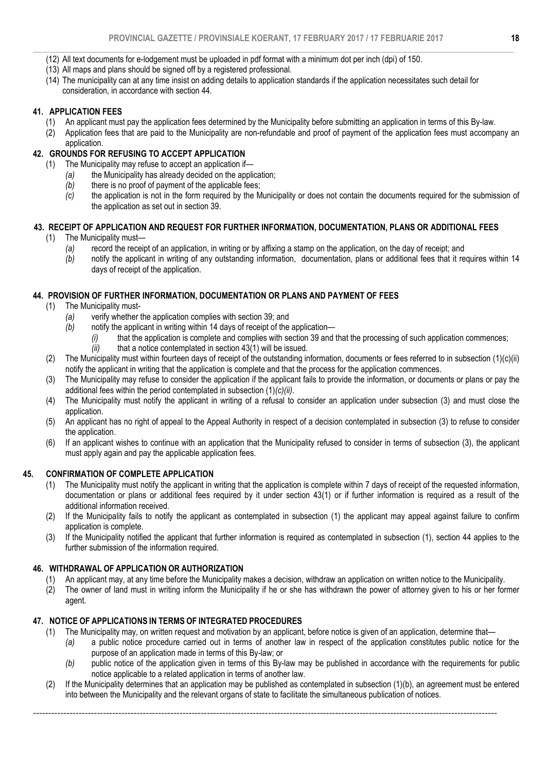- $\_$  , and the set of the set of the set of the set of the set of the set of the set of the set of the set of the set of the set of the set of the set of the set of the set of the set of the set of the set of the set of th (12) All text documents for e-lodgement must be uploaded in pdf format with a minimum dot per inch (dpi) of 150.
	- (13) All maps and plans should be signed off by a registered professional.
	- (14) The municipality can at any time insist on adding details to application standards if the application necessitates such detail for consideration, in accordance with section 44.

### 41. APPLICATION FEES

- (1) An applicant must pay the application fees determined by the Municipality before submitting an application in terms of this By-law.
- (2) Application fees that are paid to the Municipality are non-refundable and proof of payment of the application fees must accompany an application.

### 42. GROUNDS FOR REFUSING TO ACCEPT APPLICATION

- (1) The Municipality may refuse to accept an application if—
	- *(a)* the Municipality has already decided on the application;
	- *(b)* there is no proof of payment of the applicable fees;
	- *(c)* the application is not in the form required by the Municipality or does not contain the documents required for the submission of the application as set out in section 39.

### 43. RECEIPT OF APPLICATION AND REQUEST FOR FURTHER INFORMATION, DOCUMENTATION, PLANS OR ADDITIONAL FEES

- (1) The Municipality must—
	- *(a)* record the receipt of an application, in writing or by affixing a stamp on the application, on the day of receipt; and
	- *(b)* notify the applicant in writing of any outstanding information, documentation, plans or additional fees that it requires within 14 days of receipt of the application.

### 44. PROVISION OF FURTHER INFORMATION, DOCUMENTATION OR PLANS AND PAYMENT OF FEES

- (1) The Municipality must-
	- *(a)* verify whether the application complies with section 39; and
	- *(b)* notify the applicant in writing within 14 days of receipt of the application—
		- *(i)* that the application is complete and complies with section 39 and that the processing of such application commences;
		- *(ii)* that a notice contemplated in section 43(1) will be issued.
- (2) The Municipality must within fourteen days of receipt of the outstanding information, documents or fees referred to in subsection (1)(c)(ii) notify the applicant in writing that the application is complete and that the process for the application commences.
- (3) The Municipality may refuse to consider the application if the applicant fails to provide the information, or documents or plans or pay the additional fees within the period contemplated in subsection (1)*(c)(ii)*.
- (4) The Municipality must notify the applicant in writing of a refusal to consider an application under subsection (3) and must close the application.
- (5) An applicant has no right of appeal to the Appeal Authority in respect of a decision contemplated in subsection (3) to refuse to consider the application.
- (6) If an applicant wishes to continue with an application that the Municipality refused to consider in terms of subsection (3), the applicant must apply again and pay the applicable application fees.

### 45. CONFIRMATION OF COMPLETE APPLICATION

- (1) The Municipality must notify the applicant in writing that the application is complete within 7 days of receipt of the requested information, documentation or plans or additional fees required by it under section 43(1) or if further information is required as a result of the additional information received.
- (2) If the Municipality fails to notify the applicant as contemplated in subsection (1) the applicant may appeal against failure to confirm application is complete.
- (3) If the Municipality notified the applicant that further information is required as contemplated in subsection (1), section 44 applies to the further submission of the information required.

### 46. WITHDRAWAL OF APPLICATION OR AUTHORIZATION

- (1) An applicant may, at any time before the Municipality makes a decision, withdraw an application on written notice to the Municipality.<br>(2) The owner of land must in writing inform the Municipality if he or she has with
- The owner of land must in writing inform the Municipality if he or she has withdrawn the power of attorney given to his or her former agent.

### 47. NOTICE OF APPLICATIONS IN TERMS OF INTEGRATED PROCEDURES

- (1) The Municipality may, on written request and motivation by an applicant, before notice is given of an application, determine that—
	- *(a)* a public notice procedure carried out in terms of another law in respect of the application constitutes public notice for the purpose of an application made in terms of this By-law; or
	- *(b)* public notice of the application given in terms of this By-law may be published in accordance with the requirements for public notice applicable to a related application in terms of another law.
- (2) If the Municipality determines that an application may be published as contemplated in subsection (1)(b), an agreement must be entered into between the Municipality and the relevant organs of state to facilitate the simultaneous publication of notices.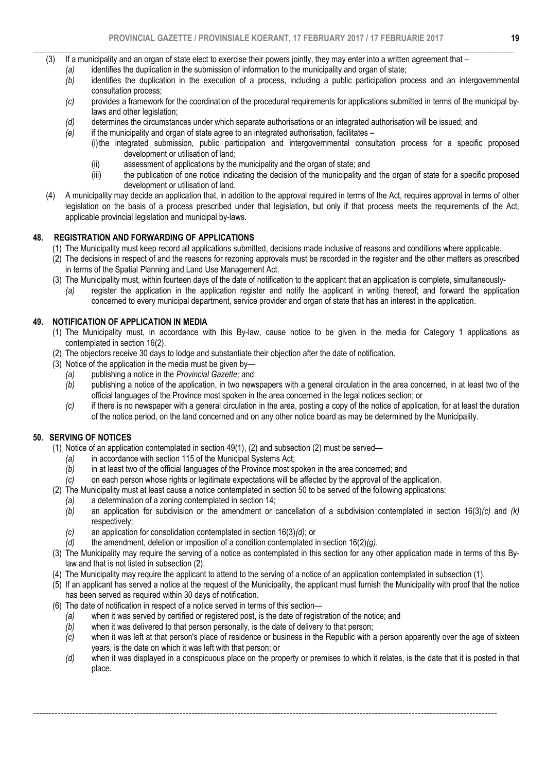- $\_$  , and the set of the set of the set of the set of the set of the set of the set of the set of the set of the set of the set of the set of the set of the set of the set of the set of the set of the set of the set of th (3) If a municipality and an organ of state elect to exercise their powers jointly, they may enter into a written agreement that –
	- *(a)* identifies the duplication in the submission of information to the municipality and organ of state;
	- *(b)* identifies the duplication in the execution of a process, including a public participation process and an intergovernmental consultation process;
	- *(c)* provides a framework for the coordination of the procedural requirements for applications submitted in terms of the municipal bylaws and other legislation;
	- *(d)* determines the circumstances under which separate authorisations or an integrated authorisation will be issued; and
	- *(e)* if the municipality and organ of state agree to an integrated authorisation, facilitates
		- (i)the integrated submission, public participation and intergovernmental consultation process for a specific proposed development or utilisation of land;
		- (ii) assessment of applications by the municipality and the organ of state; and
		- (iii) the publication of one notice indicating the decision of the municipality and the organ of state for a specific proposed development or utilisation of land.
	- (4) A municipality may decide an application that, in addition to the approval required in terms of the Act, requires approval in terms of other legislation on the basis of a process prescribed under that legislation, but only if that process meets the requirements of the Act, applicable provincial legislation and municipal by-laws.

### 48. REGISTRATION AND FORWARDING OF APPLICATIONS

- (1) The Municipality must keep record all applications submitted, decisions made inclusive of reasons and conditions where applicable.
- (2) The decisions in respect of and the reasons for rezoning approvals must be recorded in the register and the other matters as prescribed in terms of the Spatial Planning and Land Use Management Act.
- (3) The Municipality must, within fourteen days of the date of notification to the applicant that an application is complete, simultaneously-
	- *(a)* register the application in the application register and notify the applicant in writing thereof; and forward the application concerned to every municipal department, service provider and organ of state that has an interest in the application.

### 49. NOTIFICATION OF APPLICATION IN MEDIA

- (1) The Municipality must, in accordance with this By-law, cause notice to be given in the media for Category 1 applications as contemplated in section 16(2).
- (2) The objectors receive 30 days to lodge and substantiate their objection after the date of notification.
- (3) Notice of the application in the media must be given by—
	- *(a)* publishing a notice in the *Provincial Gazette;* and
	- *(b)* publishing a notice of the application, in two newspapers with a general circulation in the area concerned, in at least two of the official languages of the Province most spoken in the area concerned in the legal notices section; or
	- *(c)* if there is no newspaper with a general circulation in the area, posting a copy of the notice of application, for at least the duration of the notice period, on the land concerned and on any other notice board as may be determined by the Municipality.

### 50. SERVING OF NOTICES

- (1) Notice of an application contemplated in section 49(1), (2) and subsection (2) must be served—
	- *(a)* in accordance with section 115 of the Municipal Systems Act;
	- *(b)* in at least two of the official languages of the Province most spoken in the area concerned; and
	- *(c)* on each person whose rights or legitimate expectations will be affected by the approval of the application.
- (2) The Municipality must at least cause a notice contemplated in section 50 to be served of the following applications:
	- *(a)* a determination of a zoning contemplated in section 14;
	- *(b)* an application for subdivision or the amendment or cancellation of a subdivision contemplated in section 16(3)*(c)* and *(k)*  respectively;
	- *(c)* an application for consolidation contemplated in section 16(3)*(d)*; or
	- *(d)* the amendment, deletion or imposition of a condition contemplated in section 16(2)*(g)*.
- (3) The Municipality may require the serving of a notice as contemplated in this section for any other application made in terms of this Bylaw and that is not listed in subsection (2).
- (4) The Municipality may require the applicant to attend to the serving of a notice of an application contemplated in subsection (1).

- (5) If an applicant has served a notice at the request of the Municipality, the applicant must furnish the Municipality with proof that the notice has been served as required within 30 days of notification.
- (6) The date of notification in respect of a notice served in terms of this section—
	- *(a)* when it was served by certified or registered post, is the date of registration of the notice; and
	- *(b)* when it was delivered to that person personally, is the date of delivery to that person;
	- *(c)* when it was left at that person's place of residence or business in the Republic with a person apparently over the age of sixteen years, is the date on which it was left with that person; or
	- *(d)* when it was displayed in a conspicuous place on the property or premises to which it relates, is the date that it is posted in that place.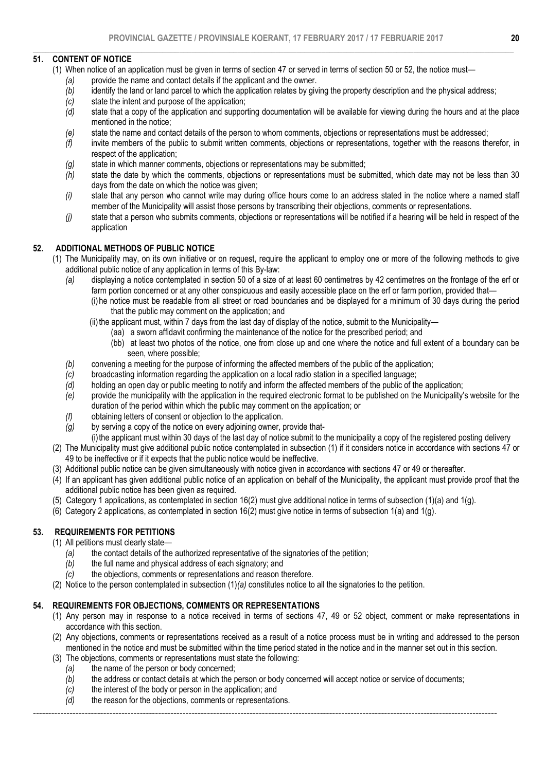### $\_$  , and the set of the set of the set of the set of the set of the set of the set of the set of the set of the set of the set of the set of the set of the set of the set of the set of the set of the set of the set of th 51. CONTENT OF NOTICE

- (1) When notice of an application must be given in terms of section 47 or served in terms of section 50 or 52, the notice must—
	- *(a)* provide the name and contact details if the applicant and the owner.
	- *(b)* identify the land or land parcel to which the application relates by giving the property description and the physical address;
	-
	- *(c)* state the intent and purpose of the application; state that a copy of the application and supporting documentation will be available for viewing during the hours and at the place mentioned in the notice;
	- *(e)* state the name and contact details of the person to whom comments, objections or representations must be addressed;
	- *(f)* invite members of the public to submit written comments, objections or representations, together with the reasons therefor, in respect of the application;
	- *(g)* state in which manner comments, objections or representations may be submitted;
	- *(h)* state the date by which the comments, objections or representations must be submitted, which date may not be less than 30 days from the date on which the notice was given;
	- *(i)* state that any person who cannot write may during office hours come to an address stated in the notice where a named staff member of the Municipality will assist those persons by transcribing their objections, comments or representations.
	- *(j)* state that a person who submits comments, objections or representations will be notified if a hearing will be held in respect of the application

# 52. ADDITIONAL METHODS OF PUBLIC NOTICE

- (1) The Municipality may, on its own initiative or on request, require the applicant to employ one or more of the following methods to give additional public notice of any application in terms of this By-law:
	- *(a)* displaying a notice contemplated in section 50 of a size of at least 60 centimetres by 42 centimetres on the frontage of the erf or farm portion concerned or at any other conspicuous and easily accessible place on the erf or farm portion, provided that—
		- (i) he notice must be readable from all street or road boundaries and be displayed for a minimum of 30 days during the period that the public may comment on the application; and
		- (ii) the applicant must, within 7 days from the last day of display of the notice, submit to the Municipality—
			- (aa) a sworn affidavit confirming the maintenance of the notice for the prescribed period; and
				- (bb) at least two photos of the notice, one from close up and one where the notice and full extent of a boundary can be seen, where possible;
	- *(b)* convening a meeting for the purpose of informing the affected members of the public of the application;
	- *(c)* broadcasting information regarding the application on a local radio station in a specified language;
	- holding an open day or public meeting to notify and inform the affected members of the public of the application;
	- *(e)* provide the municipality with the application in the required electronic format to be published on the Municipality's website for the duration of the period within which the public may comment on the application; or
	- *(f)* obtaining letters of consent or objection to the application.
	- *(g)* by serving a copy of the notice on every adjoining owner, provide that-
		- (i)the applicant must within 30 days of the last day of notice submit to the municipality a copy of the registered posting delivery
- (2) The Municipality must give additional public notice contemplated in subsection (1) if it considers notice in accordance with sections 47 or 49 to be ineffective or if it expects that the public notice would be ineffective.
- (3) Additional public notice can be given simultaneously with notice given in accordance with sections 47 or 49 or thereafter.
- (4) If an applicant has given additional public notice of an application on behalf of the Municipality, the applicant must provide proof that the additional public notice has been given as required.
- (5) Category 1 applications, as contemplated in section 16(2) must give additional notice in terms of subsection (1)(a) and 1(g).
- (6) Category 2 applications, as contemplated in section 16(2) must give notice in terms of subsection 1(a) and 1(g).

### 53. REQUIREMENTS FOR PETITIONS

(1) All petitions must clearly state—

- *(a)* the contact details of the authorized representative of the signatories of the petition;
- *(b)* the full name and physical address of each signatory; and
- *(c)* the objections, comments or representations and reason therefore.
- (2) Notice to the person contemplated in subsection (1)*(a)* constitutes notice to all the signatories to the petition.

# 54. REQUIREMENTS FOR OBJECTIONS, COMMENTS OR REPRESENTATIONS

- (1) Any person may in response to a notice received in terms of sections 47, 49 or 52 object, comment or make representations in accordance with this section.
- (2) Any objections, comments or representations received as a result of a notice process must be in writing and addressed to the person mentioned in the notice and must be submitted within the time period stated in the notice and in the manner set out in this section.
- (3) The objections, comments or representations must state the following:
	- *(a)* the name of the person or body concerned;
	- *(b)* the address or contact details at which the person or body concerned will accept notice or service of documents;
	- *(c)* the interest of the body or person in the application; and *(d)* the reason for the objections, comments or representation
	- *(d)* the reason for the objections, comments or representations.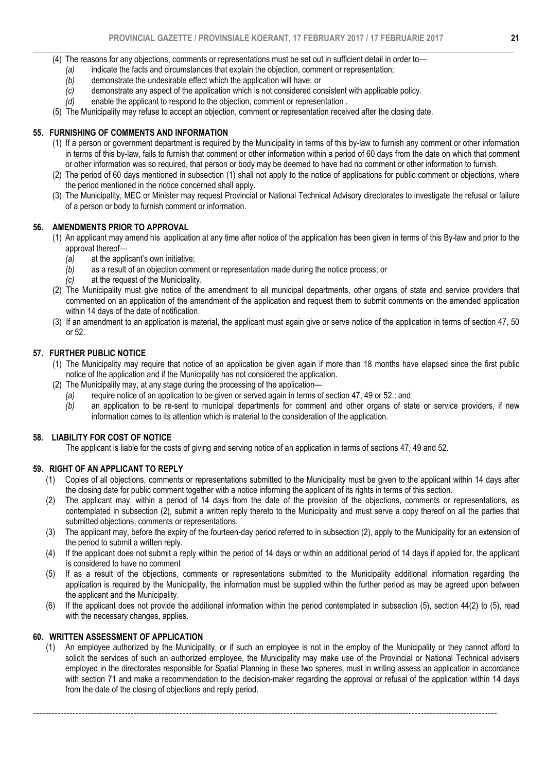- $\_$  , and the set of the set of the set of the set of the set of the set of the set of the set of the set of the set of the set of the set of the set of the set of the set of the set of the set of the set of the set of th (4) The reasons for any objections, comments or representations must be set out in sufficient detail in order to—
	- *(a)* indicate the facts and circumstances that explain the objection, comment or representation;
	- *(b)* demonstrate the undesirable effect which the application will have; or
	- *(c)* demonstrate any aspect of the application which is not considered consistent with applicable policy.
	- *(d)* enable the applicant to respond to the objection, comment or representation .
	- (5) The Municipality may refuse to accept an objection, comment or representation received after the closing date.

### 55. FURNISHING OF COMMENTS AND INFORMATION

- (1) If a person or government department is required by the Municipality in terms of this by-law to furnish any comment or other information in terms of this by-law, fails to furnish that comment or other information within a period of 60 days from the date on which that comment or other information was so required, that person or body may be deemed to have had no comment or other information to furnish.
- (2) The period of 60 days mentioned in subsection (1) shall not apply to the notice of applications for public comment or objections, where the period mentioned in the notice concerned shall apply.
- (3) The Municipality, MEC or Minister may request Provincial or National Technical Advisory directorates to investigate the refusal or failure of a person or body to furnish comment or information.

### 56. AMENDMENTS PRIOR TO APPROVAL

- (1) An applicant may amend his application at any time after notice of the application has been given in terms of this By-law and prior to the approval thereof—
	- *(a)* at the applicant's own initiative;
	- *(b)* as a result of an objection comment or representation made during the notice process; or
	- *(c)* at the request of the Municipality.
- (2) The Municipality must give notice of the amendment to all municipal departments, other organs of state and service providers that commented on an application of the amendment of the application and request them to submit comments on the amended application within 14 days of the date of notification.
- (3) If an amendment to an application is material, the applicant must again give or serve notice of the application in terms of section 47, 50 or 52.

### 57. FURTHER PUBLIC NOTICE

- (1) The Municipality may require that notice of an application be given again if more than 18 months have elapsed since the first public notice of the application and if the Municipality has not considered the application.
- (2) The Municipality may, at any stage during the processing of the application—
	- *(a)* require notice of an application to be given or served again in terms of section 47, 49 or 52.; and
	- *(b)* an application to be re-sent to municipal departments for comment and other organs of state or service providers, if new information comes to its attention which is material to the consideration of the application.

### 58. LIABILITY FOR COST OF NOTICE

The applicant is liable for the costs of giving and serving notice of an application in terms of sections 47, 49 and 52.

### 59. RIGHT OF AN APPLICANT TO REPLY

- (1) Copies of all objections, comments or representations submitted to the Municipality must be given to the applicant within 14 days after the closing date for public comment together with a notice informing the applicant of its rights in terms of this section.
- (2) The applicant may, within a period of 14 days from the date of the provision of the objections, comments or representations, as contemplated in subsection (2), submit a written reply thereto to the Municipality and must serve a copy thereof on all the parties that submitted objections, comments or representations.
- (3) The applicant may, before the expiry of the fourteen-day period referred to in subsection (2), apply to the Municipality for an extension of the period to submit a written reply.
- (4) If the applicant does not submit a reply within the period of 14 days or within an additional period of 14 days if applied for, the applicant is considered to have no comment
- (5) If as a result of the objections, comments or representations submitted to the Municipality additional information regarding the application is required by the Municipality, the information must be supplied within the further period as may be agreed upon between the applicant and the Municipality.
- (6) If the applicant does not provide the additional information within the period contemplated in subsection (5), section 44(2) to (5), read with the necessary changes, applies.

### 60. WRITTEN ASSESSMENT OF APPLICATION

(1) An employee authorized by the Municipality, or if such an employee is not in the employ of the Municipality or they cannot afford to solicit the services of such an authorized employee, the Municipality may make use of the Provincial or National Technical advisers employed in the directorates responsible for Spatial Planning in these two spheres, must in writing assess an application in accordance with section 71 and make a recommendation to the decision-maker regarding the approval or refusal of the application within 14 days from the date of the closing of objections and reply period.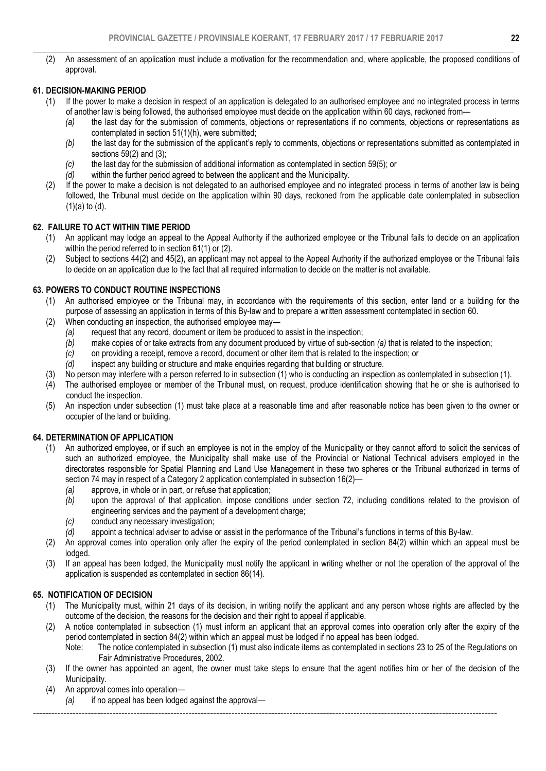$\_$  , and the set of the set of the set of the set of the set of the set of the set of the set of the set of the set of the set of the set of the set of the set of the set of the set of the set of the set of the set of th (2) An assessment of an application must include a motivation for the recommendation and, where applicable, the proposed conditions of approval.

# 61. DECISION-MAKING PERIOD

- (1) If the power to make a decision in respect of an application is delegated to an authorised employee and no integrated process in terms of another law is being followed, the authorised employee must decide on the application within 60 days, reckoned from—
	- *(a)* the last day for the submission of comments, objections or representations if no comments, objections or representations as contemplated in section 51(1)(h), were submitted;
	- *(b)* the last day for the submission of the applicant's reply to comments, objections or representations submitted as contemplated in sections 59(2) and (3);
	- *(c)* the last day for the submission of additional information as contemplated in section 59(5); or
	- *(d)* within the further period agreed to between the applicant and the Municipality.
- (2) If the power to make a decision is not delegated to an authorised employee and no integrated process in terms of another law is being followed, the Tribunal must decide on the application within 90 days, reckoned from the applicable date contemplated in subsection (1)(a) to (d).

### 62. FAILURE TO ACT WITHIN TIME PERIOD

- (1) An applicant may lodge an appeal to the Appeal Authority if the authorized employee or the Tribunal fails to decide on an application within the period referred to in section 61(1) or (2).
- (2) Subject to sections 44(2) and 45(2), an applicant may not appeal to the Appeal Authority if the authorized employee or the Tribunal fails to decide on an application due to the fact that all required information to decide on the matter is not available.

### 63. POWERS TO CONDUCT ROUTINE INSPECTIONS

- (1) An authorised employee or the Tribunal may, in accordance with the requirements of this section, enter land or a building for the purpose of assessing an application in terms of this By-law and to prepare a written assessment contemplated in section 60.
- (2) When conducting an inspection, the authorised employee may—
	- *(a)* request that any record, document or item be produced to assist in the inspection;
	- *(b)* make copies of or take extracts from any document produced by virtue of sub-section *(a)* that is related to the inspection;
	- *(c)* on providing a receipt, remove a record, document or other item that is related to the inspection; or
	- *(d)* inspect any building or structure and make enquiries regarding that building or structure.
- (3) No person may interfere with a person referred to in subsection (1) who is conducting an inspection as contemplated in subsection (1).
- (4) The authorised employee or member of the Tribunal must, on request, produce identification showing that he or she is authorised to conduct the inspection.
- (5) An inspection under subsection (1) must take place at a reasonable time and after reasonable notice has been given to the owner or occupier of the land or building.

### 64. DETERMINATION OF APPLICATION

- (1) An authorized employee, or if such an employee is not in the employ of the Municipality or they cannot afford to solicit the services of such an authorized employee, the Municipality shall make use of the Provincial or National Technical advisers employed in the directorates responsible for Spatial Planning and Land Use Management in these two spheres or the Tribunal authorized in terms of section 74 may in respect of a Category 2 application contemplated in subsection 16(2)-
	- *(a)* approve, in whole or in part, or refuse that application;
	- *(b)* upon the approval of that application, impose conditions under section 72, including conditions related to the provision of engineering services and the payment of a development charge;
	- *(c)* conduct any necessary investigation;<br>*(d)* appoint a technical adviser to advise
	- *(d)* appoint a technical adviser to advise or assist in the performance of the Tribunal's functions in terms of this By-law.
- (2) An approval comes into operation only after the expiry of the period contemplated in section 84(2) within which an appeal must be lodged.
- (3) If an appeal has been lodged, the Municipality must notify the applicant in writing whether or not the operation of the approval of the application is suspended as contemplated in section 86(14).

### 65. NOTIFICATION OF DECISION

- (1) The Municipality must, within 21 days of its decision, in writing notify the applicant and any person whose rights are affected by the outcome of the decision, the reasons for the decision and their right to appeal if applicable.
- (2) A notice contemplated in subsection (1) must inform an applicant that an approval comes into operation only after the expiry of the period contemplated in section 84(2) within which an appeal must be lodged if no appeal has been lodged.
	- Note: The notice contemplated in subsection (1) must also indicate items as contemplated in sections 23 to 25 of the Regulations on Fair Administrative Procedures, 2002.
- (3) If the owner has appointed an agent, the owner must take steps to ensure that the agent notifies him or her of the decision of the Municipality.
- (4) An approval comes into operation—

*(a)* if no appeal has been lodged against the approval—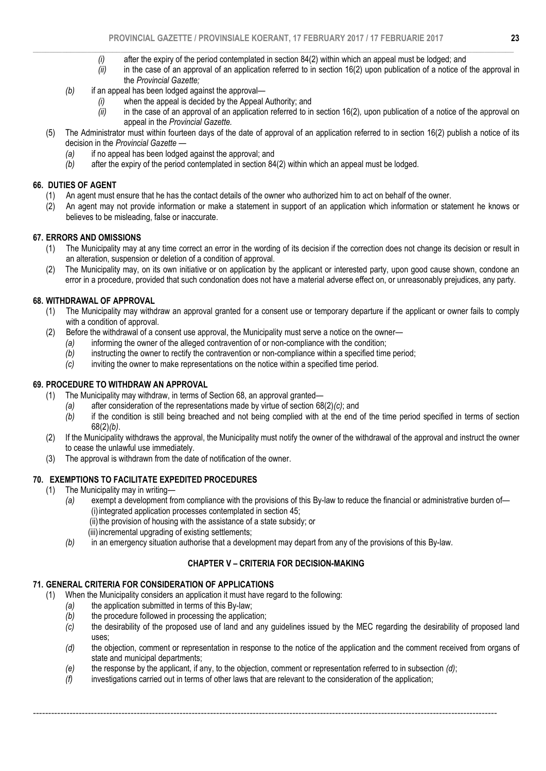- $\_$  , and the set of the set of the set of the set of the set of the set of the set of the set of the set of the set of the set of the set of the set of the set of the set of the set of the set of the set of the set of th *(i)* after the expiry of the period contemplated in section 84(2) within which an appeal must be lodged; and
	- *(ii)* in the case of an approval of an application referred to in section 16(2) upon publication of a notice of the approval in the *Provincial Gazette;*
	- *(b)* if an appeal has been lodged against the approval—
		- *(i)* when the appeal is decided by the Appeal Authority; and
		- *(ii)* in the case of an approval of an application referred to in section 16(2)*,* upon publication of a notice of the approval on appeal in the *Provincial Gazette.*
	- (5) The Administrator must within fourteen days of the date of approval of an application referred to in section 16(2) publish a notice of its decision in the *Provincial Gazette —* 
		- *(a)* if no appeal has been lodged against the approval; and
		- *(b)* after the expiry of the period contemplated in section 84(2) within which an appeal must be lodged.

### 66. DUTIES OF AGENT

- (1) An agent must ensure that he has the contact details of the owner who authorized him to act on behalf of the owner.
- (2) An agent may not provide information or make a statement in support of an application which information or statement he knows or believes to be misleading, false or inaccurate.

# 67. ERRORS AND OMISSIONS<br>(1) The Municipality may a

- The Municipality may at any time correct an error in the wording of its decision if the correction does not change its decision or result in an alteration, suspension or deletion of a condition of approval.
- (2) The Municipality may, on its own initiative or on application by the applicant or interested party, upon good cause shown, condone an error in a procedure, provided that such condonation does not have a material adverse effect on, or unreasonably prejudices, any party.

### 68. WITHDRAWAL OF APPROVAL

- (1) The Municipality may withdraw an approval granted for a consent use or temporary departure if the applicant or owner fails to comply with a condition of approval.
- (2) Before the withdrawal of a consent use approval, the Municipality must serve a notice on the owner—
	- *(a)* informing the owner of the alleged contravention of or non-compliance with the condition;<br>*(b)* instructing the owner to rectify the contravention or non-compliance within a specified time
	- instructing the owner to rectify the contravention or non-compliance within a specified time period;
	- *(c)* inviting the owner to make representations on the notice within a specified time period.

### 69. PROCEDURE TO WITHDRAW AN APPROVAL

- (1) The Municipality may withdraw, in terms of Section 68, an approval granted—
	- *(a)* after consideration of the representations made by virtue of section 68(2)*(c)*; and
	- *(b)* if the condition is still being breached and not being complied with at the end of the time period specified in terms of section 68(2)*(b)*.
- (2) If the Municipality withdraws the approval, the Municipality must notify the owner of the withdrawal of the approval and instruct the owner to cease the unlawful use immediately.
- (3) The approval is withdrawn from the date of notification of the owner.

### 70. EXEMPTIONS TO FACILITATE EXPEDITED PROCEDURES

- (1) The Municipality may in writing—
	- *(a)* exempt a development from compliance with the provisions of this By-law to reduce the financial or administrative burden of— (i) integrated application processes contemplated in section 45;
		- (ii) the provision of housing with the assistance of a state subsidy; or
		- (iii) incremental upgrading of existing settlements;
	- *(b)* in an emergency situation authorise that a development may depart from any of the provisions of this By-law.

### CHAPTER V – CRITERIA FOR DECISION-MAKING

### 71. GENERAL CRITERIA FOR CONSIDERATION OF APPLICATIONS

(1) When the Municipality considers an application it must have regard to the following:

- *(a)* the application submitted in terms of this By-law;
- *(b)* the procedure followed in processing the application;
- *(c)* the desirability of the proposed use of land and any guidelines issued by the MEC regarding the desirability of proposed land uses;
- *(d)* the objection, comment or representation in response to the notice of the application and the comment received from organs of state and municipal departments;
- *(e)* the response by the applicant, if any, to the objection, comment or representation referred to in subsection *(d)*;

--------------------------------------------------------------------------------------------------------------------------------------------------------

*(f)* investigations carried out in terms of other laws that are relevant to the consideration of the application;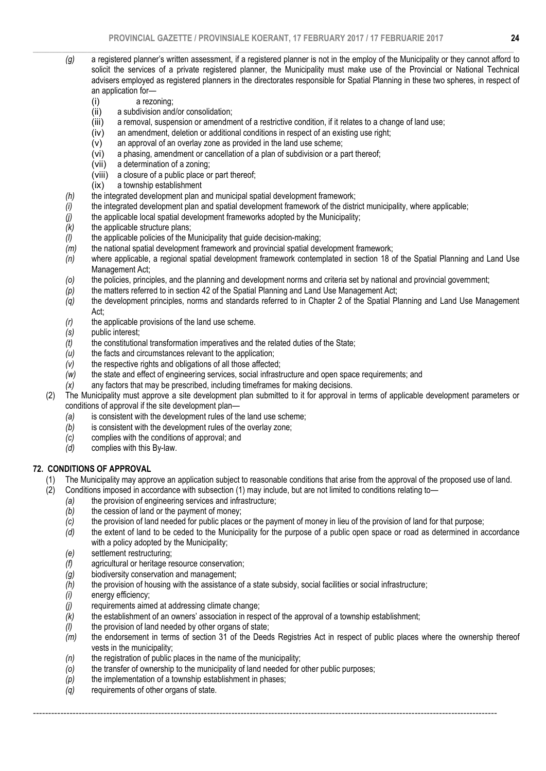- $\_$  , and the set of the set of the set of the set of the set of the set of the set of the set of the set of the set of the set of the set of the set of the set of the set of the set of the set of the set of the set of th *(g)* a registered planner's written assessment, if a registered planner is not in the employ of the Municipality or they cannot afford to solicit the services of a private registered planner, the Municipality must make use of the Provincial or National Technical advisers employed as registered planners in the directorates responsible for Spatial Planning in these two spheres, in respect of an application for—
	- (i) a rezoning;
	- (ii) a subdivision and/or consolidation;
	- (iii) a removal, suspension or amendment of a restrictive condition, if it relates to a change of land use;
	- (iv) an amendment, deletion or additional conditions in respect of an existing use right;
	- (v) an approval of an overlay zone as provided in the land use scheme;
	- (vi) a phasing, amendment or cancellation of a plan of subdivision or a part thereof;
	- a determination of a zoning;
	- (viii) a closure of a public place or part thereof;
	- (ix) a township establishment
	- *(h)* the integrated development plan and municipal spatial development framework;
	- *(i)* the integrated development plan and spatial development framework of the district municipality, where applicable;<br>*(i)* the applicable local spatial development frameworks adopted by the Municipality;
	- *(j)* the applicable local spatial development frameworks adopted by the Municipality;
	- *(k)* the applicable structure plans;
	- *(l)* the applicable policies of the Municipality that guide decision-making;
	- *(m)* the national spatial development framework and provincial spatial development framework;
	- *(n)* where applicable, a regional spatial development framework contemplated in section 18 of the Spatial Planning and Land Use Management Act;
	- *(o)* the policies, principles, and the planning and development norms and criteria set by national and provincial government;
	- *(p)* the matters referred to in section 42 of the Spatial Planning and Land Use Management Act;
	- *(q)* the development principles, norms and standards referred to in Chapter 2 of the Spatial Planning and Land Use Management Act;
	- *(r)* the applicable provisions of the land use scheme.
	- *(s)* public interest;
	- *(t)* the constitutional transformation imperatives and the related duties of the State;
	- *(u)* the facts and circumstances relevant to the application;
	- *(v)* the respective rights and obligations of all those affected;
	- *(w)* the state and effect of engineering services, social infrastructure and open space requirements; and
	- *(x)* any factors that may be prescribed, including timeframes for making decisions.
	- (2) The Municipality must approve a site development plan submitted to it for approval in terms of applicable development parameters or conditions of approval if the site development plan—
		- *(a)* is consistent with the development rules of the land use scheme;
		- *(b)* is consistent with the development rules of the overlay zone;
		- *(c)* complies with the conditions of approval; and
		- *(d)* complies with this By-law.

### 72. CONDITIONS OF APPROVAL

- (1) The Municipality may approve an application subject to reasonable conditions that arise from the approval of the proposed use of land.<br>(2) Conditions imposed in accordance with subsection (1) may include, but are not l
- (2) Conditions imposed in accordance with subsection (1) may include, but are not limited to conditions relating to—
	- *(a)* the provision of engineering services and infrastructure;
	- *(b)* the cession of land or the payment of money;
	- *(c)* the provision of land needed for public places or the payment of money in lieu of the provision of land for that purpose;
	- *(d)* the extent of land to be ceded to the Municipality for the purpose of a public open space or road as determined in accordance with a policy adopted by the Municipality;
	- *(e)* settlement restructuring;
	- *(f)* agricultural or heritage resource conservation;
	- *(g)* biodiversity conservation and management;
	- *(h)* the provision of housing with the assistance of a state subsidy, social facilities or social infrastructure;
	- *(i)* energy efficiency;
	- *(j)* requirements aimed at addressing climate change;
	- *(k)* the establishment of an owners' association in respect of the approval of a township establishment;
	- *(l)* the provision of land needed by other organs of state;
	- *(m)* the endorsement in terms of section 31 of the Deeds Registries Act in respect of public places where the ownership thereof vests in the municipality;

- *(n)* the registration of public places in the name of the municipality;
- *(o)* the transfer of ownership to the municipality of land needed for other public purposes;
- *(p)* the implementation of a township establishment in phases;
- *(q)* requirements of other organs of state.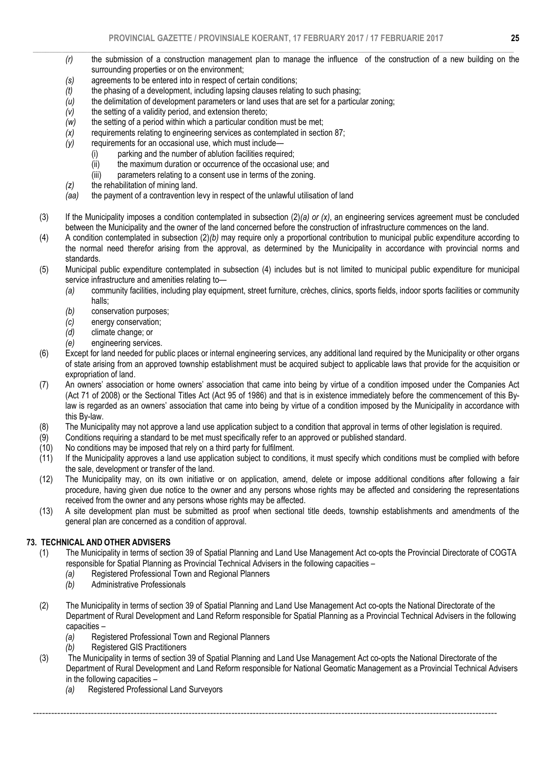- *(r)* the submission of a construction management plan to manage the influence of the construction of a new building on the surrounding properties or on the environment;
- *(s)* agreements to be entered into in respect of certain conditions;
- *(t)* the phasing of a development, including lapsing clauses relating to such phasing;
- *(u)* the delimitation of development parameters or land uses that are set for a particular zoning;
- *(v)* the setting of a validity period, and extension thereto;
- *(w)* the setting of a period within which a particular condition must be met;
- *(x)* requirements relating to engineering services as contemplated in section 87;
- *(y)* requirements for an occasional use, which must include—
	- (i) parking and the number of ablution facilities required;
	- (ii) the maximum duration or occurrence of the occasional use; and
	- (iii) parameters relating to a consent use in terms of the zoning.
- *(z)* the rehabilitation of mining land.
- the payment of a contravention levy in respect of the unlawful utilisation of land
- (3) If the Municipality imposes a condition contemplated in subsection (2)*(a) or (x)*, an engineering services agreement must be concluded between the Municipality and the owner of the land concerned before the construction of infrastructure commences on the land.
- (4) A condition contemplated in subsection (2)*(b)* may require only a proportional contribution to municipal public expenditure according to the normal need therefor arising from the approval, as determined by the Municipality in accordance with provincial norms and standards.
- (5) Municipal public expenditure contemplated in subsection (4) includes but is not limited to municipal public expenditure for municipal service infrastructure and amenities relating to—
	- *(a)* community facilities, including play equipment, street furniture, crèches, clinics, sports fields, indoor sports facilities or community halls;
	- *(b)* conservation purposes;
	- *(c)* energy conservation;
	- *(d)* climate change; or
	- *(e)* engineering services.
- (6) Except for land needed for public places or internal engineering services, any additional land required by the Municipality or other organs of state arising from an approved township establishment must be acquired subject to applicable laws that provide for the acquisition or expropriation of land.
- (7) An owners' association or home owners' association that came into being by virtue of a condition imposed under the Companies Act (Act 71 of 2008) or the Sectional Titles Act (Act 95 of 1986) and that is in existence immediately before the commencement of this Bylaw is regarded as an owners' association that came into being by virtue of a condition imposed by the Municipality in accordance with this By-law.
- (8) The Municipality may not approve a land use application subject to a condition that approval in terms of other legislation is required.
- (9) Conditions requiring a standard to be met must specifically refer to an approved or published standard.
- (10) No conditions may be imposed that rely on a third party for fulfilment.
- (11) If the Municipality approves a land use application subject to conditions, it must specify which conditions must be complied with before the sale, development or transfer of the land.
- (12) The Municipality may, on its own initiative or on application, amend, delete or impose additional conditions after following a fair procedure, having given due notice to the owner and any persons whose rights may be affected and considering the representations received from the owner and any persons whose rights may be affected.
- (13) A site development plan must be submitted as proof when sectional title deeds, township establishments and amendments of the general plan are concerned as a condition of approval.

### 73. TECHNICAL AND OTHER ADVISERS

- (1) The Municipality in terms of section 39 of Spatial Planning and Land Use Management Act co-opts the Provincial Directorate of COGTA responsible for Spatial Planning as Provincial Technical Advisers in the following capacities –
	- *(a)* Registered Professional Town and Regional Planners
	- *(b)* Administrative Professionals
- (2) The Municipality in terms of section 39 of Spatial Planning and Land Use Management Act co-opts the National Directorate of the Department of Rural Development and Land Reform responsible for Spatial Planning as a Provincial Technical Advisers in the following capacities –
	- *(a)* Registered Professional Town and Regional Planners
	- *(b)* Registered GIS Practitioners
- (3) The Municipality in terms of section 39 of Spatial Planning and Land Use Management Act co-opts the National Directorate of the Department of Rural Development and Land Reform responsible for National Geomatic Management as a Provincial Technical Advisers in the following capacities –

--------------------------------------------------------------------------------------------------------------------------------------------------------

*(a)* Registered Professional Land Surveyors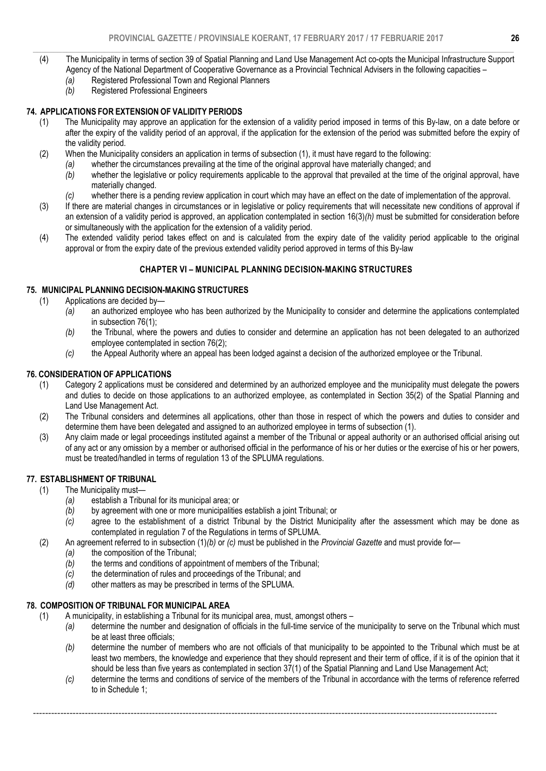- $\_$  , and the set of the set of the set of the set of the set of the set of the set of the set of the set of the set of the set of the set of the set of the set of the set of the set of the set of the set of the set of th (4) The Municipality in terms of section 39 of Spatial Planning and Land Use Management Act co-opts the Municipal Infrastructure Support Agency of the National Department of Cooperative Governance as a Provincial Technical Advisers in the following capacities –
	- *(a)* Registered Professional Town and Regional Planners
	- *(b)* Registered Professional Engineers

## 74. APPLICATIONS FOR EXTENSION OF VALIDITY PERIODS

- (1) The Municipality may approve an application for the extension of a validity period imposed in terms of this By-law, on a date before or after the expiry of the validity period of an approval, if the application for the extension of the period was submitted before the expiry of the validity period.
- (2) When the Municipality considers an application in terms of subsection (1), it must have regard to the following:
	- *(a)* whether the circumstances prevailing at the time of the original approval have materially changed; and
	- *(b)* whether the legislative or policy requirements applicable to the approval that prevailed at the time of the original approval, have materially changed.
	- *(c)* whether there is a pending review application in court which may have an effect on the date of implementation of the approval.
- (3) If there are material changes in circumstances or in legislative or policy requirements that will necessitate new conditions of approval if an extension of a validity period is approved, an application contemplated in section 16(3)*(h)* must be submitted for consideration before or simultaneously with the application for the extension of a validity period.
- (4) The extended validity period takes effect on and is calculated from the expiry date of the validity period applicable to the original approval or from the expiry date of the previous extended validity period approved in terms of this By-law

# CHAPTER VI – MUNICIPAL PLANNING DECISION-MAKING STRUCTURES

### 75. MUNICIPAL PLANNING DECISION-MAKING STRUCTURES

- (1) Applications are decided by—
	- *(a)* an authorized employee who has been authorized by the Municipality to consider and determine the applications contemplated in subsection 76(1);
	- *(b)* the Tribunal, where the powers and duties to consider and determine an application has not been delegated to an authorized employee contemplated in section 76(2);
	- *(c)* the Appeal Authority where an appeal has been lodged against a decision of the authorized employee or the Tribunal.

### 76. CONSIDERATION OF APPLICATIONS

- (1) Category 2 applications must be considered and determined by an authorized employee and the municipality must delegate the powers and duties to decide on those applications to an authorized employee, as contemplated in Section 35(2) of the Spatial Planning and Land Use Management Act.
- (2) The Tribunal considers and determines all applications, other than those in respect of which the powers and duties to consider and determine them have been delegated and assigned to an authorized employee in terms of subsection (1).
- (3) Any claim made or legal proceedings instituted against a member of the Tribunal or appeal authority or an authorised official arising out of any act or any omission by a member or authorised official in the performance of his or her duties or the exercise of his or her powers, must be treated/handled in terms of regulation 13 of the SPLUMA regulations.

### 77. ESTABLISHMENT OF TRIBUNAL

- (1) The Municipality must—
	- *(a)* establish a Tribunal for its municipal area; or
	- *(b)* by agreement with one or more municipalities establish a joint Tribunal; or
	- *(c)* agree to the establishment of a district Tribunal by the District Municipality after the assessment which may be done as contemplated in regulation 7 of the Regulations in terms of SPLUMA.
- (2) An agreement referred to in subsection (1)*(b)* or *(c)* must be published in the *Provincial Gazette* and must provide for—
	- *(a)* the composition of the Tribunal;
	- *(b)* the terms and conditions of appointment of members of the Tribunal;
	- *(c)* the determination of rules and proceedings of the Tribunal; and
	- *(d)* other matters as may be prescribed in terms of the SPLUMA.

# 78. COMPOSITION OF TRIBUNAL FOR MUNICIPAL AREA

- (1) A municipality, in establishing a Tribunal for its municipal area, must, amongst others
	- *(a)* determine the number and designation of officials in the full-time service of the municipality to serve on the Tribunal which must be at least three officials;
	- *(b)* determine the number of members who are not officials of that municipality to be appointed to the Tribunal which must be at least two members, the knowledge and experience that they should represent and their term of office, if it is of the opinion that it should be less than five years as contemplated in section 37(1) of the Spatial Planning and Land Use Management Act;
	- *(c)* determine the terms and conditions of service of the members of the Tribunal in accordance with the terms of reference referred to in Schedule 1;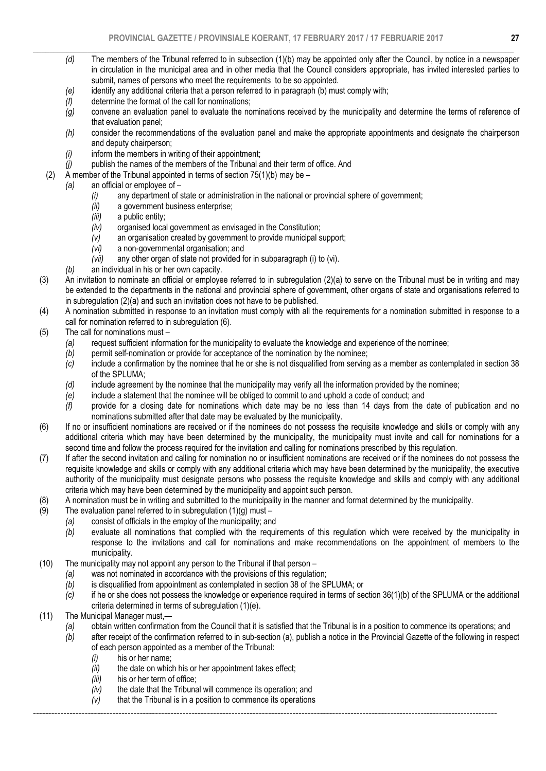- $\_$  , and the set of the set of the set of the set of the set of the set of the set of the set of the set of the set of the set of the set of the set of the set of the set of the set of the set of the set of the set of th *(d)* The members of the Tribunal referred to in subsection (1)(b) may be appointed only after the Council, by notice in a newspaper in circulation in the municipal area and in other media that the Council considers appropriate, has invited interested parties to submit, names of persons who meet the requirements to be so appointed.
	- *(e)* identify any additional criteria that a person referred to in paragraph (b) must comply with;
	- *(f)* determine the format of the call for nominations;
	- *(g)* convene an evaluation panel to evaluate the nominations received by the municipality and determine the terms of reference of that evaluation panel;
	- *(h)* consider the recommendations of the evaluation panel and make the appropriate appointments and designate the chairperson and deputy chairperson;
	- *(i)* inform the members in writing of their appointment;
	- *(j)* publish the names of the members of the Tribunal and their term of office. And
	- (2) A member of the Tribunal appointed in terms of section  $75(1)(b)$  may be –
	- *(a)* an official or employee of
		- *(i)* any department of state or administration in the national or provincial sphere of government;
		- *(ii)* a government business enterprise;
		- *(iii)* a public entity;
		- *(iv)* organised local government as envisaged in the Constitution;
		- *(v)* an organisation created by government to provide municipal support;
		- *(vi)* a non-governmental organisation; and
		- *(vii)* any other organ of state not provided for in subparagraph (i) to (vi).
		- *(b)* an individual in his or her own capacity.
- (3) An invitation to nominate an official or employee referred to in subregulation (2)(a) to serve on the Tribunal must be in writing and may be extended to the departments in the national and provincial sphere of government, other organs of state and organisations referred to in subregulation (2)(a) and such an invitation does not have to be published.
- (4) A nomination submitted in response to an invitation must comply with all the requirements for a nomination submitted in response to a call for nomination referred to in subregulation (6).
- (5) The call for nominations must
	- *(a)* request sufficient information for the municipality to evaluate the knowledge and experience of the nominee;
	- *(b)* permit self-nomination or provide for acceptance of the nomination by the nominee;<br>*(c)* include a confirmation by the nominee that he or she is not disqualified from serving
	- include a confirmation by the nominee that he or she is not disqualified from serving as a member as contemplated in section 38 of the SPLUMA;
	- *(d)* include agreement by the nominee that the municipality may verify all the information provided by the nominee;
	- *(e)* include a statement that the nominee will be obliged to commit to and uphold a code of conduct; and
	- *(f)* provide for a closing date for nominations which date may be no less than 14 days from the date of publication and no nominations submitted after that date may be evaluated by the municipality.
- (6) If no or insufficient nominations are received or if the nominees do not possess the requisite knowledge and skills or comply with any additional criteria which may have been determined by the municipality, the municipality must invite and call for nominations for a second time and follow the process required for the invitation and calling for nominations prescribed by this regulation.
- (7) If after the second invitation and calling for nomination no or insufficient nominations are received or if the nominees do not possess the requisite knowledge and skills or comply with any additional criteria which may have been determined by the municipality, the executive authority of the municipality must designate persons who possess the requisite knowledge and skills and comply with any additional criteria which may have been determined by the municipality and appoint such person.
- (8) A nomination must be in writing and submitted to the municipality in the manner and format determined by the municipality.
- (9) The evaluation panel referred to in subregulation  $(1)(g)$  must
	- *(a)* consist of officials in the employ of the municipality; and
	- *(b)* evaluate all nominations that complied with the requirements of this regulation which were received by the municipality in response to the invitations and call for nominations and make recommendations on the appointment of members to the municipality.
- (10) The municipality may not appoint any person to the Tribunal if that person
	- *(a)* was not nominated in accordance with the provisions of this regulation;
		- *(b)* is disqualified from appointment as contemplated in section 38 of the SPLUMA; or
		- *(c)* if he or she does not possess the knowledge or experience required in terms of section 36(1)(b) of the SPLUMA or the additional criteria determined in terms of subregulation (1)(e).
- (11) The Municipal Manager must,—
	- *(a)* obtain written confirmation from the Council that it is satisfied that the Tribunal is in a position to commence its operations; and
	- *(b)* after receipt of the confirmation referred to in sub-section (a), publish a notice in the Provincial Gazette of the following in respect of each person appointed as a member of the Tribunal:
		- *(i)* his or her name;
		- *(ii)* the date on which his or her appointment takes effect;
		- *(iii)* his or her term of office;
		- *(iv)* the date that the Tribunal will commence its operation; and
		- *(v)* that the Tribunal is in a position to commence its operations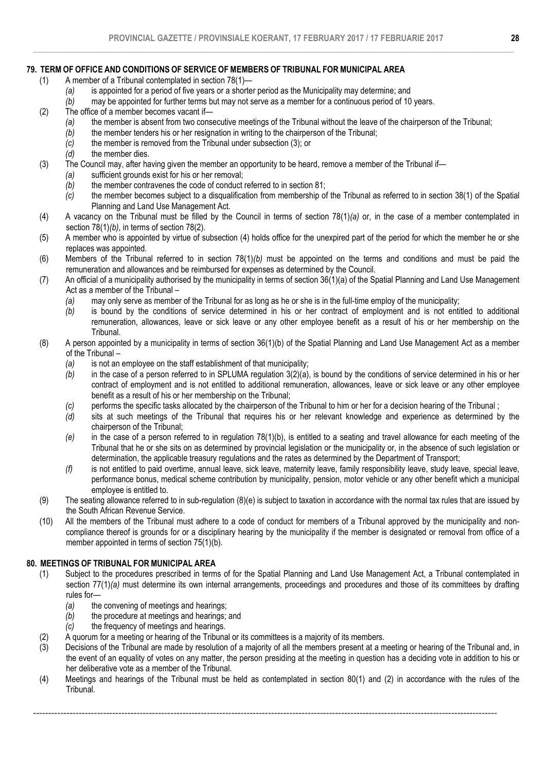# 79. TERM OF OFFICE AND CONDITIONS OF SERVICE OF MEMBERS OF TRIBUNAL FOR MUNICIPAL AREA

- (1) A member of a Tribunal contemplated in section 78(1)—
	- *(a)* is appointed for a period of five years or a shorter period as the Municipality may determine; and
		- may be appointed for further terms but may not serve as a member for a continuous period of 10 years.
- (2) The office of a member becomes vacant if—
	- *(a)* the member is absent from two consecutive meetings of the Tribunal without the leave of the chairperson of the Tribunal;
	- *(b)* the member tenders his or her resignation in writing to the chairperson of the Tribunal;
	- *(c)* the member is removed from the Tribunal under subsection (3); or
	- *(d)* the member dies.
- (3) The Council may, after having given the member an opportunity to be heard, remove a member of the Tribunal if—
	- *(a)* sufficient grounds exist for his or her removal;
	- *(b)* the member contravenes the code of conduct referred to in section 81;
	- *(c)* the member becomes subject to a disqualification from membership of the Tribunal as referred to in section 38(1) of the Spatial Planning and Land Use Management Act.
- (4) A vacancy on the Tribunal must be filled by the Council in terms of section 78(1)*(a)* or, in the case of a member contemplated in section 78(1)*(b)*, in terms of section 78(2).
- (5) A member who is appointed by virtue of subsection (4) holds office for the unexpired part of the period for which the member he or she replaces was appointed.
- (6) Members of the Tribunal referred to in section 78(1)*(b)* must be appointed on the terms and conditions and must be paid the remuneration and allowances and be reimbursed for expenses as determined by the Council.
- (7) An official of a municipality authorised by the municipality in terms of section 36(1)(a) of the Spatial Planning and Land Use Management Act as a member of the Tribunal –
	- *(a)* may only serve as member of the Tribunal for as long as he or she is in the full-time employ of the municipality;
	- *(b)* is bound by the conditions of service determined in his or her contract of employment and is not entitled to additional remuneration, allowances, leave or sick leave or any other employee benefit as a result of his or her membership on the Tribunal.
- (8) A person appointed by a municipality in terms of section 36(1)(b) of the Spatial Planning and Land Use Management Act as a member of the Tribunal –
	- *(a)* is not an employee on the staff establishment of that municipality;
	- *(b)* in the case of a person referred to in SPLUMA regulation 3(2)(a), is bound by the conditions of service determined in his or her contract of employment and is not entitled to additional remuneration, allowances, leave or sick leave or any other employee benefit as a result of his or her membership on the Tribunal;
	- *(c)* performs the specific tasks allocated by the chairperson of the Tribunal to him or her for a decision hearing of the Tribunal ;
	- *(d)* sits at such meetings of the Tribunal that requires his or her relevant knowledge and experience as determined by the chairperson of the Tribunal;
	- *(e)* in the case of a person referred to in regulation 78(1)(b), is entitled to a seating and travel allowance for each meeting of the Tribunal that he or she sits on as determined by provincial legislation or the municipality or, in the absence of such legislation or determination, the applicable treasury regulations and the rates as determined by the Department of Transport;
	- *(f)* is not entitled to paid overtime, annual leave, sick leave, maternity leave, family responsibility leave, study leave, special leave, performance bonus, medical scheme contribution by municipality, pension, motor vehicle or any other benefit which a municipal employee is entitled to.
- (9) The seating allowance referred to in sub-regulation (8)(e) is subject to taxation in accordance with the normal tax rules that are issued by the South African Revenue Service.
- (10) All the members of the Tribunal must adhere to a code of conduct for members of a Tribunal approved by the municipality and noncompliance thereof is grounds for or a disciplinary hearing by the municipality if the member is designated or removal from office of a member appointed in terms of section 75(1)(b).

### 80. MEETINGS OF TRIBUNAL FOR MUNICIPAL AREA

- (1) Subject to the procedures prescribed in terms of for the Spatial Planning and Land Use Management Act, a Tribunal contemplated in section 77(1)(a) must determine its own internal arrangements, proceedings and procedures and those of its committees by drafting rules for-<br>(a) the
	- the convening of meetings and hearings;
	- *(b)* the procedure at meetings and hearings; and
	- *(c)* the frequency of meetings and hearings.
- (2) A quorum for a meeting or hearing of the Tribunal or its committees is a majority of its members.
- (3) Decisions of the Tribunal are made by resolution of a majority of all the members present at a meeting or hearing of the Tribunal and, in the event of an equality of votes on any matter, the person presiding at the meeting in question has a deciding vote in addition to his or her deliberative vote as a member of the Tribunal.
- (4) Meetings and hearings of the Tribunal must be held as contemplated in section 80(1) and (2) in accordance with the rules of the Tribunal.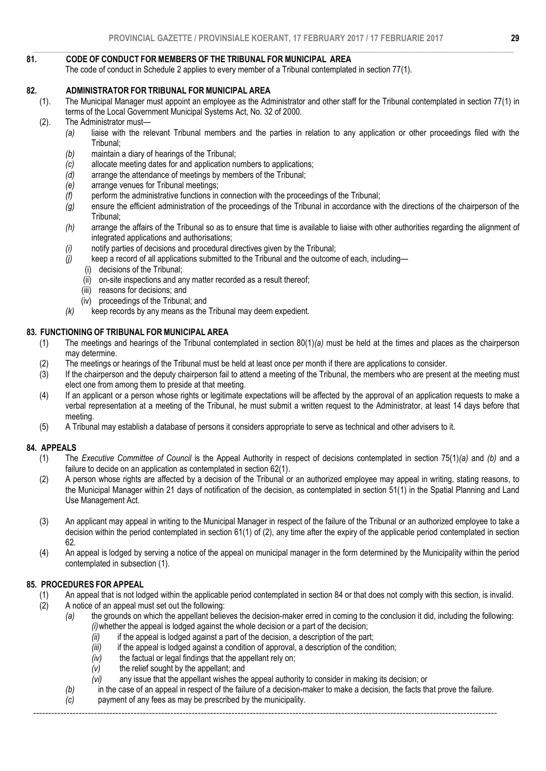#### $\_$  , and the state of the state of the state of the state of the state of the state of the state of the state of the state of the state of the state of the state of the state of the state of the state of the state of the 81. CODE OF CONDUCT FOR MEMBERS OF THE TRIBUNAL FOR MUNICIPAL AREA

The code of conduct in Schedule 2 applies to every member of a Tribunal contemplated in section 77(1).

### 82. ADMINISTRATOR FOR TRIBUNAL FOR MUNICIPAL AREA

- (1). The Municipal Manager must appoint an employee as the Administrator and other staff for the Tribunal contemplated in section 77(1) in terms of the Local Government Municipal Systems Act, No. 32 of 2000.
- (2). The Administrator must—
	- *(a)* liaise with the relevant Tribunal members and the parties in relation to any application or other proceedings filed with the Tribunal;
	- *(b)* maintain a diary of hearings of the Tribunal;
	- *(c)* allocate meeting dates for and application numbers to applications;
	- *(d)* arrange the attendance of meetings by members of the Tribunal;
	- *(e)* arrange venues for Tribunal meetings;
	- *(f)* perform the administrative functions in connection with the proceedings of the Tribunal;
	- *(g)* ensure the efficient administration of the proceedings of the Tribunal in accordance with the directions of the chairperson of the Tribunal;
	- *(h)* arrange the affairs of the Tribunal so as to ensure that time is available to liaise with other authorities regarding the alignment of integrated applications and authorisations;
	- *(i)* notify parties of decisions and procedural directives given by the Tribunal;
	- *(j)* keep a record of all applications submitted to the Tribunal and the outcome of each, including—
		- (i) decisions of the Tribunal;
		- (ii) on-site inspections and any matter recorded as a result thereof;
		- (iii) reasons for decisions; and
		- (iv) proceedings of the Tribunal; and
	- *(k)* keep records by any means as the Tribunal may deem expedient.

### 83. FUNCTIONING OF TRIBUNAL FOR MUNICIPAL AREA

- (1) The meetings and hearings of the Tribunal contemplated in section 80(1)*(a)* must be held at the times and places as the chairperson may determine.
- (2) The meetings or hearings of the Tribunal must be held at least once per month if there are applications to consider.
- (3) If the chairperson and the deputy chairperson fail to attend a meeting of the Tribunal, the members who are present at the meeting must elect one from among them to preside at that meeting.
- (4) If an applicant or a person whose rights or legitimate expectations will be affected by the approval of an application requests to make a verbal representation at a meeting of the Tribunal, he must submit a written request to the Administrator, at least 14 days before that meeting.
- (5) A Tribunal may establish a database of persons it considers appropriate to serve as technical and other advisers to it.

### 84. APPEALS

- (1) The *Executive Committee of Council* is the Appeal Authority in respect of decisions contemplated in section 75(1)*(a)* and *(b)* and a failure to decide on an application as contemplated in section 62(1).
- (2) A person whose rights are affected by a decision of the Tribunal or an authorized employee may appeal in writing, stating reasons, to the Municipal Manager within 21 days of notification of the decision, as contemplated in section 51(1) in the Spatial Planning and Land Use Management Act.
- (3) An applicant may appeal in writing to the Municipal Manager in respect of the failure of the Tribunal or an authorized employee to take a decision within the period contemplated in section 61(1) of (2), any time after the expiry of the applicable period contemplated in section 62.
- (4) An appeal is lodged by serving a notice of the appeal on municipal manager in the form determined by the Municipality within the period contemplated in subsection (1).

### 85. PROCEDURES FOR APPEAL

- (1) An appeal that is not lodged within the applicable period contemplated in section 84 or that does not comply with this section, is invalid.<br>(2) A notice of an appeal must set out the following:
	- A notice of an appeal must set out the following:
		- *(a)* the grounds on which the appellant believes the decision-maker erred in coming to the conclusion it did, including the following: *(i)*whether the appeal is lodged against the whole decision or a part of the decision;
			- *(ii)* if the appeal is lodged against a part of the decision, a description of the part;
			- *(iii)* if the appeal is lodged against a condition of approval, a description of the condition;
			- *(iv)* the factual or legal findings that the appellant rely on;
			- *(v)* the relief sought by the appellant; and
			- *(vi)* any issue that the appellant wishes the appeal authority to consider in making its decision; or
		- *(b)* in the case of an appeal in respect of the failure of a decision-maker to make a decision, the facts that prove the failure.
		- *(c)* payment of any fees as may be prescribed by the municipality.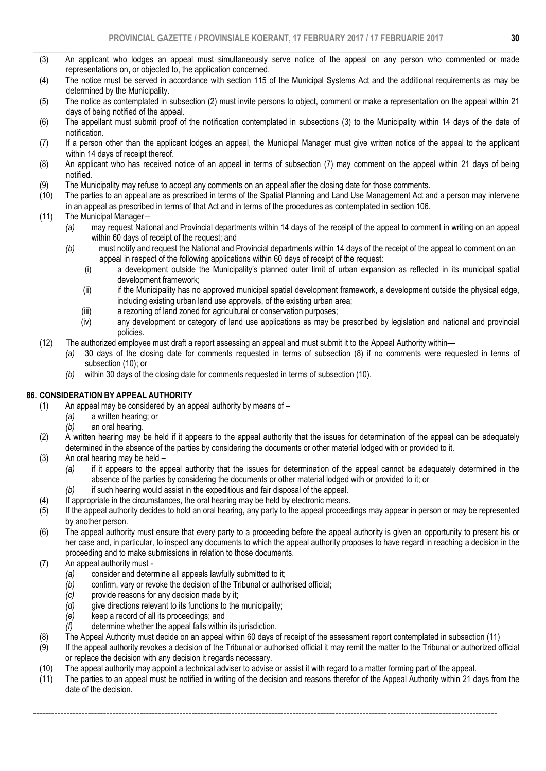- $\_$  , and the state of the state of the state of the state of the state of the state of the state of the state of the state of the state of the state of the state of the state of the state of the state of the state of the (3) An applicant who lodges an appeal must simultaneously serve notice of the appeal on any person who commented or made representations on, or objected to, the application concerned.
- (4) The notice must be served in accordance with section 115 of the Municipal Systems Act and the additional requirements as may be determined by the Municipality.
- (5) The notice as contemplated in subsection (2) must invite persons to object, comment or make a representation on the appeal within 21 days of being notified of the appeal.
- (6) The appellant must submit proof of the notification contemplated in subsections (3) to the Municipality within 14 days of the date of notification.
- (7) If a person other than the applicant lodges an appeal, the Municipal Manager must give written notice of the appeal to the applicant within 14 days of receipt thereof.
- (8) An applicant who has received notice of an appeal in terms of subsection (7) may comment on the appeal within 21 days of being notified.
- (9) The Municipality may refuse to accept any comments on an appeal after the closing date for those comments.
- (10) The parties to an appeal are as prescribed in terms of the Spatial Planning and Land Use Management Act and a person may intervene in an appeal as prescribed in terms of that Act and in terms of the procedures as contemplated in section 106.
- (11) The Municipal Manager―
	- *(a)* may request National and Provincial departments within 14 days of the receipt of the appeal to comment in writing on an appeal within 60 days of receipt of the request; and
	- *(b)* must notify and request the National and Provincial departments within 14 days of the receipt of the appeal to comment on an appeal in respect of the following applications within 60 days of receipt of the request:
		- (i) a development outside the Municipality's planned outer limit of urban expansion as reflected in its municipal spatial development framework;
		- (ii) if the Municipality has no approved municipal spatial development framework, a development outside the physical edge, including existing urban land use approvals, of the existing urban area;
		- (iii) a rezoning of land zoned for agricultural or conservation purposes;<br>(iv) any development or category of land use applications as may be
		- any development or category of land use applications as may be prescribed by legislation and national and provincial policies.
- (12) The authorized employee must draft a report assessing an appeal and must submit it to the Appeal Authority within—
	- *(a)* 30 days of the closing date for comments requested in terms of subsection (8) if no comments were requested in terms of subsection (10); or
	- *(b)* within 30 days of the closing date for comments requested in terms of subsection (10).

### 86. CONSIDERATION BY APPEAL AUTHORITY

- (1) An appeal may be considered by an appeal authority by means of
	- *(a)* a written hearing; or
	- *(b)* an oral hearing.
- (2) A written hearing may be held if it appears to the appeal authority that the issues for determination of the appeal can be adequately determined in the absence of the parties by considering the documents or other material lodged with or provided to it.
- (3) An oral hearing may be held
	- *(a)* if it appears to the appeal authority that the issues for determination of the appeal cannot be adequately determined in the absence of the parties by considering the documents or other material lodged with or provided to it; or
	- *(b)* if such hearing would assist in the expeditious and fair disposal of the appeal.
- (4) If appropriate in the circumstances, the oral hearing may be held by electronic means.
- (5) If the appeal authority decides to hold an oral hearing, any party to the appeal proceedings may appear in person or may be represented by another person.
- (6) The appeal authority must ensure that every party to a proceeding before the appeal authority is given an opportunity to present his or her case and, in particular, to inspect any documents to which the appeal authority proposes to have regard in reaching a decision in the proceeding and to make submissions in relation to those documents.
- (7) An appeal authority must
	- *(a)* consider and determine all appeals lawfully submitted to it;
	- *(b)* confirm, vary or revoke the decision of the Tribunal or authorised official;
	- *(c)* provide reasons for any decision made by it;<br>*(d)* give directions relevant to its functions to the
	- *(d)* give directions relevant to its functions to the municipality;
	- *(e)* keep a record of all its proceedings; and
	- *(f)* determine whether the appeal falls within its jurisdiction.
- (8) The Appeal Authority must decide on an appeal within 60 days of receipt of the assessment report contemplated in subsection (11)
- (9) If the appeal authority revokes a decision of the Tribunal or authorised official it may remit the matter to the Tribunal or authorized official or replace the decision with any decision it regards necessary.
- (10) The appeal authority may appoint a technical adviser to advise or assist it with regard to a matter forming part of the appeal.

--------------------------------------------------------------------------------------------------------------------------------------------------------

(11) The parties to an appeal must be notified in writing of the decision and reasons therefor of the Appeal Authority within 21 days from the date of the decision.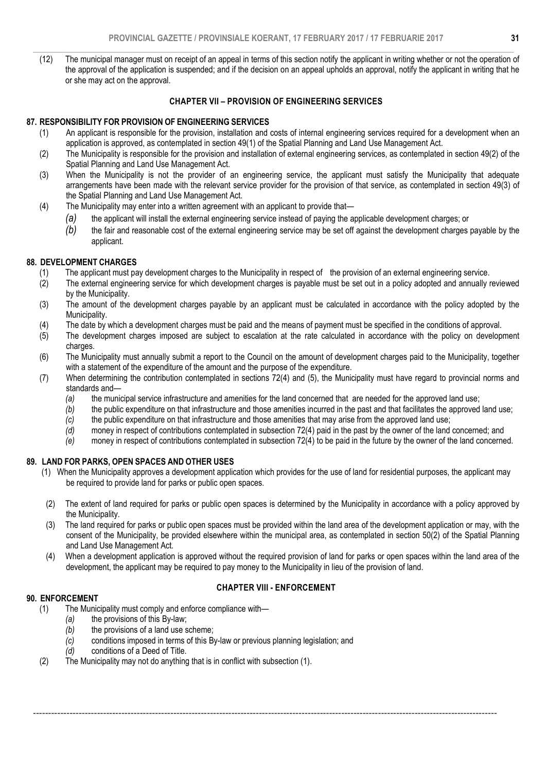$\_$  , and the state of the state of the state of the state of the state of the state of the state of the state of the state of the state of the state of the state of the state of the state of the state of the state of the (12) The municipal manager must on receipt of an appeal in terms of this section notify the applicant in writing whether or not the operation of the approval of the application is suspended; and if the decision on an appeal upholds an approval, notify the applicant in writing that he or she may act on the approval.

### CHAPTER VII – PROVISION OF ENGINEERING SERVICES

### 87. RESPONSIBILITY FOR PROVISION OF ENGINEERING SERVICES

- (1) An applicant is responsible for the provision, installation and costs of internal engineering services required for a development when an application is approved, as contemplated in section 49(1) of the Spatial Planning and Land Use Management Act.
- (2) The Municipality is responsible for the provision and installation of external engineering services, as contemplated in section 49(2) of the Spatial Planning and Land Use Management Act.
- (3) When the Municipality is not the provider of an engineering service, the applicant must satisfy the Municipality that adequate arrangements have been made with the relevant service provider for the provision of that service, as contemplated in section 49(3) of the Spatial Planning and Land Use Management Act.
- (4) The Municipality may enter into a written agreement with an applicant to provide that—
	- *(a)* the applicant will install the external engineering service instead of paying the applicable development charges; or
	- *(b)* the fair and reasonable cost of the external engineering service may be set off against the development charges payable by the applicant.

### 88. DEVELOPMENT CHARGES

- (1) The applicant must pay development charges to the Municipality in respect of the provision of an external engineering service.
- (2) The external engineering service for which development charges is payable must be set out in a policy adopted and annually reviewed by the Municipality.
- (3) The amount of the development charges payable by an applicant must be calculated in accordance with the policy adopted by the Municipality.
- (4) The date by which a development charges must be paid and the means of payment must be specified in the conditions of approval.
- (5) The development charges imposed are subject to escalation at the rate calculated in accordance with the policy on development charges.
- (6) The Municipality must annually submit a report to the Council on the amount of development charges paid to the Municipality, together with a statement of the expenditure of the amount and the purpose of the expenditure.
- (7) When determining the contribution contemplated in sections 72(4) and (5), the Municipality must have regard to provincial norms and standards and—
	- *(a)* the municipal service infrastructure and amenities for the land concerned that are needed for the approved land use;
	- *(b)* the public expenditure on that infrastructure and those amenities incurred in the past and that facilitates the approved land use;
	- *(c)* the public expenditure on that infrastructure and those amenities that may arise from the approved land use;<br>*(d)* money in respect of contributions contemplated in subsection 72(4) paid in the past by the owner of t
	- money in respect of contributions contemplated in subsection 72(4) paid in the past by the owner of the land concerned; and
	- *(e)* money in respect of contributions contemplated in subsection 72(4) to be paid in the future by the owner of the land concerned.

### 89. LAND FOR PARKS, OPEN SPACES AND OTHER USES

- (1) When the Municipality approves a development application which provides for the use of land for residential purposes, the applicant may be required to provide land for parks or public open spaces.
- (2) The extent of land required for parks or public open spaces is determined by the Municipality in accordance with a policy approved by the Municipality.
- (3) The land required for parks or public open spaces must be provided within the land area of the development application or may, with the consent of the Municipality, be provided elsewhere within the municipal area, as contemplated in section 50(2) of the Spatial Planning and Land Use Management Act.
- (4) When a development application is approved without the required provision of land for parks or open spaces within the land area of the development, the applicant may be required to pay money to the Municipality in lieu of the provision of land.

### CHAPTER VIII - ENFORCEMENT

--------------------------------------------------------------------------------------------------------------------------------------------------------

### 90. ENFORCEMENT

### (1) The Municipality must comply and enforce compliance with—

- *(a)* the provisions of this By-law;
- *(b)* the provisions of a land use scheme;
- *(c)* conditions imposed in terms of this By-law or previous planning legislation; and
- *(d)* conditions of a Deed of Title.
- (2) The Municipality may not do anything that is in conflict with subsection (1).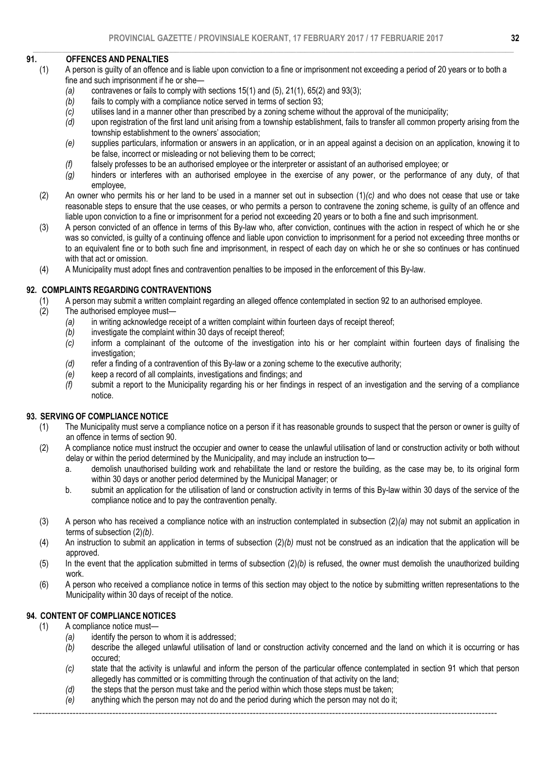### $\_$  , and the state of the state of the state of the state of the state of the state of the state of the state of the state of the state of the state of the state of the state of the state of the state of the state of the 91. OFFENCES AND PENALTIES

- (1) A person is guilty of an offence and is liable upon conviction to a fine or imprisonment not exceeding a period of 20 years or to both a fine and such imprisonment if he or she-
	- *(a)* contravenes or fails to comply with sections 15(1) and (5), 21(1), 65(2) and 93(3);
	- *(b)* fails to comply with a compliance notice served in terms of section 93;
	- *(c)* utilises land in a manner other than prescribed by a zoning scheme without the approval of the municipality;
	- *(d)* upon registration of the first land unit arising from a township establishment, fails to transfer all common property arising from the township establishment to the owners' association;
	- *(e)* supplies particulars, information or answers in an application, or in an appeal against a decision on an application, knowing it to be false, incorrect or misleading or not believing them to be correct;
	- *(f)* falsely professes to be an authorised employee or the interpreter or assistant of an authorised employee; or
	- *(g)* hinders or interferes with an authorised employee in the exercise of any power, or the performance of any duty, of that employee,
	- (2) An owner who permits his or her land to be used in a manner set out in subsection (1)*(c)* and who does not cease that use or take reasonable steps to ensure that the use ceases, or who permits a person to contravene the zoning scheme, is guilty of an offence and liable upon conviction to a fine or imprisonment for a period not exceeding 20 years or to both a fine and such imprisonment.
	- (3) A person convicted of an offence in terms of this By-law who, after conviction, continues with the action in respect of which he or she was so convicted, is guilty of a continuing offence and liable upon conviction to imprisonment for a period not exceeding three months or to an equivalent fine or to both such fine and imprisonment, in respect of each day on which he or she so continues or has continued with that act or omission.
	- (4) A Municipality must adopt fines and contravention penalties to be imposed in the enforcement of this By-law.

# 92. COMPLAINTS REGARDING CONTRAVENTIONS

- (1) A person may submit a written complaint regarding an alleged offence contemplated in section 92 to an authorised employee.
- (2) The authorised employee must—
	- *(a)* in writing acknowledge receipt of a written complaint within fourteen days of receipt thereof;
	- *(b)* investigate the complaint within 30 days of receipt thereof;
	- *(c)* inform a complainant of the outcome of the investigation into his or her complaint within fourteen days of finalising the investigation;
	- *(d)* refer a finding of a contravention of this By-law or a zoning scheme to the executive authority;
	- *(e)* keep a record of all complaints, investigations and findings; and
	- *(f)* submit a report to the Municipality regarding his or her findings in respect of an investigation and the serving of a compliance notice.

# 93. SERVING OF COMPLIANCE NOTICE

- (1) The Municipality must serve a compliance notice on a person if it has reasonable grounds to suspect that the person or owner is guilty of an offence in terms of section 90.
- (2) A compliance notice must instruct the occupier and owner to cease the unlawful utilisation of land or construction activity or both without delay or within the period determined by the Municipality, and may include an instruction to
	- a. demolish unauthorised building work and rehabilitate the land or restore the building, as the case may be, to its original form within 30 days or another period determined by the Municipal Manager; or
	- b. submit an application for the utilisation of land or construction activity in terms of this By-law within 30 days of the service of the compliance notice and to pay the contravention penalty.
- (3) A person who has received a compliance notice with an instruction contemplated in subsection (2)*(a)* may not submit an application in terms of subsection (2)*(b)*.
- (4) An instruction to submit an application in terms of subsection (2)*(b)* must not be construed as an indication that the application will be approved.
- (5) In the event that the application submitted in terms of subsection (2)*(b)* is refused, the owner must demolish the unauthorized building work.
- (6) A person who received a compliance notice in terms of this section may object to the notice by submitting written representations to the Municipality within 30 days of receipt of the notice.

# 94. CONTENT OF COMPLIANCE NOTICES

### (1) A compliance notice must—

- *(a)* identify the person to whom it is addressed;
- *(b)* describe the alleged unlawful utilisation of land or construction activity concerned and the land on which it is occurring or has occured;
- *(c)* state that the activity is unlawful and inform the person of the particular offence contemplated in section 91 which that person allegedly has committed or is committing through the continuation of that activity on the land;
- *(d)* the steps that the person must take and the period within which those steps must be taken;
- *(e)* anything which the person may not do and the period during which the person may not do it;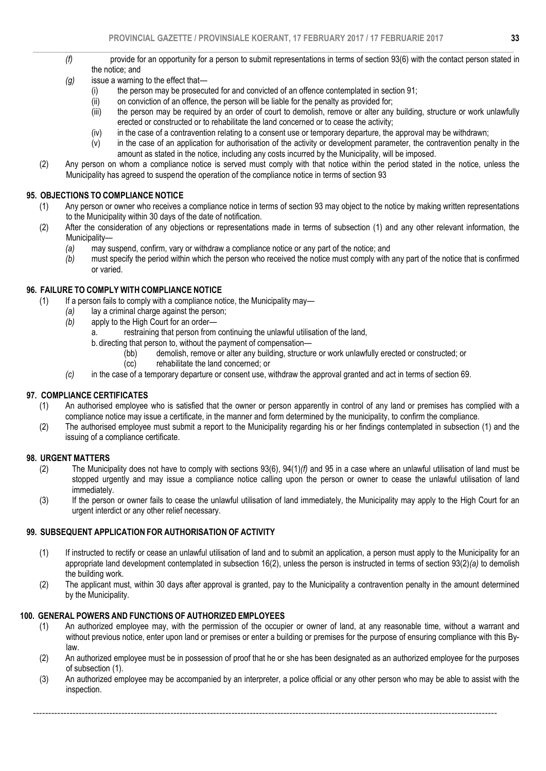- *(f)* provide for an opportunity for a person to submit representations in terms of section 93(6) with the contact person stated in the notice; and
- *(g)* issue a warning to the effect that—
	- (i) the person may be prosecuted for and convicted of an offence contemplated in section 91;
	- (ii) on conviction of an offence, the person will be liable for the penalty as provided for;<br>(iii) the person may be required by an order of court to demolish, remove or alter any
	- the person may be required by an order of court to demolish, remove or alter any building, structure or work unlawfully erected or constructed or to rehabilitate the land concerned or to cease the activity;
	- (iv) in the case of a contravention relating to a consent use or temporary departure, the approval may be withdrawn;
	- (v) in the case of an application for authorisation of the activity or development parameter, the contravention penalty in the amount as stated in the notice, including any costs incurred by the Municipality, will be imposed.
- (2) Any person on whom a compliance notice is served must comply with that notice within the period stated in the notice, unless the Municipality has agreed to suspend the operation of the compliance notice in terms of section 93

### 95. OBJECTIONS TO COMPLIANCE NOTICE

- (1) Any person or owner who receives a compliance notice in terms of section 93 may object to the notice by making written representations to the Municipality within 30 days of the date of notification.
- (2) After the consideration of any objections or representations made in terms of subsection (1) and any other relevant information, the Municipality—
	- *(a)* may suspend, confirm, vary or withdraw a compliance notice or any part of the notice; and *(b)* must specify the period within which the person who received the notice must comply with
	- *(b)* must specify the period within which the person who received the notice must comply with any part of the notice that is confirmed or varied.

### 96. FAILURE TO COMPLY WITH COMPLIANCE NOTICE

- (1) If a person fails to comply with a compliance notice, the Municipality may—
	- *(a)* lay a criminal charge against the person;
		- apply to the High Court for an order
			- a. restraining that person from continuing the unlawful utilisation of the land,
			- b. directing that person to, without the payment of compensation—
				- (bb) demolish, remove or alter any building, structure or work unlawfully erected or constructed; or
				- (cc) rehabilitate the land concerned; or
		- *(c)* in the case of a temporary departure or consent use, withdraw the approval granted and act in terms of section 69.

### 97. COMPLIANCE CERTIFICATES

- (1) An authorised employee who is satisfied that the owner or person apparently in control of any land or premises has complied with a compliance notice may issue a certificate, in the manner and form determined by the municipality, to confirm the compliance.
- (2) The authorised employee must submit a report to the Municipality regarding his or her findings contemplated in subsection (1) and the issuing of a compliance certificate.

# 98. URGENT MATTERS<br>(2) The Munici

- (2) The Municipality does not have to comply with sections 93(6), 94(1)*(f)* and 95 in a case where an unlawful utilisation of land must be stopped urgently and may issue a compliance notice calling upon the person or owner to cease the unlawful utilisation of land immediately.
- (3) If the person or owner fails to cease the unlawful utilisation of land immediately, the Municipality may apply to the High Court for an urgent interdict or any other relief necessary.

### 99. SUBSEQUENT APPLICATION FOR AUTHORISATION OF ACTIVITY

- (1) If instructed to rectify or cease an unlawful utilisation of land and to submit an application, a person must apply to the Municipality for an appropriate land development contemplated in subsection 16(2), unless the person is instructed in terms of section 93(2)*(a)* to demolish the building work.
- (2) The applicant must, within 30 days after approval is granted, pay to the Municipality a contravention penalty in the amount determined by the Municipality.

### 100. GENERAL POWERS AND FUNCTIONS OF AUTHORIZED EMPLOYEES

- (1) An authorized employee may, with the permission of the occupier or owner of land, at any reasonable time, without a warrant and without previous notice, enter upon land or premises or enter a building or premises for the purpose of ensuring compliance with this Bylaw.
- (2) An authorized employee must be in possession of proof that he or she has been designated as an authorized employee for the purposes of subsection (1).
- (3) An authorized employee may be accompanied by an interpreter, a police official or any other person who may be able to assist with the inspection.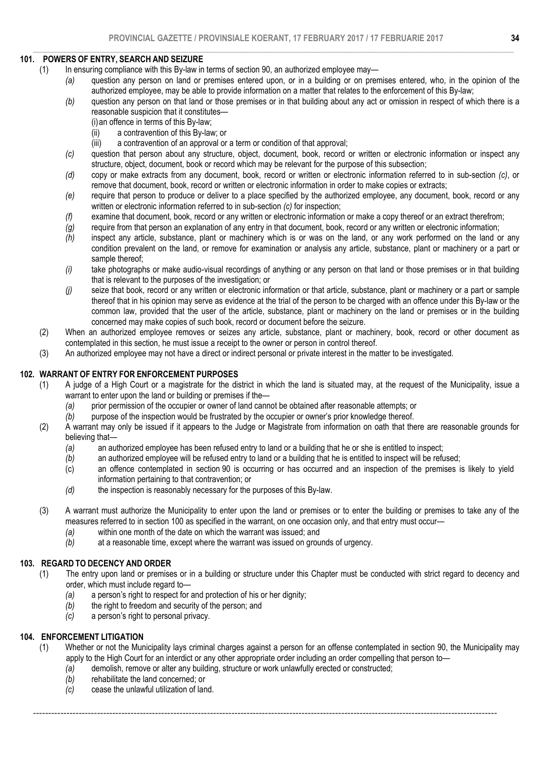### $\_$  , and the state of the state of the state of the state of the state of the state of the state of the state of the state of the state of the state of the state of the state of the state of the state of the state of the 101. POWERS OF ENTRY, SEARCH AND SEIZURE

- (1) In ensuring compliance with this By-law in terms of section 90, an authorized employee may—
	- *(a)* question any person on land or premises entered upon, or in a building or on premises entered, who, in the opinion of the authorized employee, may be able to provide information on a matter that relates to the enforcement of this By-law;
	- *(b)* question any person on that land or those premises or in that building about any act or omission in respect of which there is a reasonable suspicion that it constitutes—
		- (i)an offence in terms of this By-law;
		- (ii) a contravention of this By-law; or
		- (iii) a contravention of an approval or a term or condition of that approval;
	- *(c)* question that person about any structure, object, document, book, record or written or electronic information or inspect any structure, object, document, book or record which may be relevant for the purpose of this subsection;
	- *(d)* copy or make extracts from any document, book, record or written or electronic information referred to in sub-section *(c)*, or remove that document, book, record or written or electronic information in order to make copies or extracts;
	- *(e)* require that person to produce or deliver to a place specified by the authorized employee, any document, book, record or any written or electronic information referred to in sub-section *(c)* for inspection;
	- *(f)* examine that document, book, record or any written or electronic information or make a copy thereof or an extract therefrom;
	- *(g)* require from that person an explanation of any entry in that document, book, record or any written or electronic information;
	- *(h)* inspect any article, substance, plant or machinery which is or was on the land, or any work performed on the land or any condition prevalent on the land, or remove for examination or analysis any article, substance, plant or machinery or a part or sample thereof;
	- *(i)* take photographs or make audio-visual recordings of anything or any person on that land or those premises or in that building that is relevant to the purposes of the investigation; or
	- *(j)* seize that book, record or any written or electronic information or that article, substance, plant or machinery or a part or sample thereof that in his opinion may serve as evidence at the trial of the person to be charged with an offence under this By-law or the common law, provided that the user of the article, substance, plant or machinery on the land or premises or in the building concerned may make copies of such book, record or document before the seizure.
- (2) When an authorized employee removes or seizes any article, substance, plant or machinery, book, record or other document as contemplated in this section, he must issue a receipt to the owner or person in control thereof.
- (3) An authorized employee may not have a direct or indirect personal or private interest in the matter to be investigated.

### 102. WARRANT OF ENTRY FOR ENFORCEMENT PURPOSES

- (1) A judge of a High Court or a magistrate for the district in which the land is situated may, at the request of the Municipality, issue a warrant to enter upon the land or building or premises if the—
	- *(a)* prior permission of the occupier or owner of land cannot be obtained after reasonable attempts; or
	- *(b)* purpose of the inspection would be frustrated by the occupier or owner's prior knowledge thereof.
- (2) A warrant may only be issued if it appears to the Judge or Magistrate from information on oath that there are reasonable grounds for believing that—
	- *(a)* an authorized employee has been refused entry to land or a building that he or she is entitled to inspect;
	- *(b)* an authorized employee will be refused entry to land or a building that he is entitled to inspect will be refused;
	- an offence contemplated in section 90 is occurring or has occurred and an inspection of the premises is likely to yield information pertaining to that contravention; or
	- *(d)* the inspection is reasonably necessary for the purposes of this By-law.
- (3) A warrant must authorize the Municipality to enter upon the land or premises or to enter the building or premises to take any of the measures referred to in section 100 as specified in the warrant, on one occasion only, and that entry must occur—
	- *(a)* within one month of the date on which the warrant was issued; and
	- *(b)* at a reasonable time, except where the warrant was issued on grounds of urgency.

### 103. REGARD TO DECENCY AND ORDER

- (1) The entry upon land or premises or in a building or structure under this Chapter must be conducted with strict regard to decency and order, which must include regard to—
	- *(a)* a person's right to respect for and protection of his or her dignity;
	- *(b)* the right to freedom and security of the person; and
	- *(c)* a person's right to personal privacy.

### 104. ENFORCEMENT LITIGATION

(1) Whether or not the Municipality lays criminal charges against a person for an offense contemplated in section 90, the Municipality may apply to the High Court for an interdict or any other appropriate order including an order compelling that person to—

- *(a)* demolish, remove or alter any building, structure or work unlawfully erected or constructed;
- *(b)* rehabilitate the land concerned; or
- *(c)* cease the unlawful utilization of land.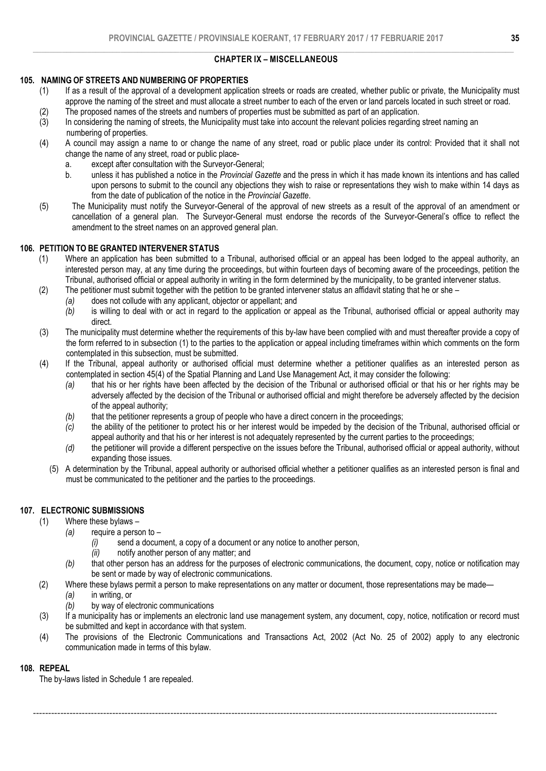### $\_$  , and the state of the state of the state of the state of the state of the state of the state of the state of the state of the state of the state of the state of the state of the state of the state of the state of the CHAPTER IX – MISCELLANEOUS

### 105. NAMING OF STREETS AND NUMBERING OF PROPERTIES

- (1) If as a result of the approval of a development application streets or roads are created, whether public or private, the Municipality must approve the naming of the street and must allocate a street number to each of the erven or land parcels located in such street or road.
- (2) The proposed names of the streets and numbers of properties must be submitted as part of an application.
- (3) In considering the naming of streets, the Municipality must take into account the relevant policies regarding street naming an numbering of properties.
- (4) A council may assign a name to or change the name of any street, road or public place under its control: Provided that it shall not change the name of any street, road or public place
	- a. except after consultation with the Surveyor-General;
	- b. unless it has published a notice in the *Provincial Gazette* and the press in which it has made known its intentions and has called upon persons to submit to the council any objections they wish to raise or representations they wish to make within 14 days as from the date of publication of the notice in the *Provincial Gazette*.
- (5) The Municipality must notify the Surveyor-General of the approval of new streets as a result of the approval of an amendment or cancellation of a general plan. The Surveyor-General must endorse the records of the Surveyor-General's office to reflect the amendment to the street names on an approved general plan.

### 106. PETITION TO BE GRANTED INTERVENER STATUS

- (1) Where an application has been submitted to a Tribunal, authorised official or an appeal has been lodged to the appeal authority, an interested person may, at any time during the proceedings, but within fourteen days of becoming aware of the proceedings, petition the Tribunal, authorised official or appeal authority in writing in the form determined by the municipality, to be granted intervener status.
- (2) The petitioner must submit together with the petition to be granted intervener status an affidavit stating that he or she
	- *(a)* does not collude with any applicant, objector or appellant; and
	- *(b)* is willing to deal with or act in regard to the application or appeal as the Tribunal, authorised official or appeal authority may direct.
- (3) The municipality must determine whether the requirements of this by-law have been complied with and must thereafter provide a copy of the form referred to in subsection (1) to the parties to the application or appeal including timeframes within which comments on the form contemplated in this subsection, must be submitted.
- (4) If the Tribunal, appeal authority or authorised official must determine whether a petitioner qualifies as an interested person as contemplated in section 45(4) of the Spatial Planning and Land Use Management Act, it may consider the following:
	- *(a)* that his or her rights have been affected by the decision of the Tribunal or authorised official or that his or her rights may be adversely affected by the decision of the Tribunal or authorised official and might therefore be adversely affected by the decision of the appeal authority;
	- *(b)* that the petitioner represents a group of people who have a direct concern in the proceedings;
	- *(c)* the ability of the petitioner to protect his or her interest would be impeded by the decision of the Tribunal, authorised official or appeal authority and that his or her interest is not adequately represented by the current parties to the proceedings;
	- *(d)* the petitioner will provide a different perspective on the issues before the Tribunal, authorised official or appeal authority, without expanding those issues.
	- (5) A determination by the Tribunal, appeal authority or authorised official whether a petitioner qualifies as an interested person is final and must be communicated to the petitioner and the parties to the proceedings.

# 107. ELECTRONIC SUBMISSIONS

- (1) Where these bylaws
	- *(a)* require a person to
		- *(i)* send a document, a copy of a document or any notice to another person,
		- *(ii)* notify another person of any matter; and
	- *(b)* that other person has an address for the purposes of electronic communications, the document, copy, notice or notification may be sent or made by way of electronic communications.
- (2) Where these bylaws permit a person to make representations on any matter or document, those representations may be made—

--------------------------------------------------------------------------------------------------------------------------------------------------------

- *(a)* in writing, or
- *(b)* by way of electronic communications
- (3) If a municipality has or implements an electronic land use management system, any document, copy, notice, notification or record must be submitted and kept in accordance with that system.
- (4) The provisions of the Electronic Communications and Transactions Act, 2002 (Act No. 25 of 2002) apply to any electronic communication made in terms of this bylaw.

### 108. REPEAL

The by-laws listed in Schedule 1 are repealed.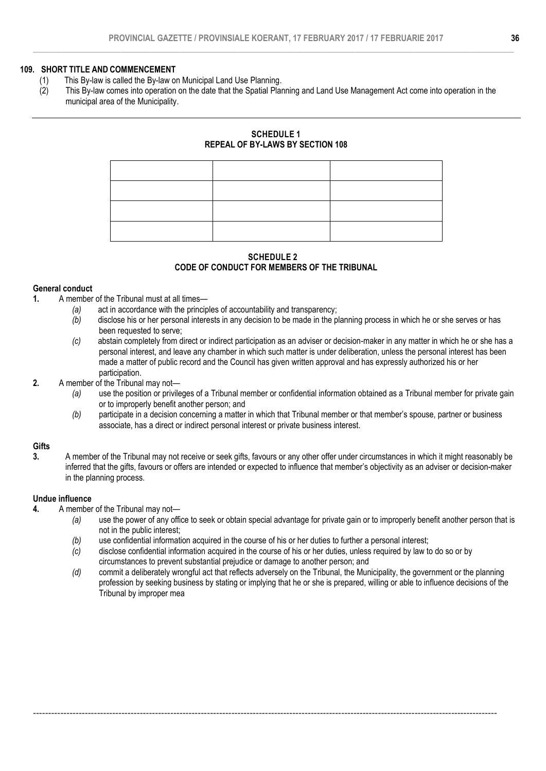### 109. SHORT TITLE AND COMMENCEMENT

- (1) This By-law is called the By-law on Municipal Land Use Planning.
- (2) This By-law comes into operation on the date that the Spatial Planning and Land Use Management Act come into operation in the municipal area of the Municipality.

## SCHEDULE 1 REPEAL OF BY-LAWS BY SECTION 108

### SCHEDULE 2 CODE OF CONDUCT FOR MEMBERS OF THE TRIBUNAL

### General conduct

- 1. A member of the Tribunal must at all times—
	- *(a)* act in accordance with the principles of accountability and transparency;
	- *(b)* disclose his or her personal interests in any decision to be made in the planning process in which he or she serves or has been requested to serve;
	- *(c)* abstain completely from direct or indirect participation as an adviser or decision-maker in any matter in which he or she has a personal interest, and leave any chamber in which such matter is under deliberation, unless the personal interest has been made a matter of public record and the Council has given written approval and has expressly authorized his or her participation.

### 2. A member of the Tribunal may not-

- *(a)* use the position or privileges of a Tribunal member or confidential information obtained as a Tribunal member for private gain or to improperly benefit another person; and
- *(b)* participate in a decision concerning a matter in which that Tribunal member or that member's spouse, partner or business associate, has a direct or indirect personal interest or private business interest.

### **Gifts**

3. A member of the Tribunal may not receive or seek gifts, favours or any other offer under circumstances in which it might reasonably be inferred that the gifts, favours or offers are intended or expected to influence that member's objectivity as an adviser or decision-maker in the planning process.

### Undue influence

- 4. A member of the Tribunal may not-
	- *(a)* use the power of any office to seek or obtain special advantage for private gain or to improperly benefit another person that is not in the public interest;
	- *(b)* use confidential information acquired in the course of his or her duties to further a personal interest;
	- *(c)* disclose confidential information acquired in the course of his or her duties, unless required by law to do so or by circumstances to prevent substantial prejudice or damage to another person; and

--------------------------------------------------------------------------------------------------------------------------------------------------------

*(d)* commit a deliberately wrongful act that reflects adversely on the Tribunal, the Municipality, the government or the planning profession by seeking business by stating or implying that he or she is prepared, willing or able to influence decisions of the Tribunal by improper mea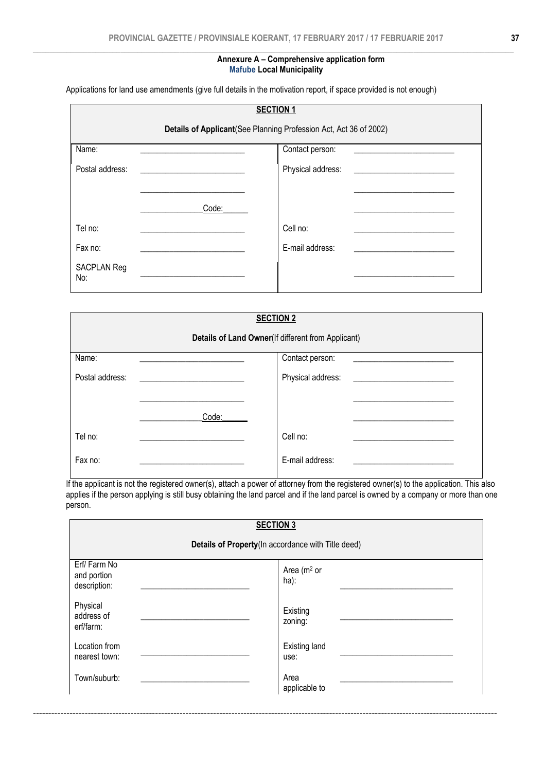### Annexure A – Comprehensive application form Mafube Local Municipality

Applications for land use amendments (give full details in the motivation report, if space provided is not enough)

|                           |       | <b>SECTION 1</b>                                                   |
|---------------------------|-------|--------------------------------------------------------------------|
|                           |       | Details of Applicant (See Planning Profession Act, Act 36 of 2002) |
| Name:                     |       | Contact person:                                                    |
| Postal address:           |       | Physical address:                                                  |
|                           |       |                                                                    |
|                           | Code: |                                                                    |
| Tel no:                   |       | Cell no:                                                           |
| Fax no:                   |       | E-mail address:                                                    |
| <b>SACPLAN Reg</b><br>No: |       |                                                                    |

|                 |       | <b>SECTION 2</b><br>Details of Land Owner(If different from Applicant) |  |
|-----------------|-------|------------------------------------------------------------------------|--|
| Name:           |       | Contact person:                                                        |  |
| Postal address: |       | Physical address:                                                      |  |
|                 | Code: |                                                                        |  |
| Tel no:         |       | Cell no:                                                               |  |
| Fax no:         |       | E-mail address:                                                        |  |

If the applicant is not the registered owner(s), attach a power of attorney from the registered owner(s) to the application. This also applies if the person applying is still busy obtaining the land parcel and if the land parcel is owned by a company or more than one person.

|                                            | <b>SECTION 3</b>                                   |
|--------------------------------------------|----------------------------------------------------|
|                                            | Details of Property(In accordance with Title deed) |
| Erf/Farm No<br>and portion<br>description: | Area (m <sup>2</sup> or<br>ha):                    |
| Physical<br>address of<br>erf/farm:        | Existing<br>zoning:                                |
| Location from<br>nearest town:             | <b>Existing land</b><br>use:                       |
| Town/suburb:                               | Area<br>applicable to                              |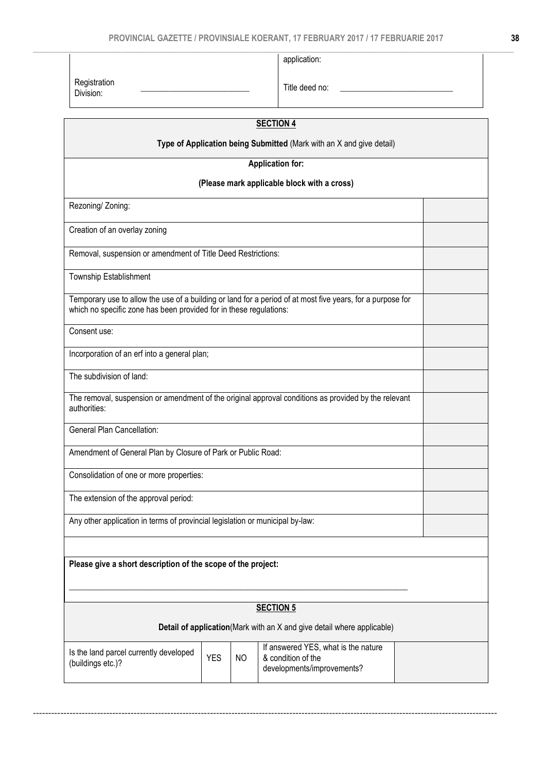application:

|                                                                               |            |    | <b>SECTION 4</b>                                                                                           |  |
|-------------------------------------------------------------------------------|------------|----|------------------------------------------------------------------------------------------------------------|--|
|                                                                               |            |    | Type of Application being Submitted (Mark with an X and give detail)                                       |  |
|                                                                               |            |    | <b>Application for:</b>                                                                                    |  |
|                                                                               |            |    | (Please mark applicable block with a cross)                                                                |  |
| Rezoning/ Zoning:                                                             |            |    |                                                                                                            |  |
| Creation of an overlay zoning                                                 |            |    |                                                                                                            |  |
| Removal, suspension or amendment of Title Deed Restrictions:                  |            |    |                                                                                                            |  |
| Township Establishment                                                        |            |    |                                                                                                            |  |
| which no specific zone has been provided for in these regulations:            |            |    | Temporary use to allow the use of a building or land for a period of at most five years, for a purpose for |  |
| Consent use:                                                                  |            |    |                                                                                                            |  |
| Incorporation of an erf into a general plan;                                  |            |    |                                                                                                            |  |
| The subdivision of land:                                                      |            |    |                                                                                                            |  |
| authorities:                                                                  |            |    | The removal, suspension or amendment of the original approval conditions as provided by the relevant       |  |
| General Plan Cancellation:                                                    |            |    |                                                                                                            |  |
| Amendment of General Plan by Closure of Park or Public Road:                  |            |    |                                                                                                            |  |
| Consolidation of one or more properties:                                      |            |    |                                                                                                            |  |
| The extension of the approval period:                                         |            |    |                                                                                                            |  |
| Any other application in terms of provincial legislation or municipal by-law: |            |    |                                                                                                            |  |
|                                                                               |            |    |                                                                                                            |  |
| Please give a short description of the scope of the project:                  |            |    |                                                                                                            |  |
|                                                                               |            |    |                                                                                                            |  |
|                                                                               |            |    | <b>SECTION 5</b>                                                                                           |  |
|                                                                               |            |    | Detail of application(Mark with an X and give detail where applicable)                                     |  |
| Is the land parcel currently developed<br>(buildings etc.)?                   | <b>YES</b> | NO | If answered YES, what is the nature<br>& condition of the<br>developments/improvements?                    |  |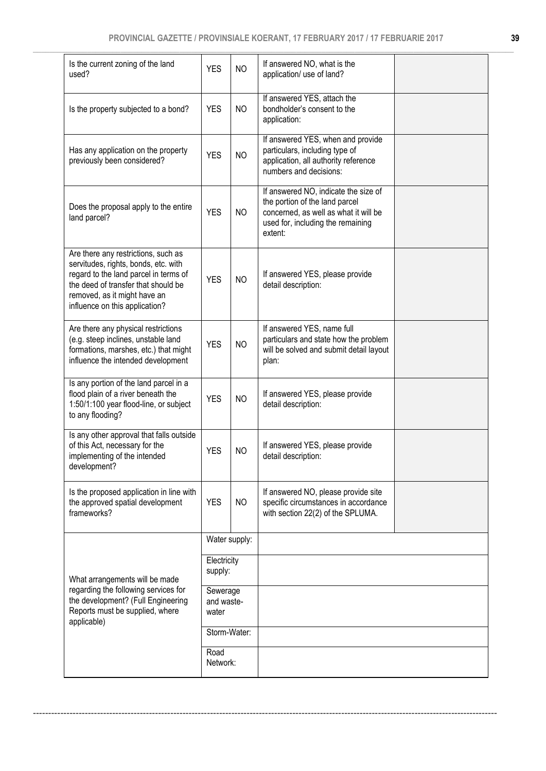| Is the current zoning of the land<br>used?                                                                                                                                                                                    | <b>YES</b>                      | <b>NO</b>      | If answered NO, what is the<br>application/ use of land?                                                                                                        |  |
|-------------------------------------------------------------------------------------------------------------------------------------------------------------------------------------------------------------------------------|---------------------------------|----------------|-----------------------------------------------------------------------------------------------------------------------------------------------------------------|--|
| Is the property subjected to a bond?                                                                                                                                                                                          | <b>YES</b>                      | NO             | If answered YES, attach the<br>bondholder's consent to the<br>application:                                                                                      |  |
| Has any application on the property<br>previously been considered?                                                                                                                                                            | <b>YES</b>                      | <b>NO</b>      | If answered YES, when and provide<br>particulars, including type of<br>application, all authority reference<br>numbers and decisions:                           |  |
| Does the proposal apply to the entire<br>land parcel?                                                                                                                                                                         | <b>YES</b>                      | NO             | If answered NO, indicate the size of<br>the portion of the land parcel<br>concerned, as well as what it will be<br>used for, including the remaining<br>extent: |  |
| Are there any restrictions, such as<br>servitudes, rights, bonds, etc. with<br>regard to the land parcel in terms of<br>the deed of transfer that should be<br>removed, as it might have an<br>influence on this application? | <b>YES</b>                      | <b>NO</b>      | If answered YES, please provide<br>detail description:                                                                                                          |  |
| Are there any physical restrictions<br>(e.g. steep inclines, unstable land<br>formations, marshes, etc.) that might<br>influence the intended development                                                                     | <b>YES</b>                      | NO             | If answered YES, name full<br>particulars and state how the problem<br>will be solved and submit detail layout<br>plan:                                         |  |
| Is any portion of the land parcel in a<br>flood plain of a river beneath the<br>1:50/1:100 year flood-line, or subject<br>to any flooding?                                                                                    | <b>YES</b>                      | NO             | If answered YES, please provide<br>detail description:                                                                                                          |  |
| Is any other approval that falls outside<br>of this Act, necessary for the<br>implementing of the intended<br>development?                                                                                                    | <b>YES</b>                      | <b>NO</b>      | If answered YES, please provide<br>detail description:                                                                                                          |  |
| Is the proposed application in line with<br>the approved spatial development<br>frameworks?                                                                                                                                   | <b>YES</b>                      | N <sub>O</sub> | If answered NO, please provide site<br>specific circumstances in accordance<br>with section 22(2) of the SPLUMA.                                                |  |
|                                                                                                                                                                                                                               |                                 | Water supply:  |                                                                                                                                                                 |  |
| What arrangements will be made                                                                                                                                                                                                | Electricity<br>supply:          |                |                                                                                                                                                                 |  |
| regarding the following services for<br>the development? (Full Engineering<br>Reports must be supplied, where<br>applicable)                                                                                                  | Sewerage<br>and waste-<br>water |                |                                                                                                                                                                 |  |
|                                                                                                                                                                                                                               | Storm-Water:                    |                |                                                                                                                                                                 |  |
|                                                                                                                                                                                                                               | Road<br>Network:                |                |                                                                                                                                                                 |  |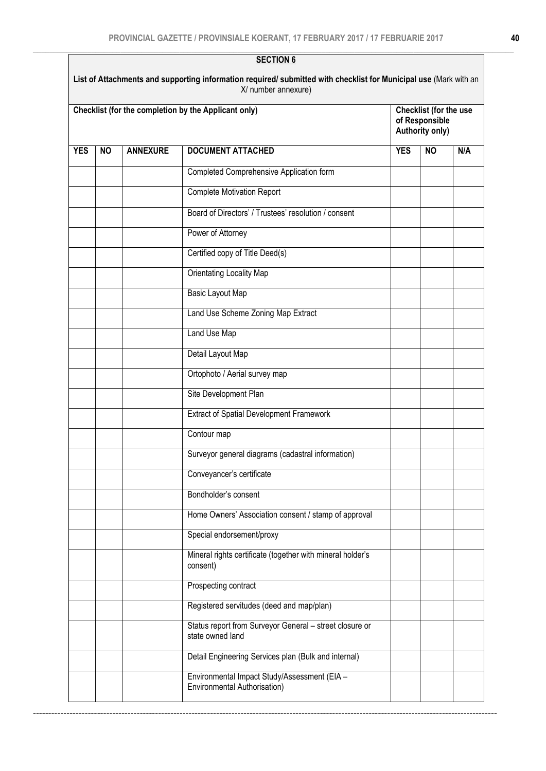| <b>YES</b> | <b>NO</b><br><b>ANNEXURE</b> | <b>DOCUMENT ATTACHED</b><br>Completed Comprehensive Application form<br><b>Complete Motivation Report</b><br>Board of Directors' / Trustees' resolution / consent<br>Power of Attorney<br>Certified copy of Title Deed(s)<br>Orientating Locality Map<br>Basic Layout Map<br>Land Use Scheme Zoning Map Extract<br>Land Use Map<br>Detail Layout Map<br>Ortophoto / Aerial survey map | <b>YES</b> | <b>NO</b> | N/A |
|------------|------------------------------|---------------------------------------------------------------------------------------------------------------------------------------------------------------------------------------------------------------------------------------------------------------------------------------------------------------------------------------------------------------------------------------|------------|-----------|-----|
|            |                              |                                                                                                                                                                                                                                                                                                                                                                                       |            |           |     |
|            |                              |                                                                                                                                                                                                                                                                                                                                                                                       |            |           |     |
|            |                              |                                                                                                                                                                                                                                                                                                                                                                                       |            |           |     |
|            |                              |                                                                                                                                                                                                                                                                                                                                                                                       |            |           |     |
|            |                              |                                                                                                                                                                                                                                                                                                                                                                                       |            |           |     |
|            |                              |                                                                                                                                                                                                                                                                                                                                                                                       |            |           |     |
|            |                              |                                                                                                                                                                                                                                                                                                                                                                                       |            |           |     |
|            |                              |                                                                                                                                                                                                                                                                                                                                                                                       |            |           |     |
|            |                              |                                                                                                                                                                                                                                                                                                                                                                                       |            |           |     |
|            |                              |                                                                                                                                                                                                                                                                                                                                                                                       |            |           |     |
|            |                              |                                                                                                                                                                                                                                                                                                                                                                                       |            |           |     |
|            |                              |                                                                                                                                                                                                                                                                                                                                                                                       |            |           |     |
|            |                              | Site Development Plan                                                                                                                                                                                                                                                                                                                                                                 |            |           |     |
|            |                              | <b>Extract of Spatial Development Framework</b>                                                                                                                                                                                                                                                                                                                                       |            |           |     |
|            |                              | Contour map                                                                                                                                                                                                                                                                                                                                                                           |            |           |     |
|            |                              | Surveyor general diagrams (cadastral information)                                                                                                                                                                                                                                                                                                                                     |            |           |     |
|            |                              | Conveyancer's certificate                                                                                                                                                                                                                                                                                                                                                             |            |           |     |
|            |                              | Bondholder's consent                                                                                                                                                                                                                                                                                                                                                                  |            |           |     |
|            |                              | Home Owners' Association consent / stamp of approval                                                                                                                                                                                                                                                                                                                                  |            |           |     |
|            |                              | Special endorsement/proxy                                                                                                                                                                                                                                                                                                                                                             |            |           |     |
|            |                              | Mineral rights certificate (together with mineral holder's<br>consent)                                                                                                                                                                                                                                                                                                                |            |           |     |
|            |                              | Prospecting contract                                                                                                                                                                                                                                                                                                                                                                  |            |           |     |
|            |                              | Registered servitudes (deed and map/plan)                                                                                                                                                                                                                                                                                                                                             |            |           |     |
|            |                              | Status report from Surveyor General - street closure or<br>state owned land                                                                                                                                                                                                                                                                                                           |            |           |     |
|            |                              | Detail Engineering Services plan (Bulk and internal)                                                                                                                                                                                                                                                                                                                                  |            |           |     |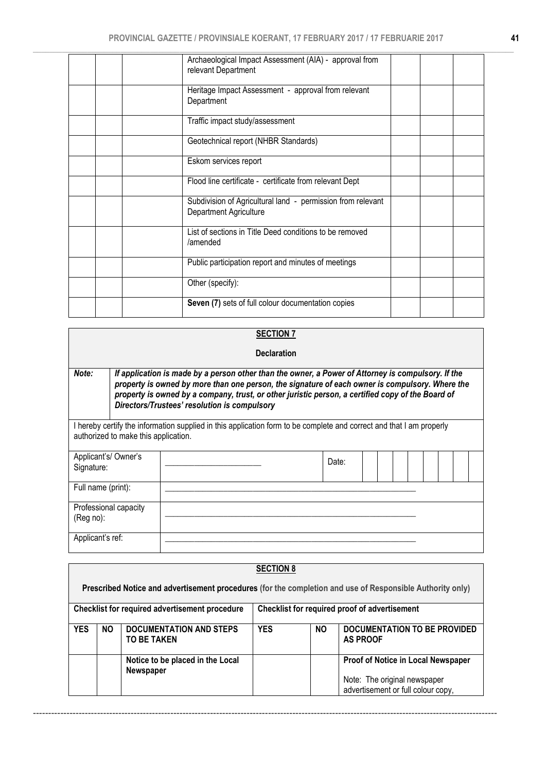| Archaeological Impact Assessment (AIA) - approval from<br>relevant Department |  |
|-------------------------------------------------------------------------------|--|
| Heritage Impact Assessment - approval from relevant                           |  |
| Department<br>Traffic impact study/assessment                                 |  |
| Geotechnical report (NHBR Standards)                                          |  |
| Eskom services report                                                         |  |
| Flood line certificate - certificate from relevant Dept                       |  |
| Subdivision of Agricultural land - permission from relevant                   |  |
| Department Agriculture                                                        |  |
| List of sections in Title Deed conditions to be removed<br>/amended           |  |
| Public participation report and minutes of meetings                           |  |
| Other (specify):                                                              |  |
| Seven (7) sets of full colour documentation copies                            |  |

# **SECTION 7**

### Declaration

*Note: If application is made by a person other than the owner, a Power of Attorney is compulsory. If the property is owned by more than one person, the signature of each owner is compulsory. Where the property is owned by a company, trust, or other juristic person, a certified copy of the Board of Directors/Trustees' resolution is compulsory* 

I hereby certify the information supplied in this application form to be complete and correct and that I am properly authorized to make this application.

| Applicant's/Owner's<br>Signature:  | Date: |  |  |  |  |
|------------------------------------|-------|--|--|--|--|
| Full name (print):                 |       |  |  |  |  |
| Professional capacity<br>(Reg no): |       |  |  |  |  |
| Applicant's ref:                   |       |  |  |  |  |

|            |                                                                                                 |                                                      | <b>SECTION 8</b> |           |                                                                                                           |  |  |  |
|------------|-------------------------------------------------------------------------------------------------|------------------------------------------------------|------------------|-----------|-----------------------------------------------------------------------------------------------------------|--|--|--|
|            |                                                                                                 |                                                      |                  |           | Prescribed Notice and advertisement procedures (for the completion and use of Responsible Authority only) |  |  |  |
|            | Checklist for required proof of advertisement<br>Checklist for required advertisement procedure |                                                      |                  |           |                                                                                                           |  |  |  |
| <b>YES</b> | NO.                                                                                             | <b>DOCUMENTATION AND STEPS</b><br><b>TO BE TAKEN</b> | <b>YES</b>       | <b>NO</b> | DOCUMENTATION TO BE PROVIDED<br><b>AS PROOF</b>                                                           |  |  |  |
|            |                                                                                                 | Notice to be placed in the Local<br>Newspaper        |                  |           | Proof of Notice in Local Newspaper<br>Note: The original newspaper<br>advertisement or full colour copy,  |  |  |  |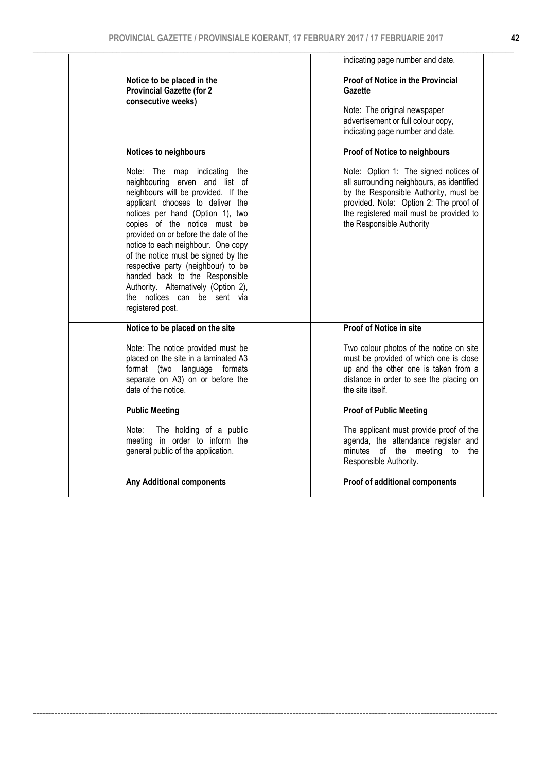|                                                                                                                                                                                                                                                                                                                                                                                                                                                                                                        | indicating page number and date.                                                                                                                                                                                                              |
|--------------------------------------------------------------------------------------------------------------------------------------------------------------------------------------------------------------------------------------------------------------------------------------------------------------------------------------------------------------------------------------------------------------------------------------------------------------------------------------------------------|-----------------------------------------------------------------------------------------------------------------------------------------------------------------------------------------------------------------------------------------------|
| Notice to be placed in the<br><b>Provincial Gazette (for 2</b><br>consecutive weeks)                                                                                                                                                                                                                                                                                                                                                                                                                   | <b>Proof of Notice in the Provincial</b><br>Gazette<br>Note: The original newspaper<br>advertisement or full colour copy,<br>indicating page number and date.                                                                                 |
| Notices to neighbours                                                                                                                                                                                                                                                                                                                                                                                                                                                                                  | Proof of Notice to neighbours                                                                                                                                                                                                                 |
| Note: The map indicating the<br>neighbouring erven and list of<br>neighbours will be provided. If the<br>applicant chooses to deliver the<br>notices per hand (Option 1), two<br>copies of the notice must be<br>provided on or before the date of the<br>notice to each neighbour. One copy<br>of the notice must be signed by the<br>respective party (neighbour) to be<br>handed back to the Responsible<br>Authority. Alternatively (Option 2),<br>the notices can be sent via<br>registered post. | Note: Option 1: The signed notices of<br>all surrounding neighbours, as identified<br>by the Responsible Authority, must be<br>provided. Note: Option 2: The proof of<br>the registered mail must be provided to<br>the Responsible Authority |
| Notice to be placed on the site                                                                                                                                                                                                                                                                                                                                                                                                                                                                        | Proof of Notice in site                                                                                                                                                                                                                       |
| Note: The notice provided must be<br>placed on the site in a laminated A3<br>format (two language formats<br>separate on A3) on or before the<br>date of the notice.                                                                                                                                                                                                                                                                                                                                   | Two colour photos of the notice on site<br>must be provided of which one is close<br>up and the other one is taken from a<br>distance in order to see the placing on<br>the site itself.                                                      |
| <b>Public Meeting</b>                                                                                                                                                                                                                                                                                                                                                                                                                                                                                  | <b>Proof of Public Meeting</b>                                                                                                                                                                                                                |
| The holding of a public<br>Note:<br>meeting in order to inform the<br>general public of the application.                                                                                                                                                                                                                                                                                                                                                                                               | The applicant must provide proof of the<br>agenda, the attendance register and<br>minutes of the meeting to the<br>Responsible Authority.                                                                                                     |
| <b>Any Additional components</b>                                                                                                                                                                                                                                                                                                                                                                                                                                                                       | Proof of additional components                                                                                                                                                                                                                |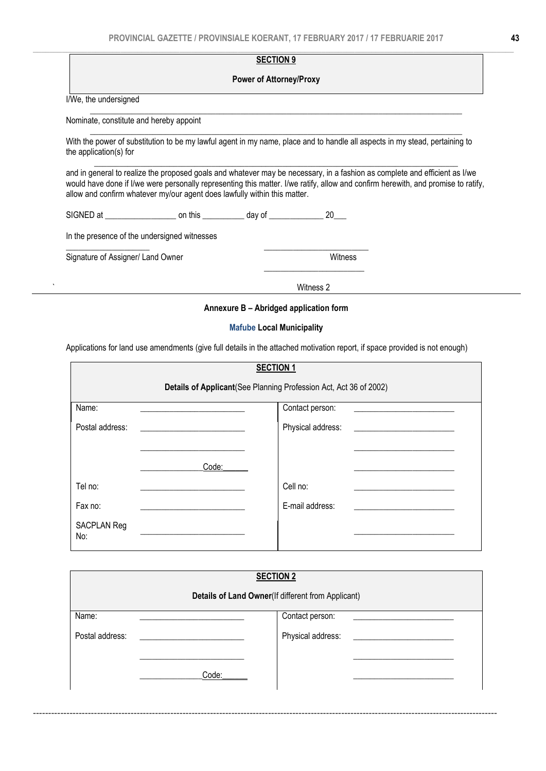#### $\_$  , and the state of the state of the state of the state of the state of the state of the state of the state of the state of the state of the state of the state of the state of the state of the state of the state of the SECTION<sub>9</sub>

### Power of Attorney/Proxy

\_\_\_\_\_\_\_\_\_\_\_\_\_\_\_\_\_\_\_\_\_\_\_\_\_\_\_\_\_\_\_\_\_\_\_\_\_\_\_\_\_\_\_\_\_\_\_\_\_\_\_\_\_\_\_\_\_\_\_\_\_\_\_\_\_\_\_\_\_\_\_\_\_\_\_\_\_\_\_\_\_\_\_\_\_\_\_\_\_

 $\_$  ,  $\_$  ,  $\_$  ,  $\_$  ,  $\_$  ,  $\_$  ,  $\_$  ,  $\_$  ,  $\_$  ,  $\_$  ,  $\_$  ,  $\_$  ,  $\_$  ,  $\_$  ,  $\_$  ,  $\_$  ,  $\_$  ,  $\_$  ,  $\_$  ,  $\_$  ,  $\_$  ,  $\_$  ,  $\_$  ,  $\_$  ,  $\_$  ,  $\_$  ,  $\_$  ,  $\_$  ,  $\_$  ,  $\_$  ,  $\_$  ,  $\_$  ,  $\_$  ,  $\_$  ,  $\_$  ,  $\_$  ,  $\_$  ,

I/We, the undersigned

Nominate, constitute and hereby appoint

With the power of substitution to be my lawful agent in my name, place and to handle all aspects in my stead, pertaining to the application(s) for

and in general to realize the proposed goals and whatever may be necessary, in a fashion as complete and efficient as I/we would have done if I/we were personally representing this matter. I/we ratify, allow and confirm herewith, and promise to ratify, allow and confirm whatever my/our agent does lawfully within this matter.

\_\_\_\_\_\_\_\_\_\_\_\_\_\_\_\_\_\_\_\_\_\_\_\_\_\_\_\_\_\_\_\_\_\_\_\_\_\_\_\_\_\_\_\_\_\_\_\_\_\_\_\_\_\_\_\_\_\_\_\_\_\_\_\_\_\_\_\_\_\_\_\_\_\_\_\_\_\_\_\_\_\_\_\_\_\_\_

|  | <b>SIGNED</b> | this<br>- --<br>Ωn | $\sim$<br><b>AQUE</b><br>- 16 |  |
|--|---------------|--------------------|-------------------------------|--|
|--|---------------|--------------------|-------------------------------|--|

\_\_\_\_\_\_\_\_\_\_\_\_\_\_\_\_\_\_\_\_ \_\_\_\_\_\_\_\_\_\_\_\_\_\_\_\_\_\_\_\_\_\_\_\_\_

In the presence of the undersigned witnesses

Signature of Assigner/ Land Owner<br>
Witness

 $\frac{1}{\sqrt{2}}$  , which is a set of the set of the set of the set of the set of the set of the set of the set of the set of the set of the set of the set of the set of the set of the set of the set of the set of the set of t

` Witness 2

### Annexure B – Abridged application form

### Mafube Local Municipality

Applications for land use amendments (give full details in the attached motivation report, if space provided is not enough)

|                           |       | <b>SECTION 1</b>                                                   |
|---------------------------|-------|--------------------------------------------------------------------|
|                           |       | Details of Applicant (See Planning Profession Act, Act 36 of 2002) |
| Name:                     |       | Contact person:                                                    |
| Postal address:           |       | Physical address: ____________                                     |
|                           |       |                                                                    |
|                           | Code: |                                                                    |
| Tel no:                   |       | Cell no:                                                           |
| Fax no:                   |       | E-mail address:                                                    |
| <b>SACPLAN Reg</b><br>No: |       |                                                                    |

| <b>SECTION 2</b>                                   |       |                   |  |  |  |  |  |  |
|----------------------------------------------------|-------|-------------------|--|--|--|--|--|--|
| Details of Land Owner(If different from Applicant) |       |                   |  |  |  |  |  |  |
| Name:                                              |       | Contact person:   |  |  |  |  |  |  |
| Postal address:                                    |       | Physical address: |  |  |  |  |  |  |
|                                                    | Code: |                   |  |  |  |  |  |  |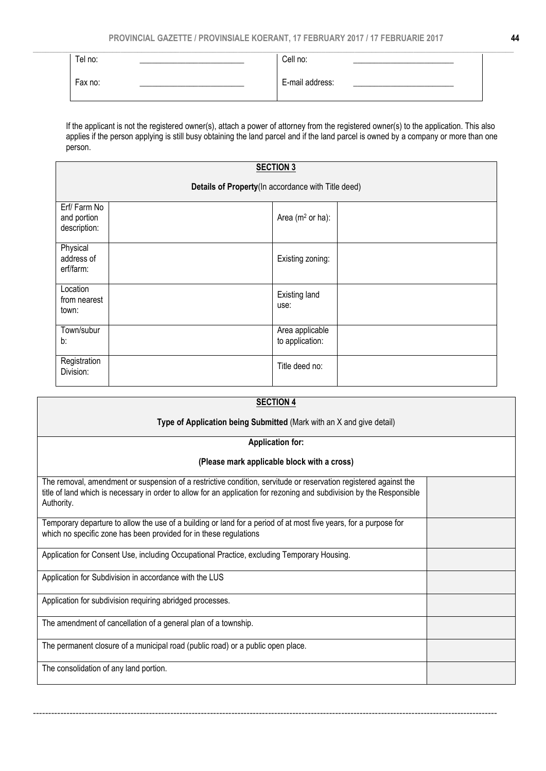| Tel no: | Cell no:        |  |
|---------|-----------------|--|
| Fax no: | E-mail address: |  |

If the applicant is not the registered owner(s), attach a power of attorney from the registered owner(s) to the application. This also applies if the person applying is still busy obtaining the land parcel and if the land parcel is owned by a company or more than one person.

### SECTION 3 Details of Property(In accordance with Title deed) Erf/ Farm No and portion description: Area (m<sup>2</sup> or ha): **Physical** address of erf/farm: Existing zoning: Location from nearest town: Existing land use: Town/subur b: Area applicable to application: Registration<br>Division: Neglectricity and the contract of the contract of the contract of the contract of the contract of the contract of the contract of the contract of the contract of the contract of the contract of the contract of the contract

| <b>SECTION 4</b>                                                                                                                                                                                                                                        |  |
|---------------------------------------------------------------------------------------------------------------------------------------------------------------------------------------------------------------------------------------------------------|--|
| Type of Application being Submitted (Mark with an X and give detail)                                                                                                                                                                                    |  |
| <b>Application for:</b>                                                                                                                                                                                                                                 |  |
| (Please mark applicable block with a cross)                                                                                                                                                                                                             |  |
| The removal, amendment or suspension of a restrictive condition, servitude or reservation registered against the<br>title of land which is necessary in order to allow for an application for rezoning and subdivision by the Responsible<br>Authority. |  |
| Temporary departure to allow the use of a building or land for a period of at most five years, for a purpose for<br>which no specific zone has been provided for in these regulations                                                                   |  |
| Application for Consent Use, including Occupational Practice, excluding Temporary Housing.                                                                                                                                                              |  |
| Application for Subdivision in accordance with the LUS                                                                                                                                                                                                  |  |
| Application for subdivision requiring abridged processes.                                                                                                                                                                                               |  |
| The amendment of cancellation of a general plan of a township.                                                                                                                                                                                          |  |
| The permanent closure of a municipal road (public road) or a public open place.                                                                                                                                                                         |  |
| The consolidation of any land portion.                                                                                                                                                                                                                  |  |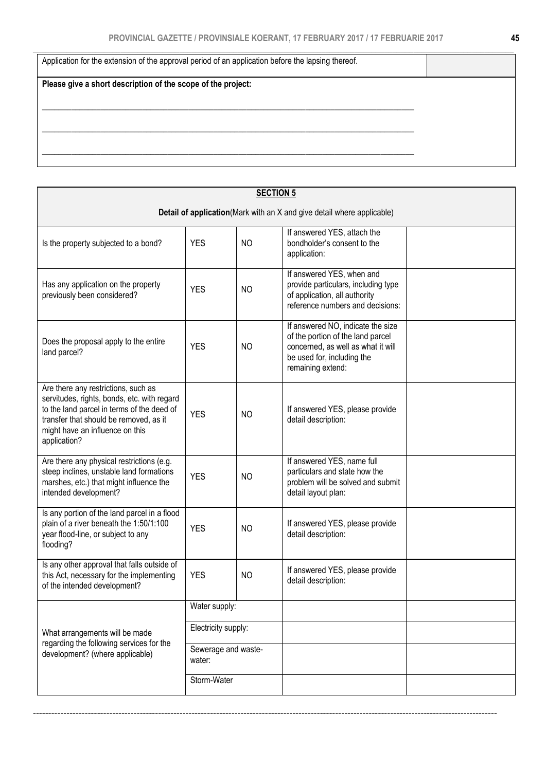| Application for the extension of the approval period of an application before the lapsing thereof. |  |
|----------------------------------------------------------------------------------------------------|--|
| Please give a short description of the scope of the project:                                       |  |
|                                                                                                    |  |
|                                                                                                    |  |
|                                                                                                    |  |
|                                                                                                    |  |

|                                                                                                                                                                                                                               |                               | <b>SECTION 5</b> |                                                                                                                                                                 |  |
|-------------------------------------------------------------------------------------------------------------------------------------------------------------------------------------------------------------------------------|-------------------------------|------------------|-----------------------------------------------------------------------------------------------------------------------------------------------------------------|--|
|                                                                                                                                                                                                                               |                               |                  | Detail of application (Mark with an X and give detail where applicable)                                                                                         |  |
| Is the property subjected to a bond?                                                                                                                                                                                          | <b>YES</b>                    | N <sub>O</sub>   | If answered YES, attach the<br>bondholder's consent to the<br>application:                                                                                      |  |
| Has any application on the property<br>previously been considered?                                                                                                                                                            | <b>YES</b>                    | N <sub>O</sub>   | If answered YES, when and<br>provide particulars, including type<br>of application, all authority<br>reference numbers and decisions:                           |  |
| Does the proposal apply to the entire<br>land parcel?                                                                                                                                                                         | <b>YES</b>                    | <b>NO</b>        | If answered NO, indicate the size<br>of the portion of the land parcel<br>concerned, as well as what it will<br>be used for, including the<br>remaining extend: |  |
| Are there any restrictions, such as<br>servitudes, rights, bonds, etc. with regard<br>to the land parcel in terms of the deed of<br>transfer that should be removed, as it<br>might have an influence on this<br>application? | <b>YES</b>                    | N <sub>O</sub>   | If answered YES, please provide<br>detail description:                                                                                                          |  |
| Are there any physical restrictions (e.g.<br>steep inclines, unstable land formations<br>marshes, etc.) that might influence the<br>intended development?                                                                     | <b>YES</b>                    | N <sub>O</sub>   | If answered YES, name full<br>particulars and state how the<br>problem will be solved and submit<br>detail layout plan:                                         |  |
| Is any portion of the land parcel in a flood<br>plain of a river beneath the 1:50/1:100<br>year flood-line, or subject to any<br>flooding?                                                                                    | <b>YES</b>                    | <b>NO</b>        | If answered YES, please provide<br>detail description:                                                                                                          |  |
| Is any other approval that falls outside of<br>this Act, necessary for the implementing<br>of the intended development?                                                                                                       | <b>YES</b>                    | <b>NO</b>        | If answered YES, please provide<br>detail description:                                                                                                          |  |
|                                                                                                                                                                                                                               | Water supply:                 |                  |                                                                                                                                                                 |  |
| What arrangements will be made                                                                                                                                                                                                | Electricity supply:           |                  |                                                                                                                                                                 |  |
| regarding the following services for the<br>development? (where applicable)                                                                                                                                                   | Sewerage and waste-<br>water: |                  |                                                                                                                                                                 |  |
|                                                                                                                                                                                                                               | Storm-Water                   |                  |                                                                                                                                                                 |  |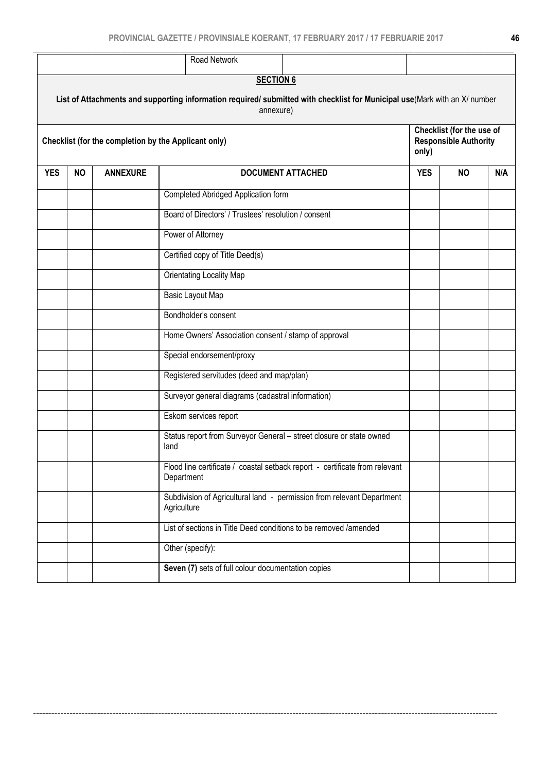|            |           |                 | Road Network                                                                                                                            |            |                                                           |     |
|------------|-----------|-----------------|-----------------------------------------------------------------------------------------------------------------------------------------|------------|-----------------------------------------------------------|-----|
|            |           |                 | <b>SECTION 6</b>                                                                                                                        |            |                                                           |     |
|            |           |                 | List of Attachments and supporting information required/ submitted with checklist for Municipal use(Mark with an X/ number<br>annexure) |            |                                                           |     |
|            |           |                 | Checklist (for the completion by the Applicant only)                                                                                    | only)      | Checklist (for the use of<br><b>Responsible Authority</b> |     |
| <b>YES</b> | <b>NO</b> | <b>ANNEXURE</b> | <b>DOCUMENT ATTACHED</b>                                                                                                                | <b>YES</b> | <b>NO</b>                                                 | N/A |
|            |           |                 | Completed Abridged Application form                                                                                                     |            |                                                           |     |
|            |           |                 | Board of Directors' / Trustees' resolution / consent                                                                                    |            |                                                           |     |
|            |           |                 | Power of Attorney                                                                                                                       |            |                                                           |     |
|            |           |                 | Certified copy of Title Deed(s)                                                                                                         |            |                                                           |     |
|            |           |                 | Orientating Locality Map                                                                                                                |            |                                                           |     |
|            |           |                 | Basic Layout Map                                                                                                                        |            |                                                           |     |
|            |           |                 | Bondholder's consent                                                                                                                    |            |                                                           |     |
|            |           |                 | Home Owners' Association consent / stamp of approval                                                                                    |            |                                                           |     |
|            |           |                 | Special endorsement/proxy                                                                                                               |            |                                                           |     |
|            |           |                 | Registered servitudes (deed and map/plan)                                                                                               |            |                                                           |     |
|            |           |                 | Surveyor general diagrams (cadastral information)                                                                                       |            |                                                           |     |
|            |           |                 | Eskom services report                                                                                                                   |            |                                                           |     |
|            |           |                 | Status report from Surveyor General - street closure or state owned<br>land                                                             |            |                                                           |     |
|            |           |                 | Flood line certificate / coastal setback report - certificate from relevant<br>Department                                               |            |                                                           |     |
|            |           |                 | Subdivision of Agricultural land - permission from relevant Department<br>Agriculture                                                   |            |                                                           |     |
|            |           |                 | List of sections in Title Deed conditions to be removed /amended                                                                        |            |                                                           |     |
|            |           |                 | Other (specify):                                                                                                                        |            |                                                           |     |
|            |           |                 | Seven (7) sets of full colour documentation copies                                                                                      |            |                                                           |     |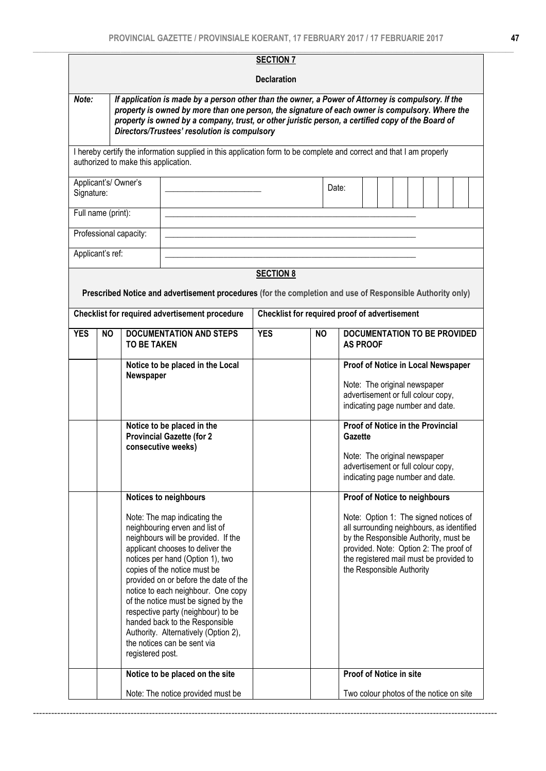|                    |           |                                      |                                                                                                                                                                                                                                                                                                                                                                                                                                                                                    |  | <b>Declaration</b>                            |           |  |         |                 |                                         |  |                                                                                                                                                                                                                  |  |  |
|--------------------|-----------|--------------------------------------|------------------------------------------------------------------------------------------------------------------------------------------------------------------------------------------------------------------------------------------------------------------------------------------------------------------------------------------------------------------------------------------------------------------------------------------------------------------------------------|--|-----------------------------------------------|-----------|--|---------|-----------------|-----------------------------------------|--|------------------------------------------------------------------------------------------------------------------------------------------------------------------------------------------------------------------|--|--|
| Note:              |           |                                      | If application is made by a person other than the owner, a Power of Attorney is compulsory. If the                                                                                                                                                                                                                                                                                                                                                                                 |  |                                               |           |  |         |                 |                                         |  |                                                                                                                                                                                                                  |  |  |
|                    |           |                                      | property is owned by more than one person, the signature of each owner is compulsory. Where the<br>property is owned by a company, trust, or other juristic person, a certified copy of the Board of<br>Directors/Trustees' resolution is compulsory                                                                                                                                                                                                                               |  |                                               |           |  |         |                 |                                         |  |                                                                                                                                                                                                                  |  |  |
|                    |           | authorized to make this application. | I hereby certify the information supplied in this application form to be complete and correct and that I am properly                                                                                                                                                                                                                                                                                                                                                               |  |                                               |           |  |         |                 |                                         |  |                                                                                                                                                                                                                  |  |  |
| Signature:         |           | Applicant's/Owner's                  |                                                                                                                                                                                                                                                                                                                                                                                                                                                                                    |  |                                               | Date:     |  |         |                 |                                         |  |                                                                                                                                                                                                                  |  |  |
| Full name (print): |           |                                      |                                                                                                                                                                                                                                                                                                                                                                                                                                                                                    |  |                                               |           |  |         |                 |                                         |  |                                                                                                                                                                                                                  |  |  |
| Applicant's ref:   |           | Professional capacity:               |                                                                                                                                                                                                                                                                                                                                                                                                                                                                                    |  |                                               |           |  |         |                 |                                         |  |                                                                                                                                                                                                                  |  |  |
|                    |           |                                      |                                                                                                                                                                                                                                                                                                                                                                                                                                                                                    |  | <b>SECTION 8</b>                              |           |  |         |                 |                                         |  |                                                                                                                                                                                                                  |  |  |
|                    |           |                                      | Prescribed Notice and advertisement procedures (for the completion and use of Responsible Authority only)                                                                                                                                                                                                                                                                                                                                                                          |  |                                               |           |  |         |                 |                                         |  |                                                                                                                                                                                                                  |  |  |
|                    |           |                                      | Checklist for required advertisement procedure                                                                                                                                                                                                                                                                                                                                                                                                                                     |  | Checklist for required proof of advertisement |           |  |         |                 |                                         |  |                                                                                                                                                                                                                  |  |  |
| <b>YES</b>         | <b>NO</b> | <b>TO BE TAKEN</b>                   | <b>DOCUMENTATION AND STEPS</b>                                                                                                                                                                                                                                                                                                                                                                                                                                                     |  | <b>YES</b>                                    | <b>NO</b> |  |         | <b>AS PROOF</b> |                                         |  | <b>DOCUMENTATION TO BE PROVIDED</b>                                                                                                                                                                              |  |  |
|                    |           | Newspaper                            | Notice to be placed in the Local                                                                                                                                                                                                                                                                                                                                                                                                                                                   |  |                                               |           |  |         |                 |                                         |  | Proof of Notice in Local Newspaper<br>Note: The original newspaper<br>advertisement or full colour copy,<br>indicating page number and date.                                                                     |  |  |
|                    |           |                                      | Notice to be placed in the<br><b>Provincial Gazette (for 2</b><br>consecutive weeks)                                                                                                                                                                                                                                                                                                                                                                                               |  |                                               |           |  | Gazette |                 |                                         |  | <b>Proof of Notice in the Provincial</b><br>Note: The original newspaper<br>advertisement or full colour copy,<br>indicating page number and date.                                                               |  |  |
|                    |           |                                      | Notices to neighbours                                                                                                                                                                                                                                                                                                                                                                                                                                                              |  |                                               |           |  |         |                 |                                         |  | Proof of Notice to neighbours                                                                                                                                                                                    |  |  |
|                    |           | registered post.                     | Note: The map indicating the<br>neighbouring erven and list of<br>neighbours will be provided. If the<br>applicant chooses to deliver the<br>notices per hand (Option 1), two<br>copies of the notice must be<br>provided on or before the date of the<br>notice to each neighbour. One copy<br>of the notice must be signed by the<br>respective party (neighbour) to be<br>handed back to the Responsible<br>Authority. Alternatively (Option 2),<br>the notices can be sent via |  |                                               |           |  |         |                 | the Responsible Authority               |  | Note: Option 1: The signed notices of<br>all surrounding neighbours, as identified<br>by the Responsible Authority, must be<br>provided. Note: Option 2: The proof of<br>the registered mail must be provided to |  |  |
|                    |           |                                      | Notice to be placed on the site                                                                                                                                                                                                                                                                                                                                                                                                                                                    |  |                                               |           |  |         |                 | Proof of Notice in site                 |  |                                                                                                                                                                                                                  |  |  |
|                    |           |                                      | Note: The notice provided must be                                                                                                                                                                                                                                                                                                                                                                                                                                                  |  |                                               |           |  |         |                 | Two colour photos of the notice on site |  |                                                                                                                                                                                                                  |  |  |